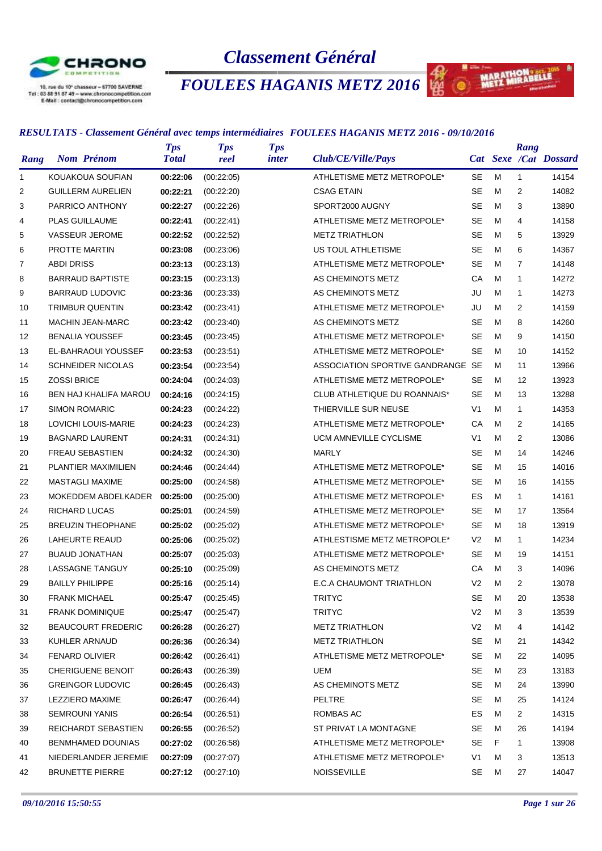

# *Classement Général*

# *FOULEES HAGANIS METZ 2016*

#### *RESULTATS - Classement Général avec temps intermédiaires FOULEES HAGANIS METZ 2016 - 09/10/2016*

|              |                              | <b>Tps</b>   | <b>Tps</b> | <b>Tps</b>   |                                   |                |   | Rang           |                       |
|--------------|------------------------------|--------------|------------|--------------|-----------------------------------|----------------|---|----------------|-----------------------|
| Rang         | <b>Nom Prénom</b>            | <b>Total</b> | reel       | <i>inter</i> | Club/CE/Ville/Pays                |                |   |                | Cat Sexe /Cat Dossard |
| $\mathbf{1}$ | KOUAKOUA SOUFIAN             | 00:22:06     | (00:22:05) |              | ATHLETISME METZ METROPOLE*        | <b>SE</b>      | M | $\mathbf{1}$   | 14154                 |
| 2            | <b>GUILLERM AURELIEN</b>     | 00:22:21     | (00:22:20) |              | <b>CSAG ETAIN</b>                 | <b>SE</b>      | м | 2              | 14082                 |
| 3            | PARRICO ANTHONY              | 00:22:27     | (00:22:26) |              | SPORT2000 AUGNY                   | <b>SE</b>      | M | 3              | 13890                 |
| 4            | <b>PLAS GUILLAUME</b>        | 00:22:41     | (00:22:41) |              | ATHLETISME METZ METROPOLE*        | <b>SE</b>      | M | 4              | 14158                 |
| 5            | <b>VASSEUR JEROME</b>        | 00:22:52     | (00:22:52) |              | <b>METZ TRIATHLON</b>             | <b>SE</b>      | м | 5              | 13929                 |
| 6            | <b>PROTTE MARTIN</b>         | 00:23:08     | (00:23:06) |              | US TOUL ATHLETISME                | <b>SE</b>      | M | 6              | 14367                 |
| 7            | <b>ABDI DRISS</b>            | 00:23:13     | (00:23:13) |              | ATHLETISME METZ METROPOLE*        | <b>SE</b>      | M | $\overline{7}$ | 14148                 |
| 8            | <b>BARRAUD BAPTISTE</b>      | 00:23:15     | (00:23:13) |              | AS CHEMINOTS METZ                 | CA             | M | 1              | 14272                 |
| 9            | <b>BARRAUD LUDOVIC</b>       | 00:23:36     | (00:23:33) |              | AS CHEMINOTS METZ                 | JU             | M | $\mathbf{1}$   | 14273                 |
| 10           | <b>TRIMBUR QUENTIN</b>       | 00:23:42     | (00:23:41) |              | ATHLETISME METZ METROPOLE*        | JU             | M | 2              | 14159                 |
| 11           | <b>MACHIN JEAN-MARC</b>      | 00:23:42     | (00:23:40) |              | AS CHEMINOTS METZ                 | <b>SE</b>      | M | 8              | 14260                 |
| 12           | <b>BENALIA YOUSSEF</b>       | 00:23:45     | (00:23:45) |              | ATHLETISME METZ METROPOLE*        | <b>SE</b>      | м | 9              | 14150                 |
| 13           | EL-BAHRAOUI YOUSSEF          | 00:23:53     | (00:23:51) |              | ATHLETISME METZ METROPOLE*        | <b>SE</b>      | M | 10             | 14152                 |
| 14           | <b>SCHNEIDER NICOLAS</b>     | 00:23:54     | (00:23:54) |              | ASSOCIATION SPORTIVE GANDRANGE SE |                | м | 11             | 13966                 |
| 15           | <b>ZOSSI BRICE</b>           | 00:24:04     | (00:24:03) |              | ATHLETISME METZ METROPOLE*        | <b>SE</b>      | м | 12             | 13923                 |
| 16           | <b>BEN HAJ KHALIFA MAROU</b> | 00:24:16     | (00:24:15) |              | CLUB ATHLETIQUE DU ROANNAIS*      | <b>SE</b>      | M | 13             | 13288                 |
| 17           | <b>SIMON ROMARIC</b>         | 00:24:23     | (00:24:22) |              | THIERVILLE SUR NEUSE              | V <sub>1</sub> | м | 1              | 14353                 |
| 18           | LOVICHI LOUIS-MARIE          | 00:24:23     | (00:24:23) |              | ATHLETISME METZ METROPOLE*        | CA             | M | 2              | 14165                 |
| 19           | <b>BAGNARD LAURENT</b>       | 00:24:31     | (00:24:31) |              | <b>UCM AMNEVILLE CYCLISME</b>     | V <sub>1</sub> | м | $\overline{2}$ | 13086                 |
| 20           | <b>FREAU SEBASTIEN</b>       | 00:24:32     | (00:24:30) |              | MARLY                             | <b>SE</b>      | M | 14             | 14246                 |
| 21           | <b>PLANTIER MAXIMILIEN</b>   | 00:24:46     | (00:24:44) |              | ATHLETISME METZ METROPOLE*        | <b>SE</b>      | м | 15             | 14016                 |
| 22           | <b>MASTAGLI MAXIME</b>       | 00:25:00     | (00:24:58) |              | ATHLETISME METZ METROPOLE*        | <b>SE</b>      | м | 16             | 14155                 |
| 23           | MOKEDDEM ABDELKADER          | 00:25:00     | (00:25:00) |              | ATHLETISME METZ METROPOLE*        | ES             | M | $\mathbf{1}$   | 14161                 |
| 24           | RICHARD LUCAS                | 00:25:01     | (00:24:59) |              | ATHLETISME METZ METROPOLE*        | <b>SE</b>      | м | 17             | 13564                 |
| 25           | <b>BREUZIN THEOPHANE</b>     | 00:25:02     | (00:25:02) |              | ATHLETISME METZ METROPOLE*        | <b>SE</b>      | M | 18             | 13919                 |
| 26           | LAHEURTE REAUD               | 00:25:06     | (00:25:02) |              | ATHLESTISME METZ METROPOLE*       | V <sub>2</sub> | M | $\mathbf{1}$   | 14234                 |
| 27           | <b>BUAUD JONATHAN</b>        | 00:25:07     | (00:25:03) |              | ATHLETISME METZ METROPOLE*        | <b>SE</b>      | м | 19             | 14151                 |
| 28           | <b>LASSAGNE TANGUY</b>       | 00:25:10     | (00:25:09) |              | AS CHEMINOTS METZ                 | CA             | м | 3              | 14096                 |
| 29           | <b>BAILLY PHILIPPE</b>       | 00:25:16     | (00:25:14) |              | E.C.A CHAUMONT TRIATHLON          | V <sub>2</sub> | M | 2              | 13078                 |
| 30           | <b>FRANK MICHAEL</b>         | 00:25:47     | (00:25:45) |              | <b>TRITYC</b>                     | SE             | M | 20             | 13538                 |
| 31           | <b>FRANK DOMINIQUE</b>       | 00:25:47     | (00:25:47) |              | <b>TRITYC</b>                     | V <sub>2</sub> | M | 3              | 13539                 |
| 32           | <b>BEAUCOURT FREDERIC</b>    | 00:26:28     | (00:26:27) |              | <b>METZ TRIATHLON</b>             | V <sub>2</sub> | M | 4              | 14142                 |
| 33           | KUHLER ARNAUD                | 00:26:36     | (00:26:34) |              | <b>METZ TRIATHLON</b>             | SE             | М | 21             | 14342                 |
| 34           | <b>FENARD OLIVIER</b>        | 00:26:42     | (00.26.41) |              | ATHLETISME METZ METROPOLE*        | SE             | М | 22             | 14095                 |
| 35           | <b>CHERIGUENE BENOIT</b>     | 00:26:43     | (00:26:39) |              | UEM                               | SE             | М | 23             | 13183                 |
| 36           | <b>GREINGOR LUDOVIC</b>      | 00:26:45     | (00.26.43) |              | AS CHEMINOTS METZ                 | SE             | м | 24             | 13990                 |
| 37           | LEZZIERO MAXIME              | 00:26:47     | (00:26:44) |              | <b>PELTRE</b>                     | SE             | м | 25             | 14124                 |
| 38           | <b>SEMROUNI YANIS</b>        | 00:26:54     | (00:26:51) |              | ROMBAS AC                         | ES             | М | 2              | 14315                 |
| 39           | REICHARDT SEBASTIEN          | 00:26:55     | (00:26:52) |              | ST PRIVAT LA MONTAGNE             | SE             | М | 26             | 14194                 |
| 40           | BENMHAMED DOUNIAS            | 00:27:02     | (00:26:58) |              | ATHLETISME METZ METROPOLE*        | SE             | F | 1              | 13908                 |
| 41           | NIEDERLANDER JEREMIE         | 00:27:09     | (00:27:07) |              | ATHLETISME METZ METROPOLE*        | V1             | м | 3              | 13513                 |
| 42           | <b>BRUNETTE PIERRE</b>       | 00:27:12     | (00:27:10) |              | NOISSEVILLE                       | SE             | М | 27             | 14047                 |
|              |                              |              |            |              |                                   |                |   |                |                       |

MARATHONABELLE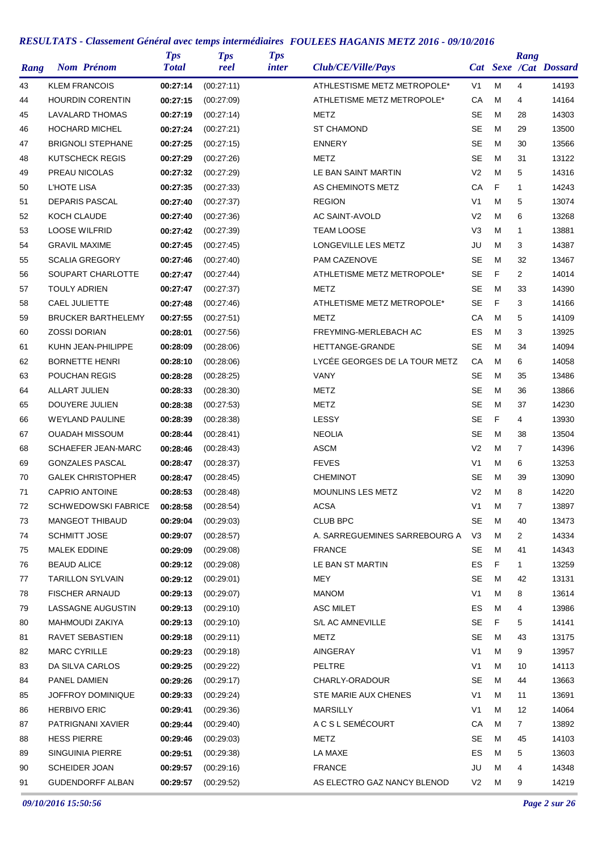| Rang | <b>Nom Prénom</b>          | <b>Tps</b><br><b>Total</b> | <b>Tps</b><br>reel | <b>Tps</b><br>inter | Club/CE/Ville/Pays            |                |   | Rang           | Cat Sexe /Cat Dossard |
|------|----------------------------|----------------------------|--------------------|---------------------|-------------------------------|----------------|---|----------------|-----------------------|
| 43   | <b>KLEM FRANCOIS</b>       | 00:27:14                   | (00:27:11)         |                     | ATHLESTISME METZ METROPOLE*   | V <sub>1</sub> | M | 4              | 14193                 |
| 44   | <b>HOURDIN CORENTIN</b>    | 00:27:15                   | (00:27:09)         |                     | ATHLETISME METZ METROPOLE*    | CA             | M | 4              | 14164                 |
| 45   | LAVALARD THOMAS            | 00:27:19                   | (00:27:14)         |                     | METZ                          | <b>SE</b>      | M | 28             | 14303                 |
| 46   | <b>HOCHARD MICHEL</b>      | 00:27:24                   | (00:27:21)         |                     | <b>ST CHAMOND</b>             | <b>SE</b>      | M | 29             | 13500                 |
| 47   | <b>BRIGNOLI STEPHANE</b>   | 00:27:25                   | (00:27:15)         |                     | <b>ENNERY</b>                 | <b>SE</b>      | M | 30             | 13566                 |
| 48   | <b>KUTSCHECK REGIS</b>     | 00:27:29                   | (00:27:26)         |                     | METZ                          | <b>SE</b>      | M | 31             | 13122                 |
| 49   | PREAU NICOLAS              | 00:27:32                   | (00:27:29)         |                     | LE BAN SAINT MARTIN           | V <sub>2</sub> | M | 5              | 14316                 |
| 50   | <b>L'HOTE LISA</b>         | 00:27:35                   | (00:27:33)         |                     | AS CHEMINOTS METZ             | CA             | F | 1              | 14243                 |
| 51   | <b>DEPARIS PASCAL</b>      | 00:27:40                   | (00:27:37)         |                     | <b>REGION</b>                 | V <sub>1</sub> | M | 5              | 13074                 |
| 52   | KOCH CLAUDE                | 00:27:40                   | (00:27:36)         |                     | AC SAINT-AVOLD                | V <sub>2</sub> | M | 6              | 13268                 |
| 53   | <b>LOOSE WILFRID</b>       | 00:27:42                   | (00:27:39)         |                     | <b>TEAM LOOSE</b>             | V <sub>3</sub> | M | 1              | 13881                 |
| 54   | <b>GRAVIL MAXIME</b>       | 00:27:45                   | (00:27:45)         |                     | LONGEVILLE LES METZ           | JU             | M | 3              | 14387                 |
| 55   | <b>SCALIA GREGORY</b>      | 00:27:46                   | (00:27:40)         |                     | PAM CAZENOVE                  | <b>SE</b>      | M | 32             | 13467                 |
| 56   | SOUPART CHARLOTTE          | 00:27:47                   | (00:27:44)         |                     | ATHLETISME METZ METROPOLE*    | <b>SE</b>      | F | $\overline{2}$ | 14014                 |
| 57   | <b>TOULY ADRIEN</b>        | 00:27:47                   | (00:27:37)         |                     | METZ                          | <b>SE</b>      | M | 33             | 14390                 |
| 58   | CAEL JULIETTE              | 00:27:48                   | (00:27:46)         |                     | ATHLETISME METZ METROPOLE*    | <b>SE</b>      | F | 3              | 14166                 |
| 59   | <b>BRUCKER BARTHELEMY</b>  | 00:27:55                   | (00:27:51)         |                     | METZ                          | CA             | M | 5              | 14109                 |
| 60   | <b>ZOSSI DORIAN</b>        | 00:28:01                   | (00:27:56)         |                     | FREYMING-MERLEBACH AC         | ES             | M | 3              | 13925                 |
| 61   | KUHN JEAN-PHILIPPE         | 00:28:09                   | (00:28:06)         |                     | HETTANGE-GRANDE               | <b>SE</b>      | M | 34             | 14094                 |
| 62   | <b>BORNETTE HENRI</b>      | 00:28:10                   | (00:28:06)         |                     | LYCÉE GEORGES DE LA TOUR METZ | CA             | M | 6              | 14058                 |
| 63   | POUCHAN REGIS              | 00:28:28                   | (00:28:25)         |                     | VANY                          | SE             | M | 35             | 13486                 |
| 64   | <b>ALLART JULIEN</b>       | 00:28:33                   | (00:28:30)         |                     | METZ                          | <b>SE</b>      | M | 36             | 13866                 |
| 65   | DOUYERE JULIEN             | 00:28:38                   | (00:27:53)         |                     | METZ                          | <b>SE</b>      | M | 37             | 14230                 |
| 66   | <b>WEYLAND PAULINE</b>     | 00:28:39                   | (00:28:38)         |                     | LESSY                         | <b>SE</b>      | F | 4              | 13930                 |
| 67   | <b>OUADAH MISSOUM</b>      | 00:28:44                   | (00:28:41)         |                     | <b>NEOLIA</b>                 | <b>SE</b>      | M | 38             | 13504                 |
| 68   | <b>SCHAEFER JEAN-MARC</b>  | 00:28:46                   | (00:28:43)         |                     | <b>ASCM</b>                   | V <sub>2</sub> | M | $\overline{7}$ | 14396                 |
| 69   | <b>GONZALES PASCAL</b>     | 00:28:47                   | (00:28:37)         |                     | <b>FEVES</b>                  | V <sub>1</sub> | M | 6              | 13253                 |
| 70   | <b>GALEK CHRISTOPHER</b>   | 00:28:47                   | (00:28:45)         |                     | <b>CHEMINOT</b>               | <b>SE</b>      | M | 39             | 13090                 |
| 71   | <b>CAPRIO ANTOINE</b>      | 00:28:53                   | (00:28:48)         |                     | MOUNLINS LES METZ             | V <sub>2</sub> | M | 8              | 14220                 |
| 72   | <b>SCHWEDOWSKI FABRICE</b> | 00:28:58                   | (00:28:54)         |                     | <b>ACSA</b>                   | V <sub>1</sub> | M | $\overline{7}$ | 13897                 |
| 73   | <b>MANGEOT THIBAUD</b>     | 00:29:04                   | (00:29:03)         |                     | <b>CLUB BPC</b>               | SE             | М | 40             | 13473                 |
| 74   | <b>SCHMITT JOSE</b>        | 00:29:07                   | (00:28:57)         |                     | A. SARREGUEMINES SARREBOURG A | V <sub>3</sub> | м | $\overline{2}$ | 14334                 |
| 75   | <b>MALEK EDDINE</b>        | 00:29:09                   | (00:29:08)         |                     | <b>FRANCE</b>                 | SE             | M | 41             | 14343                 |
| 76   | <b>BEAUD ALICE</b>         | 00:29:12                   | (00:29:08)         |                     | LE BAN ST MARTIN              | ES             | F | 1              | 13259                 |
| 77   | <b>TARILLON SYLVAIN</b>    | 00:29:12                   | (00:29:01)         |                     | <b>MEY</b>                    | SE             | М | 42             | 13131                 |
| 78   | <b>FISCHER ARNAUD</b>      | 00:29:13                   | (00:29:07)         |                     | <b>MANOM</b>                  | V1             | M | 8              | 13614                 |
| 79   | LASSAGNE AUGUSTIN          | 00:29:13                   | (00:29:10)         |                     | <b>ASC MILET</b>              | ES             | м | 4              | 13986                 |
| 80   | <b>MAHMOUDI ZAKIYA</b>     | 00:29:13                   | (00:29:10)         |                     | S/L AC AMNEVILLE              | SE             | F | 5              | 14141                 |
| 81   | RAVET SEBASTIEN            | 00:29:18                   | (00:29:11)         |                     | METZ                          | SE             | M | 43             | 13175                 |
| 82   | <b>MARC CYRILLE</b>        | 00:29:23                   | (00:29:18)         |                     | AINGERAY                      | V <sub>1</sub> | м | 9              | 13957                 |
| 83   | DA SILVA CARLOS            | 00:29:25                   | (00:29:22)         |                     | PELTRE                        | V1             | M | 10             | 14113                 |
| 84   | PANEL DAMIEN               | 00:29:26                   | (00:29:17)         |                     | CHARLY-ORADOUR                | SE             | м | 44             | 13663                 |
| 85   | JOFFROY DOMINIQUE          | 00:29:33                   | (00:29:24)         |                     | STE MARIE AUX CHENES          | V1             | м | 11             | 13691                 |
| 86   | <b>HERBIVO ERIC</b>        | 00:29:41                   | (00:29:36)         |                     | <b>MARSILLY</b>               | V <sub>1</sub> | M | 12             | 14064                 |
| 87   | PATRIGNANI XAVIER          | 00:29:44                   | (00:29:40)         |                     | A C S L SEMÉCOURT             | CA             | М | $\overline{7}$ | 13892                 |
| 88   | <b>HESS PIERRE</b>         | 00:29:46                   | (00:29:03)         |                     | METZ                          | SE             | м | 45             | 14103                 |
| 89   | SINGUINIA PIERRE           | 00:29:51                   | (00:29:38)         |                     | LA MAXE                       | ES             | м | 5              | 13603                 |
| 90   | <b>SCHEIDER JOAN</b>       | 00:29:57                   | (00.29.16)         |                     | <b>FRANCE</b>                 | JU             | M | 4              | 14348                 |
| 91   | <b>GUDENDORFF ALBAN</b>    | 00:29:57                   | (00:29:52)         |                     | AS ELECTRO GAZ NANCY BLENOD   | V <sub>2</sub> | M | 9              | 14219                 |
|      |                            |                            |                    |                     |                               |                |   |                |                       |

*09/10/2016 15:50:56 Page 2 sur 26*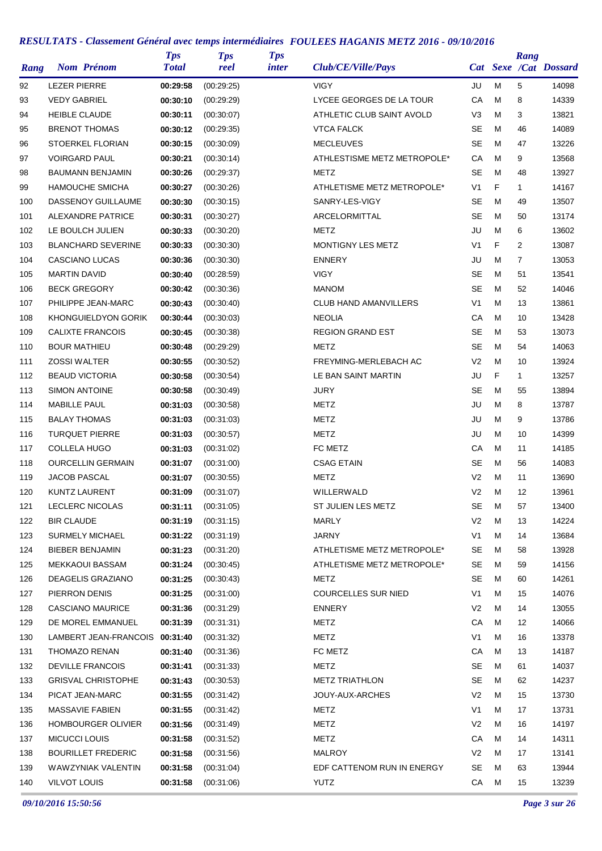| Cat Sexe /Cat Dossard<br><b>LEZER PIERRE</b><br>00:29:58<br>5<br>92<br>(00:29:25)<br><b>VIGY</b><br>JU<br>M<br>CA<br><b>VEDY GABRIEL</b><br>LYCEE GEORGES DE LA TOUR<br>M<br>8<br>93<br>00:30:10<br>(00:29:29)<br><b>HEIBLE CLAUDE</b><br>(00:30:07)<br>ATHLETIC CLUB SAINT AVOLD<br>V3<br>M<br>3<br>94<br>00:30:11<br><b>BRENOT THOMAS</b><br>00:30:12<br><b>VTCA FALCK</b><br>SE<br>м<br>46<br>95<br>(00:29:35)<br><b>SE</b><br>STOERKEL FLORIAN<br>(00:30:09)<br><b>MECLEUVES</b><br>M<br>47<br>96<br>00:30:15<br><b>VOIRGARD PAUL</b><br>ATHLESTISME METZ METROPOLE*<br>СA<br>M<br>9<br>97<br>00:30:21<br>(00:30:14)<br><b>BAUMANN BENJAMIN</b><br>00:30:26<br>METZ<br>SE<br>M<br>48<br>98<br>(00:29:37)<br>V <sub>1</sub><br>F<br>$\mathbf{1}$<br>99<br><b>HAMOUCHE SMICHA</b><br>00:30:27<br>(00:30:26)<br>ATHLETISME METZ METROPOLE*<br>DASSENOY GUILLAUME<br>SANRY-LES-VIGY<br>SE<br>м<br>100<br>00:30:30<br>(00:30:15)<br>49<br><b>SE</b><br>ALEXANDRE PATRICE<br>00:30:31<br>(00:30:27)<br>ARCELORMITTAL<br>M<br>50<br>101<br>LE BOULCH JULIEN<br>00:30:33<br>METZ<br>JU<br>M<br>6<br>102<br>(00:30:20)<br>F<br><b>BLANCHARD SEVERINE</b><br>MONTIGNY LES METZ<br>V <sub>1</sub><br>2<br>103<br>00:30:33<br>(00:30:30)<br>CASCIANO LUCAS<br><b>ENNERY</b><br>JU<br>M<br>$\overline{7}$<br>104<br>00:30:36<br>(00:30:30)<br><b>VIGY</b><br><b>SE</b><br><b>MARTIN DAVID</b><br>00:30:40<br>M<br>51<br>105<br>(00:28:59)<br><b>SE</b><br><b>BECK GREGORY</b><br>(00:30:36)<br><b>MANOM</b><br>M<br>52<br>106<br>00:30:42<br>V1<br>M<br>13<br>107<br>PHILIPPE JEAN-MARC<br>00:30:43<br>(00:30:40)<br><b>CLUB HAND AMANVILLERS</b><br>KHONGUIELDYON GORIK<br>00:30:44<br><b>NEOLIA</b><br>СA<br>M<br>108<br>(00:30:03)<br>10<br><b>SE</b><br><b>CALIXTE FRANCOIS</b><br>00:30:45<br><b>REGION GRAND EST</b><br>м<br>53<br>109<br>(00:30:38)<br><b>SE</b><br>M<br><b>BOUR MATHIEU</b><br>METZ<br>54<br>110<br>00:30:48<br>(00:29:29)<br>V <sub>2</sub><br><b>ZOSSI WALTER</b><br>00:30:55<br>(00:30:52)<br>FREYMING-MERLEBACH AC<br>M<br>10<br>111<br>F<br><b>BEAUD VICTORIA</b><br>LE BAN SAINT MARTIN<br>JU<br>112<br>00:30:58<br>(00:30:54)<br>$\mathbf{1}$<br><b>SIMON ANTOINE</b><br>JURY<br>SE<br>M<br>113<br>00:30:58<br>(00:30:49)<br>55<br><b>MABILLE PAUL</b><br>METZ<br>JU<br>M<br>8<br>114<br>00:31:03<br>(00:30:58)<br><b>METZ</b><br><b>BALAY THOMAS</b><br>00:31:03<br>(00:31:03)<br>JU<br>M<br>9<br>115<br><b>TURQUET PIERRE</b><br>METZ<br>JU<br>M<br>116<br>00:31:03<br>(00:30:57)<br>10<br>FC METZ<br>СA<br>M<br>117<br><b>COLLELA HUGO</b><br>(00:31:02)<br>11<br>00:31:03<br><b>OURCELLIN GERMAIN</b><br><b>CSAG ETAIN</b><br>SE<br>M<br>56<br>118<br>00:31:07<br>(00:31:00)<br><b>JACOB PASCAL</b><br>METZ<br>V <sub>2</sub><br>119<br>00:31:07<br>(00:30:55)<br>м<br>11<br><b>KUNTZ LAURENT</b><br>WILLERWALD<br>V <sub>2</sub><br>M<br>12<br>120<br>00:31:09<br>(00:31:07)<br>LECLERC NICOLAS<br>00:31:11<br>(00:31:05)<br>ST JULIEN LES METZ<br><b>SE</b><br>121<br>M<br>57<br><b>BIR CLAUDE</b><br>00:31:19<br>(00:31:15)<br><b>MARLY</b><br>V2<br>м<br>122<br>13<br><b>SURMELY MICHAEL</b><br><b>JARNY</b><br>V1<br>M<br>14<br>123<br>00:31:22<br>(00:31:19)<br><b>BIEBER BENJAMIN</b><br>ATHLETISME METZ METROPOLE*<br>SE<br>м<br>124<br>00:31:23<br>(00:31:20)<br>58<br><b>MEKKAOUI BASSAM</b><br>00:31:24<br>ATHLETISME METZ METROPOLE*<br>M<br>125<br>(00:30:45)<br>SE<br>59<br><b>DEAGELIS GRAZIANO</b><br>126<br>00:31:25<br>(00:30:43)<br>METZ<br>SE<br>M<br>60<br>PIERRON DENIS<br><b>COURCELLES SUR NIED</b><br>V1<br>127<br>00:31:25<br>(00:31:00)<br>м<br>15<br><b>CASCIANO MAURICE</b><br>00:31:36<br><b>ENNERY</b><br>V2<br>M<br>14<br>128<br>(00:31:29)<br>DE MOREL EMMANUEL<br>(00:31:31)<br><b>METZ</b><br>CA<br>129<br>00:31:39<br>М<br>12<br>V <sub>1</sub><br>M<br>130<br>LAMBERT JEAN-FRANCOIS 00:31:40<br>(00:31:32)<br>METZ<br>16<br>THOMAZO RENAN<br>00:31:40<br>FC METZ<br>CA<br>131<br>(00:31:36)<br>м<br>13<br><b>DEVILLE FRANCOIS</b><br>00:31:41<br><b>METZ</b><br>SE<br>м<br>132<br>(00:31:33)<br>61<br><b>GRISVAL CHRISTOPHE</b><br>SE<br>м<br>133<br>00:31:43<br>(00:30:53)<br><b>METZ TRIATHLON</b><br>62<br>PICAT JEAN-MARC<br>00:31:55<br>JOUY-AUX-ARCHES<br>V2<br>134<br>(00:31:42)<br>М<br>15<br>V1<br>M<br>135<br>MASSAVIE FABIEN<br>00:31:55<br>(00:31:42)<br>METZ<br>17 |      |                   | <b>Tps</b>   | <b>Tps</b> | <b>Tps</b>   |                    |  | Rang |       |
|------------------------------------------------------------------------------------------------------------------------------------------------------------------------------------------------------------------------------------------------------------------------------------------------------------------------------------------------------------------------------------------------------------------------------------------------------------------------------------------------------------------------------------------------------------------------------------------------------------------------------------------------------------------------------------------------------------------------------------------------------------------------------------------------------------------------------------------------------------------------------------------------------------------------------------------------------------------------------------------------------------------------------------------------------------------------------------------------------------------------------------------------------------------------------------------------------------------------------------------------------------------------------------------------------------------------------------------------------------------------------------------------------------------------------------------------------------------------------------------------------------------------------------------------------------------------------------------------------------------------------------------------------------------------------------------------------------------------------------------------------------------------------------------------------------------------------------------------------------------------------------------------------------------------------------------------------------------------------------------------------------------------------------------------------------------------------------------------------------------------------------------------------------------------------------------------------------------------------------------------------------------------------------------------------------------------------------------------------------------------------------------------------------------------------------------------------------------------------------------------------------------------------------------------------------------------------------------------------------------------------------------------------------------------------------------------------------------------------------------------------------------------------------------------------------------------------------------------------------------------------------------------------------------------------------------------------------------------------------------------------------------------------------------------------------------------------------------------------------------------------------------------------------------------------------------------------------------------------------------------------------------------------------------------------------------------------------------------------------------------------------------------------------------------------------------------------------------------------------------------------------------------------------------------------------------------------------------------------------------------------------------------------------------------------------------------------------------------------------------------------------------------------------------------------------------------------------------------------------------------------------------------------------------------------------------------------------------------------------------------------------------------------------------------------------------------------------------------------------------------------------------------------------------------------------------------------------------------------------------------------------------------------------------------------------------------------------------------|------|-------------------|--------------|------------|--------------|--------------------|--|------|-------|
|                                                                                                                                                                                                                                                                                                                                                                                                                                                                                                                                                                                                                                                                                                                                                                                                                                                                                                                                                                                                                                                                                                                                                                                                                                                                                                                                                                                                                                                                                                                                                                                                                                                                                                                                                                                                                                                                                                                                                                                                                                                                                                                                                                                                                                                                                                                                                                                                                                                                                                                                                                                                                                                                                                                                                                                                                                                                                                                                                                                                                                                                                                                                                                                                                                                                                                                                                                                                                                                                                                                                                                                                                                                                                                                                                                                                                                                                                                                                                                                                                                                                                                                                                                                                                                                                                                                                                | Rang | <b>Nom Prénom</b> | <b>Total</b> | reel       | <i>inter</i> | Club/CE/Ville/Pays |  |      |       |
|                                                                                                                                                                                                                                                                                                                                                                                                                                                                                                                                                                                                                                                                                                                                                                                                                                                                                                                                                                                                                                                                                                                                                                                                                                                                                                                                                                                                                                                                                                                                                                                                                                                                                                                                                                                                                                                                                                                                                                                                                                                                                                                                                                                                                                                                                                                                                                                                                                                                                                                                                                                                                                                                                                                                                                                                                                                                                                                                                                                                                                                                                                                                                                                                                                                                                                                                                                                                                                                                                                                                                                                                                                                                                                                                                                                                                                                                                                                                                                                                                                                                                                                                                                                                                                                                                                                                                |      |                   |              |            |              |                    |  |      | 14098 |
|                                                                                                                                                                                                                                                                                                                                                                                                                                                                                                                                                                                                                                                                                                                                                                                                                                                                                                                                                                                                                                                                                                                                                                                                                                                                                                                                                                                                                                                                                                                                                                                                                                                                                                                                                                                                                                                                                                                                                                                                                                                                                                                                                                                                                                                                                                                                                                                                                                                                                                                                                                                                                                                                                                                                                                                                                                                                                                                                                                                                                                                                                                                                                                                                                                                                                                                                                                                                                                                                                                                                                                                                                                                                                                                                                                                                                                                                                                                                                                                                                                                                                                                                                                                                                                                                                                                                                |      |                   |              |            |              |                    |  |      | 14339 |
|                                                                                                                                                                                                                                                                                                                                                                                                                                                                                                                                                                                                                                                                                                                                                                                                                                                                                                                                                                                                                                                                                                                                                                                                                                                                                                                                                                                                                                                                                                                                                                                                                                                                                                                                                                                                                                                                                                                                                                                                                                                                                                                                                                                                                                                                                                                                                                                                                                                                                                                                                                                                                                                                                                                                                                                                                                                                                                                                                                                                                                                                                                                                                                                                                                                                                                                                                                                                                                                                                                                                                                                                                                                                                                                                                                                                                                                                                                                                                                                                                                                                                                                                                                                                                                                                                                                                                |      |                   |              |            |              |                    |  |      | 13821 |
|                                                                                                                                                                                                                                                                                                                                                                                                                                                                                                                                                                                                                                                                                                                                                                                                                                                                                                                                                                                                                                                                                                                                                                                                                                                                                                                                                                                                                                                                                                                                                                                                                                                                                                                                                                                                                                                                                                                                                                                                                                                                                                                                                                                                                                                                                                                                                                                                                                                                                                                                                                                                                                                                                                                                                                                                                                                                                                                                                                                                                                                                                                                                                                                                                                                                                                                                                                                                                                                                                                                                                                                                                                                                                                                                                                                                                                                                                                                                                                                                                                                                                                                                                                                                                                                                                                                                                |      |                   |              |            |              |                    |  |      | 14089 |
|                                                                                                                                                                                                                                                                                                                                                                                                                                                                                                                                                                                                                                                                                                                                                                                                                                                                                                                                                                                                                                                                                                                                                                                                                                                                                                                                                                                                                                                                                                                                                                                                                                                                                                                                                                                                                                                                                                                                                                                                                                                                                                                                                                                                                                                                                                                                                                                                                                                                                                                                                                                                                                                                                                                                                                                                                                                                                                                                                                                                                                                                                                                                                                                                                                                                                                                                                                                                                                                                                                                                                                                                                                                                                                                                                                                                                                                                                                                                                                                                                                                                                                                                                                                                                                                                                                                                                |      |                   |              |            |              |                    |  |      | 13226 |
|                                                                                                                                                                                                                                                                                                                                                                                                                                                                                                                                                                                                                                                                                                                                                                                                                                                                                                                                                                                                                                                                                                                                                                                                                                                                                                                                                                                                                                                                                                                                                                                                                                                                                                                                                                                                                                                                                                                                                                                                                                                                                                                                                                                                                                                                                                                                                                                                                                                                                                                                                                                                                                                                                                                                                                                                                                                                                                                                                                                                                                                                                                                                                                                                                                                                                                                                                                                                                                                                                                                                                                                                                                                                                                                                                                                                                                                                                                                                                                                                                                                                                                                                                                                                                                                                                                                                                |      |                   |              |            |              |                    |  |      | 13568 |
|                                                                                                                                                                                                                                                                                                                                                                                                                                                                                                                                                                                                                                                                                                                                                                                                                                                                                                                                                                                                                                                                                                                                                                                                                                                                                                                                                                                                                                                                                                                                                                                                                                                                                                                                                                                                                                                                                                                                                                                                                                                                                                                                                                                                                                                                                                                                                                                                                                                                                                                                                                                                                                                                                                                                                                                                                                                                                                                                                                                                                                                                                                                                                                                                                                                                                                                                                                                                                                                                                                                                                                                                                                                                                                                                                                                                                                                                                                                                                                                                                                                                                                                                                                                                                                                                                                                                                |      |                   |              |            |              |                    |  |      | 13927 |
|                                                                                                                                                                                                                                                                                                                                                                                                                                                                                                                                                                                                                                                                                                                                                                                                                                                                                                                                                                                                                                                                                                                                                                                                                                                                                                                                                                                                                                                                                                                                                                                                                                                                                                                                                                                                                                                                                                                                                                                                                                                                                                                                                                                                                                                                                                                                                                                                                                                                                                                                                                                                                                                                                                                                                                                                                                                                                                                                                                                                                                                                                                                                                                                                                                                                                                                                                                                                                                                                                                                                                                                                                                                                                                                                                                                                                                                                                                                                                                                                                                                                                                                                                                                                                                                                                                                                                |      |                   |              |            |              |                    |  |      | 14167 |
|                                                                                                                                                                                                                                                                                                                                                                                                                                                                                                                                                                                                                                                                                                                                                                                                                                                                                                                                                                                                                                                                                                                                                                                                                                                                                                                                                                                                                                                                                                                                                                                                                                                                                                                                                                                                                                                                                                                                                                                                                                                                                                                                                                                                                                                                                                                                                                                                                                                                                                                                                                                                                                                                                                                                                                                                                                                                                                                                                                                                                                                                                                                                                                                                                                                                                                                                                                                                                                                                                                                                                                                                                                                                                                                                                                                                                                                                                                                                                                                                                                                                                                                                                                                                                                                                                                                                                |      |                   |              |            |              |                    |  |      | 13507 |
|                                                                                                                                                                                                                                                                                                                                                                                                                                                                                                                                                                                                                                                                                                                                                                                                                                                                                                                                                                                                                                                                                                                                                                                                                                                                                                                                                                                                                                                                                                                                                                                                                                                                                                                                                                                                                                                                                                                                                                                                                                                                                                                                                                                                                                                                                                                                                                                                                                                                                                                                                                                                                                                                                                                                                                                                                                                                                                                                                                                                                                                                                                                                                                                                                                                                                                                                                                                                                                                                                                                                                                                                                                                                                                                                                                                                                                                                                                                                                                                                                                                                                                                                                                                                                                                                                                                                                |      |                   |              |            |              |                    |  |      | 13174 |
|                                                                                                                                                                                                                                                                                                                                                                                                                                                                                                                                                                                                                                                                                                                                                                                                                                                                                                                                                                                                                                                                                                                                                                                                                                                                                                                                                                                                                                                                                                                                                                                                                                                                                                                                                                                                                                                                                                                                                                                                                                                                                                                                                                                                                                                                                                                                                                                                                                                                                                                                                                                                                                                                                                                                                                                                                                                                                                                                                                                                                                                                                                                                                                                                                                                                                                                                                                                                                                                                                                                                                                                                                                                                                                                                                                                                                                                                                                                                                                                                                                                                                                                                                                                                                                                                                                                                                |      |                   |              |            |              |                    |  |      | 13602 |
|                                                                                                                                                                                                                                                                                                                                                                                                                                                                                                                                                                                                                                                                                                                                                                                                                                                                                                                                                                                                                                                                                                                                                                                                                                                                                                                                                                                                                                                                                                                                                                                                                                                                                                                                                                                                                                                                                                                                                                                                                                                                                                                                                                                                                                                                                                                                                                                                                                                                                                                                                                                                                                                                                                                                                                                                                                                                                                                                                                                                                                                                                                                                                                                                                                                                                                                                                                                                                                                                                                                                                                                                                                                                                                                                                                                                                                                                                                                                                                                                                                                                                                                                                                                                                                                                                                                                                |      |                   |              |            |              |                    |  |      | 13087 |
|                                                                                                                                                                                                                                                                                                                                                                                                                                                                                                                                                                                                                                                                                                                                                                                                                                                                                                                                                                                                                                                                                                                                                                                                                                                                                                                                                                                                                                                                                                                                                                                                                                                                                                                                                                                                                                                                                                                                                                                                                                                                                                                                                                                                                                                                                                                                                                                                                                                                                                                                                                                                                                                                                                                                                                                                                                                                                                                                                                                                                                                                                                                                                                                                                                                                                                                                                                                                                                                                                                                                                                                                                                                                                                                                                                                                                                                                                                                                                                                                                                                                                                                                                                                                                                                                                                                                                |      |                   |              |            |              |                    |  |      | 13053 |
|                                                                                                                                                                                                                                                                                                                                                                                                                                                                                                                                                                                                                                                                                                                                                                                                                                                                                                                                                                                                                                                                                                                                                                                                                                                                                                                                                                                                                                                                                                                                                                                                                                                                                                                                                                                                                                                                                                                                                                                                                                                                                                                                                                                                                                                                                                                                                                                                                                                                                                                                                                                                                                                                                                                                                                                                                                                                                                                                                                                                                                                                                                                                                                                                                                                                                                                                                                                                                                                                                                                                                                                                                                                                                                                                                                                                                                                                                                                                                                                                                                                                                                                                                                                                                                                                                                                                                |      |                   |              |            |              |                    |  |      | 13541 |
|                                                                                                                                                                                                                                                                                                                                                                                                                                                                                                                                                                                                                                                                                                                                                                                                                                                                                                                                                                                                                                                                                                                                                                                                                                                                                                                                                                                                                                                                                                                                                                                                                                                                                                                                                                                                                                                                                                                                                                                                                                                                                                                                                                                                                                                                                                                                                                                                                                                                                                                                                                                                                                                                                                                                                                                                                                                                                                                                                                                                                                                                                                                                                                                                                                                                                                                                                                                                                                                                                                                                                                                                                                                                                                                                                                                                                                                                                                                                                                                                                                                                                                                                                                                                                                                                                                                                                |      |                   |              |            |              |                    |  |      | 14046 |
|                                                                                                                                                                                                                                                                                                                                                                                                                                                                                                                                                                                                                                                                                                                                                                                                                                                                                                                                                                                                                                                                                                                                                                                                                                                                                                                                                                                                                                                                                                                                                                                                                                                                                                                                                                                                                                                                                                                                                                                                                                                                                                                                                                                                                                                                                                                                                                                                                                                                                                                                                                                                                                                                                                                                                                                                                                                                                                                                                                                                                                                                                                                                                                                                                                                                                                                                                                                                                                                                                                                                                                                                                                                                                                                                                                                                                                                                                                                                                                                                                                                                                                                                                                                                                                                                                                                                                |      |                   |              |            |              |                    |  |      | 13861 |
|                                                                                                                                                                                                                                                                                                                                                                                                                                                                                                                                                                                                                                                                                                                                                                                                                                                                                                                                                                                                                                                                                                                                                                                                                                                                                                                                                                                                                                                                                                                                                                                                                                                                                                                                                                                                                                                                                                                                                                                                                                                                                                                                                                                                                                                                                                                                                                                                                                                                                                                                                                                                                                                                                                                                                                                                                                                                                                                                                                                                                                                                                                                                                                                                                                                                                                                                                                                                                                                                                                                                                                                                                                                                                                                                                                                                                                                                                                                                                                                                                                                                                                                                                                                                                                                                                                                                                |      |                   |              |            |              |                    |  |      | 13428 |
|                                                                                                                                                                                                                                                                                                                                                                                                                                                                                                                                                                                                                                                                                                                                                                                                                                                                                                                                                                                                                                                                                                                                                                                                                                                                                                                                                                                                                                                                                                                                                                                                                                                                                                                                                                                                                                                                                                                                                                                                                                                                                                                                                                                                                                                                                                                                                                                                                                                                                                                                                                                                                                                                                                                                                                                                                                                                                                                                                                                                                                                                                                                                                                                                                                                                                                                                                                                                                                                                                                                                                                                                                                                                                                                                                                                                                                                                                                                                                                                                                                                                                                                                                                                                                                                                                                                                                |      |                   |              |            |              |                    |  |      | 13073 |
|                                                                                                                                                                                                                                                                                                                                                                                                                                                                                                                                                                                                                                                                                                                                                                                                                                                                                                                                                                                                                                                                                                                                                                                                                                                                                                                                                                                                                                                                                                                                                                                                                                                                                                                                                                                                                                                                                                                                                                                                                                                                                                                                                                                                                                                                                                                                                                                                                                                                                                                                                                                                                                                                                                                                                                                                                                                                                                                                                                                                                                                                                                                                                                                                                                                                                                                                                                                                                                                                                                                                                                                                                                                                                                                                                                                                                                                                                                                                                                                                                                                                                                                                                                                                                                                                                                                                                |      |                   |              |            |              |                    |  |      | 14063 |
|                                                                                                                                                                                                                                                                                                                                                                                                                                                                                                                                                                                                                                                                                                                                                                                                                                                                                                                                                                                                                                                                                                                                                                                                                                                                                                                                                                                                                                                                                                                                                                                                                                                                                                                                                                                                                                                                                                                                                                                                                                                                                                                                                                                                                                                                                                                                                                                                                                                                                                                                                                                                                                                                                                                                                                                                                                                                                                                                                                                                                                                                                                                                                                                                                                                                                                                                                                                                                                                                                                                                                                                                                                                                                                                                                                                                                                                                                                                                                                                                                                                                                                                                                                                                                                                                                                                                                |      |                   |              |            |              |                    |  |      | 13924 |
|                                                                                                                                                                                                                                                                                                                                                                                                                                                                                                                                                                                                                                                                                                                                                                                                                                                                                                                                                                                                                                                                                                                                                                                                                                                                                                                                                                                                                                                                                                                                                                                                                                                                                                                                                                                                                                                                                                                                                                                                                                                                                                                                                                                                                                                                                                                                                                                                                                                                                                                                                                                                                                                                                                                                                                                                                                                                                                                                                                                                                                                                                                                                                                                                                                                                                                                                                                                                                                                                                                                                                                                                                                                                                                                                                                                                                                                                                                                                                                                                                                                                                                                                                                                                                                                                                                                                                |      |                   |              |            |              |                    |  |      | 13257 |
|                                                                                                                                                                                                                                                                                                                                                                                                                                                                                                                                                                                                                                                                                                                                                                                                                                                                                                                                                                                                                                                                                                                                                                                                                                                                                                                                                                                                                                                                                                                                                                                                                                                                                                                                                                                                                                                                                                                                                                                                                                                                                                                                                                                                                                                                                                                                                                                                                                                                                                                                                                                                                                                                                                                                                                                                                                                                                                                                                                                                                                                                                                                                                                                                                                                                                                                                                                                                                                                                                                                                                                                                                                                                                                                                                                                                                                                                                                                                                                                                                                                                                                                                                                                                                                                                                                                                                |      |                   |              |            |              |                    |  |      | 13894 |
|                                                                                                                                                                                                                                                                                                                                                                                                                                                                                                                                                                                                                                                                                                                                                                                                                                                                                                                                                                                                                                                                                                                                                                                                                                                                                                                                                                                                                                                                                                                                                                                                                                                                                                                                                                                                                                                                                                                                                                                                                                                                                                                                                                                                                                                                                                                                                                                                                                                                                                                                                                                                                                                                                                                                                                                                                                                                                                                                                                                                                                                                                                                                                                                                                                                                                                                                                                                                                                                                                                                                                                                                                                                                                                                                                                                                                                                                                                                                                                                                                                                                                                                                                                                                                                                                                                                                                |      |                   |              |            |              |                    |  |      | 13787 |
|                                                                                                                                                                                                                                                                                                                                                                                                                                                                                                                                                                                                                                                                                                                                                                                                                                                                                                                                                                                                                                                                                                                                                                                                                                                                                                                                                                                                                                                                                                                                                                                                                                                                                                                                                                                                                                                                                                                                                                                                                                                                                                                                                                                                                                                                                                                                                                                                                                                                                                                                                                                                                                                                                                                                                                                                                                                                                                                                                                                                                                                                                                                                                                                                                                                                                                                                                                                                                                                                                                                                                                                                                                                                                                                                                                                                                                                                                                                                                                                                                                                                                                                                                                                                                                                                                                                                                |      |                   |              |            |              |                    |  |      | 13786 |
|                                                                                                                                                                                                                                                                                                                                                                                                                                                                                                                                                                                                                                                                                                                                                                                                                                                                                                                                                                                                                                                                                                                                                                                                                                                                                                                                                                                                                                                                                                                                                                                                                                                                                                                                                                                                                                                                                                                                                                                                                                                                                                                                                                                                                                                                                                                                                                                                                                                                                                                                                                                                                                                                                                                                                                                                                                                                                                                                                                                                                                                                                                                                                                                                                                                                                                                                                                                                                                                                                                                                                                                                                                                                                                                                                                                                                                                                                                                                                                                                                                                                                                                                                                                                                                                                                                                                                |      |                   |              |            |              |                    |  |      | 14399 |
|                                                                                                                                                                                                                                                                                                                                                                                                                                                                                                                                                                                                                                                                                                                                                                                                                                                                                                                                                                                                                                                                                                                                                                                                                                                                                                                                                                                                                                                                                                                                                                                                                                                                                                                                                                                                                                                                                                                                                                                                                                                                                                                                                                                                                                                                                                                                                                                                                                                                                                                                                                                                                                                                                                                                                                                                                                                                                                                                                                                                                                                                                                                                                                                                                                                                                                                                                                                                                                                                                                                                                                                                                                                                                                                                                                                                                                                                                                                                                                                                                                                                                                                                                                                                                                                                                                                                                |      |                   |              |            |              |                    |  |      | 14185 |
|                                                                                                                                                                                                                                                                                                                                                                                                                                                                                                                                                                                                                                                                                                                                                                                                                                                                                                                                                                                                                                                                                                                                                                                                                                                                                                                                                                                                                                                                                                                                                                                                                                                                                                                                                                                                                                                                                                                                                                                                                                                                                                                                                                                                                                                                                                                                                                                                                                                                                                                                                                                                                                                                                                                                                                                                                                                                                                                                                                                                                                                                                                                                                                                                                                                                                                                                                                                                                                                                                                                                                                                                                                                                                                                                                                                                                                                                                                                                                                                                                                                                                                                                                                                                                                                                                                                                                |      |                   |              |            |              |                    |  |      | 14083 |
|                                                                                                                                                                                                                                                                                                                                                                                                                                                                                                                                                                                                                                                                                                                                                                                                                                                                                                                                                                                                                                                                                                                                                                                                                                                                                                                                                                                                                                                                                                                                                                                                                                                                                                                                                                                                                                                                                                                                                                                                                                                                                                                                                                                                                                                                                                                                                                                                                                                                                                                                                                                                                                                                                                                                                                                                                                                                                                                                                                                                                                                                                                                                                                                                                                                                                                                                                                                                                                                                                                                                                                                                                                                                                                                                                                                                                                                                                                                                                                                                                                                                                                                                                                                                                                                                                                                                                |      |                   |              |            |              |                    |  |      | 13690 |
|                                                                                                                                                                                                                                                                                                                                                                                                                                                                                                                                                                                                                                                                                                                                                                                                                                                                                                                                                                                                                                                                                                                                                                                                                                                                                                                                                                                                                                                                                                                                                                                                                                                                                                                                                                                                                                                                                                                                                                                                                                                                                                                                                                                                                                                                                                                                                                                                                                                                                                                                                                                                                                                                                                                                                                                                                                                                                                                                                                                                                                                                                                                                                                                                                                                                                                                                                                                                                                                                                                                                                                                                                                                                                                                                                                                                                                                                                                                                                                                                                                                                                                                                                                                                                                                                                                                                                |      |                   |              |            |              |                    |  |      | 13961 |
|                                                                                                                                                                                                                                                                                                                                                                                                                                                                                                                                                                                                                                                                                                                                                                                                                                                                                                                                                                                                                                                                                                                                                                                                                                                                                                                                                                                                                                                                                                                                                                                                                                                                                                                                                                                                                                                                                                                                                                                                                                                                                                                                                                                                                                                                                                                                                                                                                                                                                                                                                                                                                                                                                                                                                                                                                                                                                                                                                                                                                                                                                                                                                                                                                                                                                                                                                                                                                                                                                                                                                                                                                                                                                                                                                                                                                                                                                                                                                                                                                                                                                                                                                                                                                                                                                                                                                |      |                   |              |            |              |                    |  |      | 13400 |
|                                                                                                                                                                                                                                                                                                                                                                                                                                                                                                                                                                                                                                                                                                                                                                                                                                                                                                                                                                                                                                                                                                                                                                                                                                                                                                                                                                                                                                                                                                                                                                                                                                                                                                                                                                                                                                                                                                                                                                                                                                                                                                                                                                                                                                                                                                                                                                                                                                                                                                                                                                                                                                                                                                                                                                                                                                                                                                                                                                                                                                                                                                                                                                                                                                                                                                                                                                                                                                                                                                                                                                                                                                                                                                                                                                                                                                                                                                                                                                                                                                                                                                                                                                                                                                                                                                                                                |      |                   |              |            |              |                    |  |      | 14224 |
|                                                                                                                                                                                                                                                                                                                                                                                                                                                                                                                                                                                                                                                                                                                                                                                                                                                                                                                                                                                                                                                                                                                                                                                                                                                                                                                                                                                                                                                                                                                                                                                                                                                                                                                                                                                                                                                                                                                                                                                                                                                                                                                                                                                                                                                                                                                                                                                                                                                                                                                                                                                                                                                                                                                                                                                                                                                                                                                                                                                                                                                                                                                                                                                                                                                                                                                                                                                                                                                                                                                                                                                                                                                                                                                                                                                                                                                                                                                                                                                                                                                                                                                                                                                                                                                                                                                                                |      |                   |              |            |              |                    |  |      | 13684 |
|                                                                                                                                                                                                                                                                                                                                                                                                                                                                                                                                                                                                                                                                                                                                                                                                                                                                                                                                                                                                                                                                                                                                                                                                                                                                                                                                                                                                                                                                                                                                                                                                                                                                                                                                                                                                                                                                                                                                                                                                                                                                                                                                                                                                                                                                                                                                                                                                                                                                                                                                                                                                                                                                                                                                                                                                                                                                                                                                                                                                                                                                                                                                                                                                                                                                                                                                                                                                                                                                                                                                                                                                                                                                                                                                                                                                                                                                                                                                                                                                                                                                                                                                                                                                                                                                                                                                                |      |                   |              |            |              |                    |  |      | 13928 |
|                                                                                                                                                                                                                                                                                                                                                                                                                                                                                                                                                                                                                                                                                                                                                                                                                                                                                                                                                                                                                                                                                                                                                                                                                                                                                                                                                                                                                                                                                                                                                                                                                                                                                                                                                                                                                                                                                                                                                                                                                                                                                                                                                                                                                                                                                                                                                                                                                                                                                                                                                                                                                                                                                                                                                                                                                                                                                                                                                                                                                                                                                                                                                                                                                                                                                                                                                                                                                                                                                                                                                                                                                                                                                                                                                                                                                                                                                                                                                                                                                                                                                                                                                                                                                                                                                                                                                |      |                   |              |            |              |                    |  |      | 14156 |
|                                                                                                                                                                                                                                                                                                                                                                                                                                                                                                                                                                                                                                                                                                                                                                                                                                                                                                                                                                                                                                                                                                                                                                                                                                                                                                                                                                                                                                                                                                                                                                                                                                                                                                                                                                                                                                                                                                                                                                                                                                                                                                                                                                                                                                                                                                                                                                                                                                                                                                                                                                                                                                                                                                                                                                                                                                                                                                                                                                                                                                                                                                                                                                                                                                                                                                                                                                                                                                                                                                                                                                                                                                                                                                                                                                                                                                                                                                                                                                                                                                                                                                                                                                                                                                                                                                                                                |      |                   |              |            |              |                    |  |      | 14261 |
|                                                                                                                                                                                                                                                                                                                                                                                                                                                                                                                                                                                                                                                                                                                                                                                                                                                                                                                                                                                                                                                                                                                                                                                                                                                                                                                                                                                                                                                                                                                                                                                                                                                                                                                                                                                                                                                                                                                                                                                                                                                                                                                                                                                                                                                                                                                                                                                                                                                                                                                                                                                                                                                                                                                                                                                                                                                                                                                                                                                                                                                                                                                                                                                                                                                                                                                                                                                                                                                                                                                                                                                                                                                                                                                                                                                                                                                                                                                                                                                                                                                                                                                                                                                                                                                                                                                                                |      |                   |              |            |              |                    |  |      | 14076 |
|                                                                                                                                                                                                                                                                                                                                                                                                                                                                                                                                                                                                                                                                                                                                                                                                                                                                                                                                                                                                                                                                                                                                                                                                                                                                                                                                                                                                                                                                                                                                                                                                                                                                                                                                                                                                                                                                                                                                                                                                                                                                                                                                                                                                                                                                                                                                                                                                                                                                                                                                                                                                                                                                                                                                                                                                                                                                                                                                                                                                                                                                                                                                                                                                                                                                                                                                                                                                                                                                                                                                                                                                                                                                                                                                                                                                                                                                                                                                                                                                                                                                                                                                                                                                                                                                                                                                                |      |                   |              |            |              |                    |  |      | 13055 |
|                                                                                                                                                                                                                                                                                                                                                                                                                                                                                                                                                                                                                                                                                                                                                                                                                                                                                                                                                                                                                                                                                                                                                                                                                                                                                                                                                                                                                                                                                                                                                                                                                                                                                                                                                                                                                                                                                                                                                                                                                                                                                                                                                                                                                                                                                                                                                                                                                                                                                                                                                                                                                                                                                                                                                                                                                                                                                                                                                                                                                                                                                                                                                                                                                                                                                                                                                                                                                                                                                                                                                                                                                                                                                                                                                                                                                                                                                                                                                                                                                                                                                                                                                                                                                                                                                                                                                |      |                   |              |            |              |                    |  |      | 14066 |
|                                                                                                                                                                                                                                                                                                                                                                                                                                                                                                                                                                                                                                                                                                                                                                                                                                                                                                                                                                                                                                                                                                                                                                                                                                                                                                                                                                                                                                                                                                                                                                                                                                                                                                                                                                                                                                                                                                                                                                                                                                                                                                                                                                                                                                                                                                                                                                                                                                                                                                                                                                                                                                                                                                                                                                                                                                                                                                                                                                                                                                                                                                                                                                                                                                                                                                                                                                                                                                                                                                                                                                                                                                                                                                                                                                                                                                                                                                                                                                                                                                                                                                                                                                                                                                                                                                                                                |      |                   |              |            |              |                    |  |      | 13378 |
|                                                                                                                                                                                                                                                                                                                                                                                                                                                                                                                                                                                                                                                                                                                                                                                                                                                                                                                                                                                                                                                                                                                                                                                                                                                                                                                                                                                                                                                                                                                                                                                                                                                                                                                                                                                                                                                                                                                                                                                                                                                                                                                                                                                                                                                                                                                                                                                                                                                                                                                                                                                                                                                                                                                                                                                                                                                                                                                                                                                                                                                                                                                                                                                                                                                                                                                                                                                                                                                                                                                                                                                                                                                                                                                                                                                                                                                                                                                                                                                                                                                                                                                                                                                                                                                                                                                                                |      |                   |              |            |              |                    |  |      | 14187 |
|                                                                                                                                                                                                                                                                                                                                                                                                                                                                                                                                                                                                                                                                                                                                                                                                                                                                                                                                                                                                                                                                                                                                                                                                                                                                                                                                                                                                                                                                                                                                                                                                                                                                                                                                                                                                                                                                                                                                                                                                                                                                                                                                                                                                                                                                                                                                                                                                                                                                                                                                                                                                                                                                                                                                                                                                                                                                                                                                                                                                                                                                                                                                                                                                                                                                                                                                                                                                                                                                                                                                                                                                                                                                                                                                                                                                                                                                                                                                                                                                                                                                                                                                                                                                                                                                                                                                                |      |                   |              |            |              |                    |  |      | 14037 |
|                                                                                                                                                                                                                                                                                                                                                                                                                                                                                                                                                                                                                                                                                                                                                                                                                                                                                                                                                                                                                                                                                                                                                                                                                                                                                                                                                                                                                                                                                                                                                                                                                                                                                                                                                                                                                                                                                                                                                                                                                                                                                                                                                                                                                                                                                                                                                                                                                                                                                                                                                                                                                                                                                                                                                                                                                                                                                                                                                                                                                                                                                                                                                                                                                                                                                                                                                                                                                                                                                                                                                                                                                                                                                                                                                                                                                                                                                                                                                                                                                                                                                                                                                                                                                                                                                                                                                |      |                   |              |            |              |                    |  |      | 14237 |
|                                                                                                                                                                                                                                                                                                                                                                                                                                                                                                                                                                                                                                                                                                                                                                                                                                                                                                                                                                                                                                                                                                                                                                                                                                                                                                                                                                                                                                                                                                                                                                                                                                                                                                                                                                                                                                                                                                                                                                                                                                                                                                                                                                                                                                                                                                                                                                                                                                                                                                                                                                                                                                                                                                                                                                                                                                                                                                                                                                                                                                                                                                                                                                                                                                                                                                                                                                                                                                                                                                                                                                                                                                                                                                                                                                                                                                                                                                                                                                                                                                                                                                                                                                                                                                                                                                                                                |      |                   |              |            |              |                    |  |      | 13730 |
|                                                                                                                                                                                                                                                                                                                                                                                                                                                                                                                                                                                                                                                                                                                                                                                                                                                                                                                                                                                                                                                                                                                                                                                                                                                                                                                                                                                                                                                                                                                                                                                                                                                                                                                                                                                                                                                                                                                                                                                                                                                                                                                                                                                                                                                                                                                                                                                                                                                                                                                                                                                                                                                                                                                                                                                                                                                                                                                                                                                                                                                                                                                                                                                                                                                                                                                                                                                                                                                                                                                                                                                                                                                                                                                                                                                                                                                                                                                                                                                                                                                                                                                                                                                                                                                                                                                                                |      |                   |              |            |              |                    |  |      | 13731 |
| HOMBOURGER OLIVIER<br>V <sub>2</sub><br>M<br>136<br>00:31:56<br>(00:31:49)<br>METZ<br>16                                                                                                                                                                                                                                                                                                                                                                                                                                                                                                                                                                                                                                                                                                                                                                                                                                                                                                                                                                                                                                                                                                                                                                                                                                                                                                                                                                                                                                                                                                                                                                                                                                                                                                                                                                                                                                                                                                                                                                                                                                                                                                                                                                                                                                                                                                                                                                                                                                                                                                                                                                                                                                                                                                                                                                                                                                                                                                                                                                                                                                                                                                                                                                                                                                                                                                                                                                                                                                                                                                                                                                                                                                                                                                                                                                                                                                                                                                                                                                                                                                                                                                                                                                                                                                                       |      |                   |              |            |              |                    |  |      | 14197 |
| MICUCCI LOUIS<br><b>METZ</b><br>СA<br>137<br>00:31:58<br>(00:31:52)<br>М<br>14                                                                                                                                                                                                                                                                                                                                                                                                                                                                                                                                                                                                                                                                                                                                                                                                                                                                                                                                                                                                                                                                                                                                                                                                                                                                                                                                                                                                                                                                                                                                                                                                                                                                                                                                                                                                                                                                                                                                                                                                                                                                                                                                                                                                                                                                                                                                                                                                                                                                                                                                                                                                                                                                                                                                                                                                                                                                                                                                                                                                                                                                                                                                                                                                                                                                                                                                                                                                                                                                                                                                                                                                                                                                                                                                                                                                                                                                                                                                                                                                                                                                                                                                                                                                                                                                 |      |                   |              |            |              |                    |  |      | 14311 |
| <b>BOURILLET FREDERIC</b><br>V <sub>2</sub><br>M<br>138<br>00:31:58<br>(00:31:56)<br><b>MALROY</b><br>17                                                                                                                                                                                                                                                                                                                                                                                                                                                                                                                                                                                                                                                                                                                                                                                                                                                                                                                                                                                                                                                                                                                                                                                                                                                                                                                                                                                                                                                                                                                                                                                                                                                                                                                                                                                                                                                                                                                                                                                                                                                                                                                                                                                                                                                                                                                                                                                                                                                                                                                                                                                                                                                                                                                                                                                                                                                                                                                                                                                                                                                                                                                                                                                                                                                                                                                                                                                                                                                                                                                                                                                                                                                                                                                                                                                                                                                                                                                                                                                                                                                                                                                                                                                                                                       |      |                   |              |            |              |                    |  |      | 13141 |
| WAWZYNIAK VALENTIN<br>(00:31:04)<br>SE<br>139<br>00:31:58<br>EDF CATTENOM RUN IN ENERGY<br>М<br>63                                                                                                                                                                                                                                                                                                                                                                                                                                                                                                                                                                                                                                                                                                                                                                                                                                                                                                                                                                                                                                                                                                                                                                                                                                                                                                                                                                                                                                                                                                                                                                                                                                                                                                                                                                                                                                                                                                                                                                                                                                                                                                                                                                                                                                                                                                                                                                                                                                                                                                                                                                                                                                                                                                                                                                                                                                                                                                                                                                                                                                                                                                                                                                                                                                                                                                                                                                                                                                                                                                                                                                                                                                                                                                                                                                                                                                                                                                                                                                                                                                                                                                                                                                                                                                             |      |                   |              |            |              |                    |  |      | 13944 |
| <b>VILVOT LOUIS</b><br>00:31:58<br>(00:31:06)<br>YUTZ<br>CA<br>М<br>15<br>140                                                                                                                                                                                                                                                                                                                                                                                                                                                                                                                                                                                                                                                                                                                                                                                                                                                                                                                                                                                                                                                                                                                                                                                                                                                                                                                                                                                                                                                                                                                                                                                                                                                                                                                                                                                                                                                                                                                                                                                                                                                                                                                                                                                                                                                                                                                                                                                                                                                                                                                                                                                                                                                                                                                                                                                                                                                                                                                                                                                                                                                                                                                                                                                                                                                                                                                                                                                                                                                                                                                                                                                                                                                                                                                                                                                                                                                                                                                                                                                                                                                                                                                                                                                                                                                                  |      |                   |              |            |              |                    |  |      | 13239 |

*09/10/2016 15:50:56 Page 3 sur 26*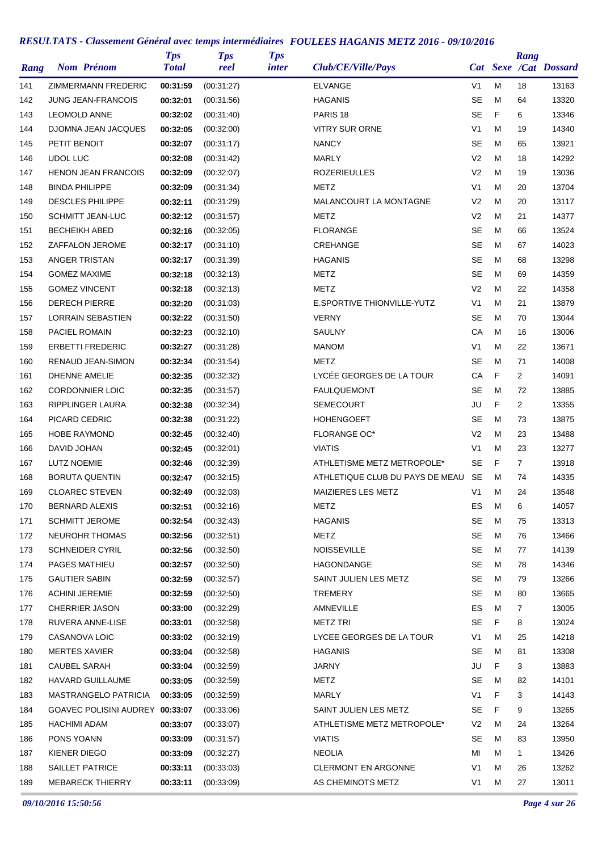| Rang | <b>Nom Prénom</b>               | <b>Tps</b><br><b>Total</b> | <b>Tps</b><br>reel | <b>Tps</b><br>inter | Club/CE/Ville/Pays              |                |   | Rang           | Cat Sexe /Cat Dossard |
|------|---------------------------------|----------------------------|--------------------|---------------------|---------------------------------|----------------|---|----------------|-----------------------|
| 141  | ZIMMERMANN FREDERIC             | 00:31:59                   | (00:31:27)         |                     | <b>ELVANGE</b>                  | V <sub>1</sub> | M | 18             | 13163                 |
| 142  | <b>JUNG JEAN-FRANCOIS</b>       | 00:32:01                   | (00.31.56)         |                     | <b>HAGANIS</b>                  | <b>SE</b>      | M | 64             | 13320                 |
| 143  | <b>LEOMOLD ANNE</b>             | 00:32:02                   | (00.31.40)         |                     | PARIS <sub>18</sub>             | <b>SE</b>      | F | 6              | 13346                 |
| 144  | DJOMNA JEAN JACQUES             | 00:32:05                   | (00:32:00)         |                     | <b>VITRY SUR ORNE</b>           | V <sub>1</sub> | M | 19             | 14340                 |
| 145  | PETIT BENOIT                    | 00:32:07                   | (00:31:17)         |                     | <b>NANCY</b>                    | SE             | M | 65             | 13921                 |
| 146  | <b>UDOL LUC</b>                 | 00:32:08                   | (00:31:42)         |                     | <b>MARLY</b>                    | V <sub>2</sub> | M | 18             | 14292                 |
| 147  | <b>HENON JEAN FRANCOIS</b>      | 00:32:09                   | (00:32:07)         |                     | <b>ROZERIEULLES</b>             | V <sub>2</sub> | M | 19             | 13036                 |
| 148  | <b>BINDA PHILIPPE</b>           | 00:32:09                   | (00:31:34)         |                     | METZ                            | V <sub>1</sub> | M | 20             | 13704                 |
| 149  | <b>DESCLES PHILIPPE</b>         | 00:32:11                   | (00:31:29)         |                     | MALANCOURT LA MONTAGNE          | V <sub>2</sub> | M | 20             | 13117                 |
| 150  | <b>SCHMITT JEAN-LUC</b>         | 00:32:12                   | (00:31:57)         |                     | METZ                            | V <sub>2</sub> | M | 21             | 14377                 |
| 151  | <b>BECHEIKH ABED</b>            | 00:32:16                   | (00:32:05)         |                     | <b>FLORANGE</b>                 | <b>SE</b>      | M | 66             | 13524                 |
| 152  | ZAFFALON JEROME                 | 00:32:17                   | (00.31.10)         |                     | CREHANGE                        | <b>SE</b>      | M | 67             | 14023                 |
| 153  | ANGER TRISTAN                   | 00:32:17                   | (00:31:39)         |                     | <b>HAGANIS</b>                  | <b>SE</b>      | M | 68             | 13298                 |
| 154  | <b>GOMEZ MAXIME</b>             | 00:32:18                   | (00:32:13)         |                     | METZ                            | <b>SE</b>      | M | 69             | 14359                 |
| 155  | <b>GOMEZ VINCENT</b>            | 00:32:18                   | (00:32:13)         |                     | METZ                            | V <sub>2</sub> | M | 22             | 14358                 |
| 156  | <b>DERECH PIERRE</b>            | 00:32:20                   | (00:31:03)         |                     | E.SPORTIVE THIONVILLE-YUTZ      | V <sub>1</sub> | M | 21             | 13879                 |
| 157  | <b>LORRAIN SEBASTIEN</b>        | 00:32:22                   | (00:31:50)         |                     | <b>VERNY</b>                    | <b>SE</b>      | M | 70             | 13044                 |
| 158  | <b>PACIEL ROMAIN</b>            | 00:32:23                   | (00:32:10)         |                     | SAULNY                          | СA             | M | 16             | 13006                 |
| 159  | <b>ERBETTI FREDERIC</b>         | 00:32:27                   | (00:31:28)         |                     | <b>MANOM</b>                    | V <sub>1</sub> | M | 22             | 13671                 |
| 160  | RENAUD JEAN-SIMON               | 00:32:34                   | (00:31:54)         |                     | METZ                            | SE             | M | 71             | 14008                 |
| 161  | <b>DHENNE AMELIE</b>            | 00:32:35                   | (00:32:32)         |                     | LYCÉE GEORGES DE LA TOUR        | CA             | F | 2              | 14091                 |
| 162  | <b>CORDONNIER LOIC</b>          | 00:32:35                   | (00:31:57)         |                     | <b>FAULQUEMONT</b>              | <b>SE</b>      | M | 72             | 13885                 |
| 163  | RIPPLINGER LAURA                | 00:32:38                   | (00:32:34)         |                     | <b>SEMECOURT</b>                | JU             | F | $\overline{2}$ | 13355                 |
| 164  | PICARD CEDRIC                   | 00:32:38                   | (00:31:22)         |                     | <b>HOHENGOEFT</b>               | SE             | M | 73             | 13875                 |
| 165  | <b>HOBE RAYMOND</b>             | 00:32:45                   | (00:32:40)         |                     | <b>FLORANGE OC*</b>             | V <sub>2</sub> | M | 23             | 13488                 |
| 166  | DAVID JOHAN                     | 00:32:45                   | (00:32:01)         |                     | <b>VIATIS</b>                   | V <sub>1</sub> | M | 23             | 13277                 |
| 167  | <b>LUTZ NOEMIE</b>              | 00:32:46                   | (00:32:39)         |                     | ATHLETISME METZ METROPOLE*      | <b>SE</b>      | F | $\overline{7}$ | 13918                 |
| 168  | <b>BORUTA QUENTIN</b>           | 00:32:47                   | (00:32:15)         |                     | ATHLETIQUE CLUB DU PAYS DE MEAU | <b>SE</b>      | M | 74             | 14335                 |
| 169  | <b>CLOAREC STEVEN</b>           | 00:32:49                   | (00:32:03)         |                     | <b>MAIZIERES LES METZ</b>       | V <sub>1</sub> | M | 24             | 13548                 |
| 170  | <b>BERNARD ALEXIS</b>           | 00:32:51                   | (00:32:16)         |                     | <b>METZ</b>                     | ES             | M | 6              | 14057                 |
| 171  | <b>SCHMITT JEROME</b>           | 00:32:54                   | (00:32:43)         |                     | <b>HAGANIS</b>                  | SE             | M | 75             | 13313                 |
| 172  | <b>NEUROHR THOMAS</b>           | 00:32:56                   | (00:32:51)         |                     | <b>METZ</b>                     | SE             | M | 76             | 13466                 |
| 173  | <b>SCHNEIDER CYRIL</b>          | 00:32:56                   | (00:32:50)         |                     | NOISSEVILLE                     | SE             | M | 77             | 14139                 |
| 174  | PAGES MATHIEU                   | 00:32:57                   | (00:32:50)         |                     | HAGONDANGE                      | SE             | M | 78             | 14346                 |
| 175  | <b>GAUTIER SABIN</b>            | 00:32:59                   | (00:32:57)         |                     | SAINT JULIEN LES METZ           | SE             | M | 79             | 13266                 |
| 176  | <b>ACHINI JEREMIE</b>           | 00:32:59                   | (00:32:50)         |                     | TREMERY                         | SE             | M | 80             | 13665                 |
| 177  | <b>CHERRIER JASON</b>           | 00:33:00                   | (00:32:29)         |                     | <b>AMNEVILLE</b>                | ES             | M | $\mathbf{7}$   | 13005                 |
| 178  | RUVERA ANNE-LISE                | 00:33:01                   | (00:32:58)         |                     | <b>METZ TRI</b>                 | SE             | F | 8              | 13024                 |
| 179  | CASANOVA LOIC                   | 00:33:02                   | (00:32:19)         |                     | LYCEE GEORGES DE LA TOUR        | V <sub>1</sub> | M | 25             | 14218                 |
| 180  | <b>MERTES XAVIER</b>            | 00:33:04                   | (00:32:58)         |                     | <b>HAGANIS</b>                  | SE             | M | 81             | 13308                 |
|      | CAUBEL SARAH                    |                            |                    |                     | <b>JARNY</b>                    | JU             | F | 3              |                       |
| 181  | HAVARD GUILLAUME                | 00:33:04                   | (00:32:59)         |                     | <b>METZ</b>                     | <b>SE</b>      | M | 82             | 13883<br>14101        |
| 182  |                                 | 00:33:05                   | (00:32:59)         |                     |                                 | V1             | F | 3              |                       |
| 183  | MASTRANGELO PATRICIA            | 00:33:05                   | (00:32:59)         |                     | MARLY                           |                |   |                | 14143                 |
| 184  | GOAVEC POLISINI AUDREY 00:33:07 |                            | (00:33:06)         |                     | SAINT JULIEN LES METZ           | SE             | F | 9              | 13265                 |
| 185  | <b>HACHIMI ADAM</b>             | 00:33:07                   | (00:33:07)         |                     | ATHLETISME METZ METROPOLE*      | V <sub>2</sub> | M | 24             | 13264                 |
| 186  | PONS YOANN                      | 00:33:09                   | (00:31:57)         |                     | <b>VIATIS</b>                   | SE             | M | 83             | 13950                 |
| 187  | KIENER DIEGO                    | 00:33:09                   | (00:32:27)         |                     | <b>NEOLIA</b>                   | МI             | M | 1              | 13426                 |
| 188  | <b>SAILLET PATRICE</b>          | 00:33:11                   | (00:33:03)         |                     | <b>CLERMONT EN ARGONNE</b>      | V1             | M | 26             | 13262                 |
| 189  | <b>MEBARECK THIERRY</b>         | 00:33:11                   | (00:33:09)         |                     | AS CHEMINOTS METZ               | V <sub>1</sub> | м | 27             | 13011                 |

*09/10/2016 15:50:56 Page 4 sur 26*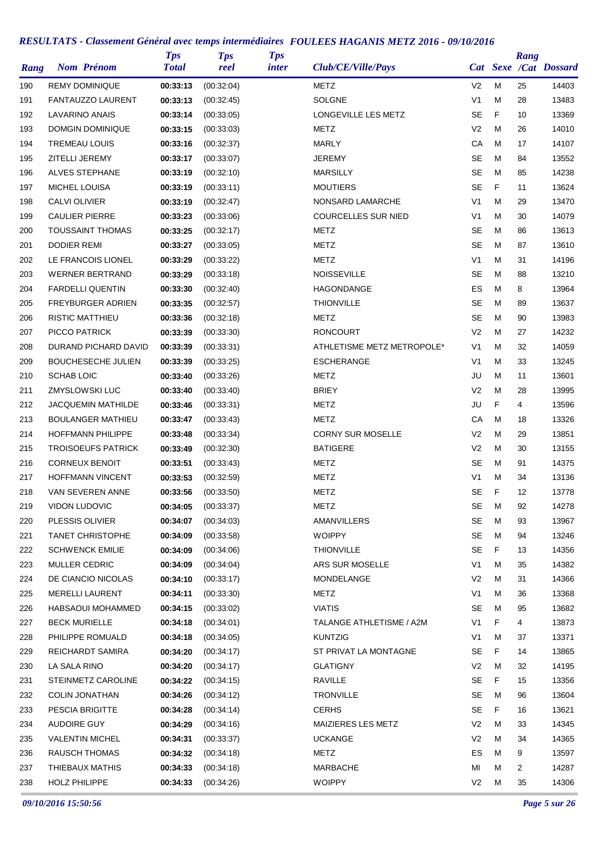| Rang | <b>Nom Prénom</b>         | <b>Tps</b><br><b>Total</b> | <b>Tps</b><br>reel | <b>Tps</b><br><i>inter</i> | Club/CE/Ville/Pays          |                |    | Rang           | Cat Sexe /Cat Dossard |
|------|---------------------------|----------------------------|--------------------|----------------------------|-----------------------------|----------------|----|----------------|-----------------------|
| 190  | <b>REMY DOMINIQUE</b>     | 00:33:13                   | (00:32:04)         |                            | <b>METZ</b>                 | V <sub>2</sub> | M  | 25             | 14403                 |
| 191  | <b>FANTAUZZO LAURENT</b>  | 00:33:13                   | (00:32:45)         |                            | <b>SOLGNE</b>               | V <sub>1</sub> | M  | 28             | 13483                 |
| 192  | LAVARINO ANAIS            | 00:33:14                   | (00:33:05)         |                            | <b>LONGEVILLE LES METZ</b>  | <b>SE</b>      | F  | 10             | 13369                 |
| 193  | DOMGIN DOMINIQUE          | 00:33:15                   | (00:33:03)         |                            | METZ                        | V <sub>2</sub> | M  | 26             | 14010                 |
| 194  | <b>TREMEAU LOUIS</b>      | 00:33:16                   | (00:32:37)         |                            | <b>MARLY</b>                | СA             | M  | 17             | 14107                 |
| 195  | ZITELLI JEREMY            | 00:33:17                   | (00:33:07)         |                            | <b>JEREMY</b>               | SE             | M  | 84             | 13552                 |
| 196  | ALVES STEPHANE            | 00:33:19                   | (00:32:10)         |                            | <b>MARSILLY</b>             | <b>SE</b>      | M  | 85             | 14238                 |
| 197  | <b>MICHEL LOUISA</b>      | 00:33:19                   | (00:33:11)         |                            | <b>MOUTIERS</b>             | <b>SE</b>      | F  | 11             | 13624                 |
| 198  | <b>CALVI OLIVIER</b>      | 00:33:19                   | (00:32:47)         |                            | NONSARD LAMARCHE            | V <sub>1</sub> | M  | 29             | 13470                 |
| 199  | <b>CAULIER PIERRE</b>     | 00:33:23                   | (00:33:06)         |                            | <b>COURCELLES SUR NIED</b>  | V <sub>1</sub> | M  | 30             | 14079                 |
| 200  | <b>TOUSSAINT THOMAS</b>   | 00:33:25                   | (00:32:17)         |                            | METZ                        | SE             | M  | 86             | 13613                 |
| 201  | <b>DODIER REMI</b>        | 00:33:27                   | (00:33:05)         |                            | METZ                        | SE             | M  | 87             | 13610                 |
| 202  | LE FRANCOIS LIONEL        | 00:33:29                   | (00:33:22)         |                            | METZ                        | V1             | M  | 31             | 14196                 |
| 203  | <b>WERNER BERTRAND</b>    | 00:33:29                   | (00:33:18)         |                            | <b>NOISSEVILLE</b>          | <b>SE</b>      | M  | 88             | 13210                 |
| 204  | <b>FARDELLI QUENTIN</b>   | 00:33:30                   | (00:32:40)         |                            | HAGONDANGE                  | ES             | M  | 8              | 13964                 |
| 205  | <b>FREYBURGER ADRIEN</b>  | 00:33:35                   | (00:32:57)         |                            | <b>THIONVILLE</b>           | <b>SE</b>      | M  | 89             | 13637                 |
| 206  | <b>RISTIC MATTHIEU</b>    | 00:33:36                   | (00:32:18)         |                            | METZ                        | <b>SE</b>      | M  | 90             | 13983                 |
| 207  | PICCO PATRICK             | 00:33:39                   | (00:33:30)         |                            | <b>RONCOURT</b>             | V <sub>2</sub> | M  | 27             | 14232                 |
| 208  | DURAND PICHARD DAVID      | 00:33:39                   | (00:33:31)         |                            | ATHLETISME METZ METROPOLE*  | V1             | M  | 32             | 14059                 |
| 209  | <b>BOUCHESECHE JULIEN</b> | 00:33:39                   | (00:33:25)         |                            | <b>ESCHERANGE</b>           | V <sub>1</sub> | M  | 33             | 13245                 |
| 210  | SCHAB LOIC                | 00:33:40                   | (00:33:26)         |                            | <b>METZ</b>                 | JU             | M  | 11             | 13601                 |
| 211  | ZMYSLOWSKI LUC            | 00:33:40                   | (00:33:40)         |                            | <b>BRIEY</b>                | V <sub>2</sub> | M  | 28             | 13995                 |
| 212  | <b>JACQUEMIN MATHILDE</b> | 00:33:46                   | (00:33:31)         |                            | METZ                        | JU             | F  | 4              | 13596                 |
| 213  | <b>BOULANGER MATHIEU</b>  | 00:33:47                   | (00:33:43)         |                            | METZ                        | СA             | M  | 18             | 13326                 |
| 214  | <b>HOFFMANN PHILIPPE</b>  | 00:33:48                   | (00:33:34)         |                            | <b>CORNY SUR MOSELLE</b>    | V2             | M  | 29             | 13851                 |
| 215  | <b>TROISOEUFS PATRICK</b> | 00:33:49                   | (00:32:30)         |                            | <b>BATIGERE</b>             | V <sub>2</sub> | M  | 30             | 13155                 |
| 216  | <b>CORNEUX BENOIT</b>     | 00:33:51                   | (00:33:43)         |                            | METZ                        | <b>SE</b>      | м  | 91             | 14375                 |
| 217  | <b>HOFFMANN VINCENT</b>   | 00:33:53                   | (00:32:59)         |                            | <b>METZ</b>                 | V <sub>1</sub> | M  | 34             | 13136                 |
| 218  | <b>VAN SEVEREN ANNE</b>   | 00:33:56                   | (00:33:50)         |                            | <b>METZ</b>                 | SE             | F  | 12             | 13778                 |
| 219  | VIDON LUDOVIC             | 00:34:05                   | (00:33:37)         |                            | METZ                        | <b>SE</b>      | M  | 92             | 14278                 |
| 220  | PLESSIS OLIVIER           | 00:34:07                   | (00:34:03)         |                            | AMANVILLERS                 | <b>SE</b>      | м  | 93             | 13967                 |
| 221  | <b>TANET CHRISTOPHE</b>   | 00:34:09                   | (00:33:58)         |                            | <b>WOIPPY</b>               | <b>SE</b>      | M  | 94             | 13246                 |
| 222  | <b>SCHWENCK EMILIE</b>    | 00:34:09                   | (00:34:06)         |                            | <b>THIONVILLE</b>           | <b>SE</b>      | F  | 13             | 14356                 |
| 223  | MULLER CEDRIC             | 00:34:09                   | (00:34:04)         |                            | ARS SUR MOSELLE             | V1             | M  | 35             | 14382                 |
| 224  | DE CIANCIO NICOLAS        | 00:34:10                   | (00:33:17)         |                            | MONDELANGE                  | V2             | M  | 31             | 14366                 |
| 225  | <b>MERELLI LAURENT</b>    | 00:34:11                   | (00:33:30)         |                            | <b>METZ</b>                 | V1             | м  | 36             | 13368                 |
| 226  | HABSAOUI MOHAMMED         | 00:34:15                   | (00:33:02)         |                            | <b>VIATIS</b>               | SE             | M  | 95             | 13682                 |
| 227  | <b>BECK MURIELLE</b>      | 00:34:18                   | (00:34:01)         |                            | TALANGE ATHLETISME / A2M    | V1             | F  | $\overline{4}$ | 13873                 |
| 228  | PHILIPPE ROMUALD          | 00:34:18                   | (00:34:05)         |                            | <b>KUNTZIG</b>              | V1             | M  | 37             | 13371                 |
|      | REICHARDT SAMIRA          | 00:34:20                   |                    |                            | ST PRIVAT LA MONTAGNE       | SE             | F. | 14             |                       |
| 229  | LA SALA RINO              |                            | (00:34:17)         |                            | <b>GLATIGNY</b>             | V <sub>2</sub> | M  |                | 13865<br>14195        |
| 230  | STEINMETZ CAROLINE        | 00:34:20                   | (00:34:17)         |                            |                             | SE             | F  | 32             | 13356                 |
| 231  | <b>COLIN JONATHAN</b>     | 00:34:22<br>00:34:26       | (00:34:15)         |                            | RAVILLE<br><b>TRONVILLE</b> | <b>SE</b>      | M  | 15             | 13604                 |
| 232  |                           |                            | (00:34:12)         |                            |                             |                |    | 96             |                       |
| 233  | PESCIA BRIGITTE           | 00:34:28                   | (00:34:14)         |                            | <b>CERHS</b>                | SE             | F  | 16             | 13621                 |
| 234  | <b>AUDOIRE GUY</b>        | 00:34:29                   | (00:34:16)         |                            | MAIZIERES LES METZ          | V2             | M  | 33             | 14345                 |
| 235  | <b>VALENTIN MICHEL</b>    | 00:34:31                   | (00:33:37)         |                            | UCKANGE                     | V2             | M  | 34             | 14365                 |
| 236  | <b>RAUSCH THOMAS</b>      | 00:34:32                   | (00:34:18)         |                            | METZ                        | ES             | M  | 9              | 13597                 |
| 237  | THIEBAUX MATHIS           | 00:34:33                   | (00:34:18)         |                            | MARBACHE                    | ΜI             | M  | 2              | 14287                 |
| 238  | <b>HOLZ PHILIPPE</b>      | 00:34:33                   | (00:34:26)         |                            | <b>WOIPPY</b>               | V <sub>2</sub> | М  | 35             | 14306                 |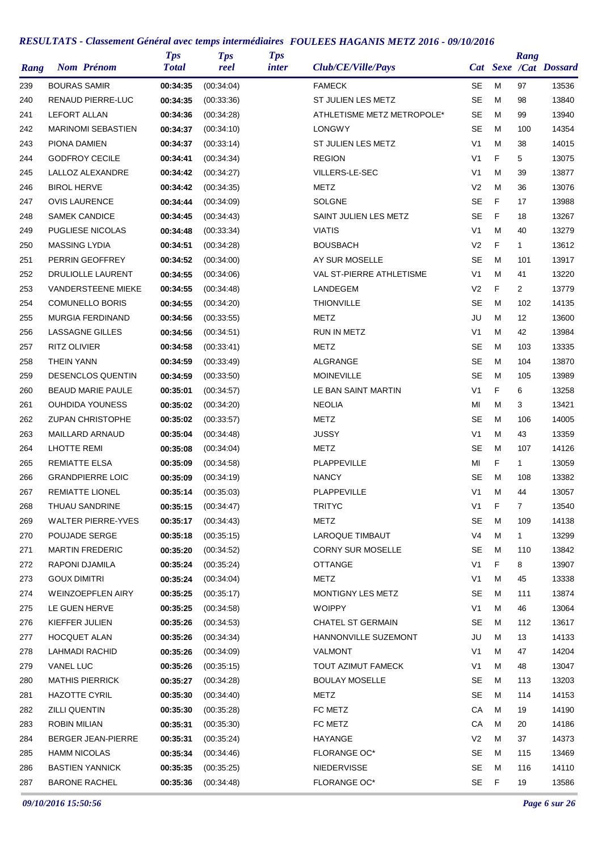| Rang |                      | <b>Nom Prénom</b>         | <b>Tps</b><br><b>Total</b> | <b>Tps</b><br>reel | <b>Tps</b><br><i>inter</i> | Club/CE/Ville/Pays         |                |   | Rang              | Cat Sexe /Cat Dossard |
|------|----------------------|---------------------------|----------------------------|--------------------|----------------------------|----------------------------|----------------|---|-------------------|-----------------------|
| 239  | <b>BOURAS SAMIR</b>  |                           | 00:34:35                   | (00:34:04)         |                            | <b>FAMECK</b>              | SE             | M | 97                | 13536                 |
| 240  |                      | <b>RENAUD PIERRE-LUC</b>  | 00:34:35                   | (00.33.36)         |                            | ST JULIEN LES METZ         | <b>SE</b>      | M | 98                | 13840                 |
| 241  | <b>LEFORT ALLAN</b>  |                           | 00:34:36                   | (00:34:28)         |                            | ATHLETISME METZ METROPOLE* | SE             | м | 99                | 13940                 |
| 242  |                      | <b>MARINOMI SEBASTIEN</b> | 00:34:37                   | (00:34:10)         |                            | <b>LONGWY</b>              | <b>SE</b>      | м | 100               | 14354                 |
| 243  | PIONA DAMIEN         |                           | 00:34:37                   | (00:33:14)         |                            | ST JULIEN LES METZ         | V <sub>1</sub> | M | 38                | 14015                 |
| 244  |                      | <b>GODFROY CECILE</b>     | 00:34:41                   | (00:34:34)         |                            | <b>REGION</b>              | V <sub>1</sub> | F | 5                 | 13075                 |
| 245  |                      | LALLOZ ALEXANDRE          | 00:34:42                   | (00:34:27)         |                            | VILLERS-LE-SEC             | V <sub>1</sub> | M | 39                | 13877                 |
| 246  | <b>BIROL HERVE</b>   |                           | 00:34:42                   | (00:34:35)         |                            | METZ                       | V <sub>2</sub> | M | 36                | 13076                 |
| 247  |                      | <b>OVIS LAURENCE</b>      | 00:34:44                   | (00:34:09)         |                            | <b>SOLGNE</b>              | <b>SE</b>      | F | 17                | 13988                 |
| 248  |                      | <b>SAMEK CANDICE</b>      | 00:34:45                   | (00:34:43)         |                            | SAINT JULIEN LES METZ      | <b>SE</b>      | F | 18                | 13267                 |
| 249  |                      | PUGLIESE NICOLAS          | 00:34:48                   | (00:33:34)         |                            | <b>VIATIS</b>              | V <sub>1</sub> | M | 40                | 13279                 |
| 250  | <b>MASSING LYDIA</b> |                           | 00:34:51                   | (00:34:28)         |                            | <b>BOUSBACH</b>            | V <sub>2</sub> | F | $\mathbf{1}$      | 13612                 |
| 251  |                      | PERRIN GEOFFREY           | 00:34:52                   | (00:34:00)         |                            | AY SUR MOSELLE             | SE             | м | 101               | 13917                 |
| 252  |                      | DRULIOLLE LAURENT         | 00:34:55                   | (00:34:06)         |                            | VAL ST-PIERRE ATHLETISME   | V <sub>1</sub> | M | 41                | 13220                 |
| 253  |                      | <b>VANDERSTEENE MIEKE</b> | 00:34:55                   | (00:34:48)         |                            | LANDEGEM                   | V <sub>2</sub> | F | $\overline{2}$    | 13779                 |
| 254  |                      | <b>COMUNELLO BORIS</b>    | 00:34:55                   | (00:34:20)         |                            | <b>THIONVILLE</b>          | <b>SE</b>      | M | 102               | 14135                 |
| 255  |                      | <b>MURGIA FERDINAND</b>   | 00:34:56                   | (00.33.55)         |                            | METZ                       | JU             | м | $12 \overline{ }$ | 13600                 |
| 256  |                      | LASSAGNE GILLES           | 00:34:56                   | (00:34:51)         |                            | RUN IN METZ                | V <sub>1</sub> | м | 42                | 13984                 |
| 257  | RITZ OLIVIER         |                           | 00:34:58                   | (00:33:41)         |                            | METZ                       | <b>SE</b>      | м | 103               | 13335                 |
| 258  | <b>THEIN YANN</b>    |                           | 00:34:59                   | (00:33:49)         |                            | ALGRANGE                   | <b>SE</b>      | M | 104               | 13870                 |
| 259  |                      | <b>DESENCLOS QUENTIN</b>  | 00:34:59                   | (00:33:50)         |                            | <b>MOINEVILLE</b>          | <b>SE</b>      | M | 105               | 13989                 |
| 260  |                      | <b>BEAUD MARIE PAULE</b>  | 00:35:01                   | (00:34:57)         |                            | LE BAN SAINT MARTIN        | V <sub>1</sub> | F | 6                 | 13258                 |
| 261  |                      | OUHDIDA YOUNESS           | 00:35:02                   | (00:34:20)         |                            | <b>NEOLIA</b>              | MI             | M | 3                 | 13421                 |
| 262  |                      | <b>ZUPAN CHRISTOPHE</b>   | 00:35:02                   | (00:33:57)         |                            | METZ                       | <b>SE</b>      | м | 106               | 14005                 |
| 263  |                      | MAILLARD ARNAUD           | 00:35:04                   | (00:34:48)         |                            | JUSSY                      | V <sub>1</sub> | M | 43                | 13359                 |
| 264  | <b>LHOTTE REMI</b>   |                           | 00:35:08                   | (00:34:04)         |                            | <b>METZ</b>                | <b>SE</b>      | M | 107               | 14126                 |
| 265  |                      | <b>REMIATTE ELSA</b>      | 00:35:09                   | (00:34:58)         |                            | PLAPPEVILLE                | MI             | F | $\mathbf{1}$      | 13059                 |
| 266  |                      | <b>GRANDPIERRE LOIC</b>   | 00:35:09                   | (00:34:19)         |                            | <b>NANCY</b>               | SE             | M | 108               | 13382                 |
| 267  |                      | <b>REMIATTE LIONEL</b>    | 00:35:14                   | (00:35:03)         |                            | PLAPPEVILLE                | V <sub>1</sub> | M | 44                | 13057                 |
| 268  |                      | THUAU SANDRINE            | 00:35:15                   | (00:34:47)         |                            | <b>TRITYC</b>              | V1             | F | $\overline{7}$    | 13540                 |
| 269  |                      | <b>WALTER PIERRE-YVES</b> | 00:35:17                   | (00:34:43)         |                            | <b>METZ</b>                | SE             | M | 109               | 14138                 |
| 270  |                      | POUJADE SERGE             | 00:35:18                   | (00:35:15)         |                            | LAROQUE TIMBAUT            | V4             | M | 1                 | 13299                 |
| 271  |                      | <b>MARTIN FREDERIC</b>    | 00:35:20                   | (00.34.52)         |                            | <b>CORNY SUR MOSELLE</b>   | <b>SE</b>      | м | 110               | 13842                 |
| 272  |                      | RAPONI DJAMILA            | 00:35:24                   | (00:35:24)         |                            | <b>OTTANGE</b>             | V1             | F | 8                 | 13907                 |
| 273  | <b>GOUX DIMITRI</b>  |                           | 00:35:24                   | (00.34.04)         |                            | <b>METZ</b>                | V1             | M | 45                | 13338                 |
| 274  |                      | <b>WEINZOEPFLEN AIRY</b>  | 00:35:25                   | (00:35:17)         |                            | MONTIGNY LES METZ          | <b>SE</b>      | M | 111               | 13874                 |
| 275  |                      | LE GUEN HERVE             | 00:35:25                   | (00:34:58)         |                            | <b>WOIPPY</b>              | V1             | M | 46                | 13064                 |
| 276  |                      | KIEFFER JULIEN            | 00:35:26                   | (00:34:53)         |                            | <b>CHATEL ST GERMAIN</b>   | <b>SE</b>      | м | 112               | 13617                 |
| 277  |                      | <b>HOCQUET ALAN</b>       | 00:35:26                   | (00:34:34)         |                            | HANNONVILLE SUZEMONT       | JU             | м | 13                | 14133                 |
| 278  |                      | LAHMADI RACHID            | 00:35:26                   | (00:34:09)         |                            | VALMONT                    | V1             | м | 47                | 14204                 |
| 279  | VANEL LUC            |                           | 00:35:26                   | (00:35:15)         |                            | TOUT AZIMUT FAMECK         | V1             | M | 48                | 13047                 |
| 280  |                      | <b>MATHIS PIERRICK</b>    | 00:35:27                   | (00:34:28)         |                            | <b>BOULAY MOSELLE</b>      | SE             | м | 113               | 13203                 |
| 281  |                      | <b>HAZOTTE CYRIL</b>      | 00:35:30                   | (00:34:40)         |                            | METZ                       | <b>SE</b>      | М | 114               | 14153                 |
| 282  | <b>ZILLI QUENTIN</b> |                           | 00:35:30                   | (00:35:28)         |                            | FC METZ                    | CA             | м | 19                | 14190                 |
| 283  | <b>ROBIN MILIAN</b>  |                           | 00:35:31                   | (00:35:30)         |                            | FC METZ                    | CA             | M | 20                | 14186                 |
| 284  |                      | BERGER JEAN-PIERRE        | 00:35:31                   | (00:35:24)         |                            | HAYANGE                    | V2             | м | 37                | 14373                 |
| 285  |                      | HAMM NICOLAS              | 00:35:34                   | (00:34:46)         |                            | FLORANGE OC*               | SE             | м | 115               | 13469                 |
| 286  |                      | <b>BASTIEN YANNICK</b>    | 00:35:35                   | (00:35:25)         |                            | NIEDERVISSE                | <b>SE</b>      | M | 116               | 14110                 |
| 287  |                      | <b>BARONE RACHEL</b>      | 00:35:36                   | (00:34:48)         |                            | FLORANGE OC*               | SE             | F | 19                | 13586                 |

*09/10/2016 15:50:56 Page 6 sur 26*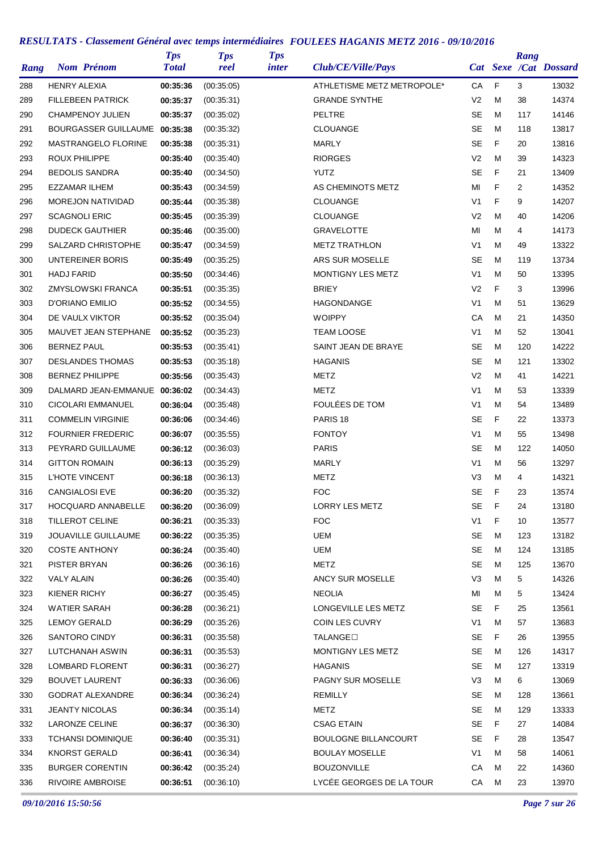| Rang | <b>Nom Prénom</b>             | <b>Tps</b><br><b>Total</b> | <b>Tps</b><br>reel | <b>Tps</b><br><i>inter</i> | Club/CE/Ville/Pays          |                |   | Rang           | Cat Sexe /Cat Dossard |
|------|-------------------------------|----------------------------|--------------------|----------------------------|-----------------------------|----------------|---|----------------|-----------------------|
| 288  | <b>HENRY ALEXIA</b>           | 00:35:36                   | (00:35:05)         |                            | ATHLETISME METZ METROPOLE*  | СA             | F | 3              | 13032                 |
| 289  | <b>FILLEBEEN PATRICK</b>      | 00:35:37                   | (00:35:31)         |                            | <b>GRANDE SYNTHE</b>        | V <sub>2</sub> | м | 38             | 14374                 |
| 290  | <b>CHAMPENOY JULIEN</b>       | 00:35:37                   | (00.35.02)         |                            | PELTRE                      | <b>SE</b>      | м | 117            | 14146                 |
| 291  | <b>BOURGASSER GUILLAUME</b>   | 00:35:38                   | (00:35:32)         |                            | <b>CLOUANGE</b>             | <b>SE</b>      | м | 118            | 13817                 |
| 292  | MASTRANGELO FLORINE           | 00:35:38                   | (00:35:31)         |                            | <b>MARLY</b>                | <b>SE</b>      | F | 20             | 13816                 |
| 293  | ROUX PHILIPPE                 | 00:35:40                   | (00:35:40)         |                            | <b>RIORGES</b>              | V <sub>2</sub> | м | 39             | 14323                 |
| 294  | <b>BEDOLIS SANDRA</b>         | 00:35:40                   | (00.34.50)         |                            | YUTZ                        | SE             | F | 21             | 13409                 |
| 295  | <b>EZZAMAR ILHEM</b>          | 00:35:43                   | (00:34:59)         |                            | AS CHEMINOTS METZ           | MI             | F | $\overline{2}$ | 14352                 |
| 296  | <b>MOREJON NATIVIDAD</b>      | 00:35:44                   | (00:35:38)         |                            | <b>CLOUANGE</b>             | V <sub>1</sub> | F | 9              | 14207                 |
| 297  | <b>SCAGNOLI ERIC</b>          | 00:35:45                   | (00:35:39)         |                            | <b>CLOUANGE</b>             | V <sub>2</sub> | M | 40             | 14206                 |
| 298  | <b>DUDECK GAUTHIER</b>        | 00:35:46                   | (00:35:00)         |                            | <b>GRAVELOTTE</b>           | MI             | м | 4              | 14173                 |
| 299  | SALZARD CHRISTOPHE            | 00:35:47                   | (00:34:59)         |                            | <b>METZ TRATHLON</b>        | V <sub>1</sub> | М | 49             | 13322                 |
| 300  | UNTEREINER BORIS              | 00:35:49                   | (00:35:25)         |                            | ARS SUR MOSELLE             | SE.            | м | 119            | 13734                 |
| 301  | <b>HADJ FARID</b>             | 00:35:50                   | (00:34:46)         |                            | <b>MONTIGNY LES METZ</b>    | V <sub>1</sub> | M | 50             | 13395                 |
| 302  | <b>ZMYSLOWSKI FRANCA</b>      | 00:35:51                   | (00:35:35)         |                            | <b>BRIEY</b>                | V <sub>2</sub> | F | 3              | 13996                 |
| 303  | <b>D'ORIANO EMILIO</b>        | 00:35:52                   | (00:34:55)         |                            | <b>HAGONDANGE</b>           | V <sub>1</sub> | м | 51             | 13629                 |
| 304  | DE VAULX VIKTOR               | 00:35:52                   | (00:35:04)         |                            | <b>WOIPPY</b>               | CA             | м | 21             | 14350                 |
| 305  | MAUVET JEAN STEPHANE          | 00:35:52                   | (00:35:23)         |                            | <b>TEAM LOOSE</b>           | V <sub>1</sub> | м | 52             | 13041                 |
| 306  | <b>BERNEZ PAUL</b>            | 00:35:53                   | (00:35:41)         |                            | SAINT JEAN DE BRAYE         | <b>SE</b>      | м | 120            | 14222                 |
| 307  | <b>DESLANDES THOMAS</b>       | 00:35:53                   | (00:35:18)         |                            | <b>HAGANIS</b>              | SE             | м | 121            | 13302                 |
| 308  | <b>BERNEZ PHILIPPE</b>        | 00:35:56                   | (00:35:43)         |                            | METZ                        | V <sub>2</sub> | M | 41             | 14221                 |
| 309  | DALMARD JEAN-EMMANUE 00:36:02 |                            | (00:34:43)         |                            | METZ                        | V <sub>1</sub> | м | 53             | 13339                 |
| 310  | <b>CICOLARI EMMANUEL</b>      | 00:36:04                   | (00:35:48)         |                            | FOULÉES DE TOM              | V <sub>1</sub> | м | 54             | 13489                 |
| 311  | <b>COMMELIN VIRGINIE</b>      | 00:36:06                   | (00:34:46)         |                            | PARIS <sub>18</sub>         | SE             | F | 22             | 13373                 |
| 312  | <b>FOURNIER FREDERIC</b>      | 00:36:07                   | (00:35:55)         |                            | <b>FONTOY</b>               | V <sub>1</sub> | м | 55             | 13498                 |
| 313  | PEYRARD GUILLAUME             | 00:36:12                   | (00:36:03)         |                            | <b>PARIS</b>                | <b>SE</b>      | м | 122            | 14050                 |
| 314  | <b>GITTON ROMAIN</b>          | 00:36:13                   | (00:35:29)         |                            | <b>MARLY</b>                | V <sub>1</sub> | M | 56             | 13297                 |
| 315  | <b>L'HOTE VINCENT</b>         | 00:36:18                   | (00:36:13)         |                            | METZ                        | V3             | м | 4              | 14321                 |
| 316  | <b>CANGIALOSI EVE</b>         | 00:36:20                   | (00:35:32)         |                            | <b>FOC</b>                  | <b>SE</b>      | F | 23             | 13574                 |
| 317  | HOCQUARD ANNABELLE            | 00:36:20                   | (00:36:09)         |                            | <b>LORRY LES METZ</b>       | <b>SE</b>      | F | 24             | 13180                 |
| 318  | <b>TILLEROT CELINE</b>        | 00:36:21                   | (00:35:33)         |                            | <b>FOC</b>                  | V <sub>1</sub> | F | 10             | 13577                 |
| 319  | JOUAVILLE GUILLAUME           | 00:36:22                   | (00:35:35)         |                            | <b>UEM</b>                  | SE             | м | 123            | 13182                 |
| 320  | <b>COSTE ANTHONY</b>          | 00:36:24                   | (00:35:40)         |                            | <b>UEM</b>                  | SE             | м | 124            | 13185                 |
| 321  | PISTER BRYAN                  | 00:36:26                   | (00.36.16)         |                            | <b>METZ</b>                 | SE             | М | 125            | 13670                 |
| 322  | <b>VALY ALAIN</b>             | 00:36:26                   | (00:35:40)         |                            | ANCY SUR MOSELLE            | V3             | м | 5              | 14326                 |
| 323  | <b>KIENER RICHY</b>           | 00:36:27                   | (00:35:45)         |                            | <b>NEOLIA</b>               | MI             | M | 5              | 13424                 |
| 324  | <b>WATIER SARAH</b>           | 00:36:28                   | (00:36:21)         |                            | LONGEVILLE LES METZ         | SE             | F | 25             | 13561                 |
| 325  | <b>LEMOY GERALD</b>           | 00:36:29                   | (00:35:26)         |                            | COIN LES CUVRY              | V1             | м | 57             | 13683                 |
| 326  | SANTORO CINDY                 | 00:36:31                   | (00:35:58)         |                            | TALANGE.                    | SE             | F | 26             | 13955                 |
| 327  | LUTCHANAH ASWIN               | 00:36:31                   | (00:35:53)         |                            | MONTIGNY LES METZ           | SE             | м | 126            | 14317                 |
| 328  | LOMBARD FLORENT               | 00:36:31                   | (00:36:27)         |                            | <b>HAGANIS</b>              | SE             | м | 127            | 13319                 |
| 329  | <b>BOUVET LAURENT</b>         | 00:36:33                   | (00:36:06)         |                            | PAGNY SUR MOSELLE           | V3             | м | 6              | 13069                 |
| 330  | <b>GODRAT ALEXANDRE</b>       | 00:36:34                   | (00:36:24)         |                            | <b>REMILLY</b>              | SE             | M | 128            | 13661                 |
| 331  | <b>JEANTY NICOLAS</b>         | 00:36:34                   | (00:35:14)         |                            | METZ                        | SE             | М | 129            | 13333                 |
| 332  | <b>LARONZE CELINE</b>         | 00:36:37                   | (00.36.30)         |                            | <b>CSAG ETAIN</b>           | SE             | F | 27             | 14084                 |
| 333  | <b>TCHANSI DOMINIQUE</b>      | 00:36:40                   | (00:35:31)         |                            | <b>BOULOGNE BILLANCOURT</b> | SE             | F | 28             | 13547                 |
| 334  | <b>KNORST GERALD</b>          | 00:36:41                   | (00:36:34)         |                            | <b>BOULAY MOSELLE</b>       | V1             | м | 58             | 14061                 |
| 335  | <b>BURGER CORENTIN</b>        | 00:36:42                   | (00:35:24)         |                            | <b>BOUZONVILLE</b>          | CA             | м | 22             | 14360                 |
| 336  | RIVOIRE AMBROISE              | 00:36:51                   | (00:36:10)         |                            | LYCÉE GEORGES DE LA TOUR    | СA             | м | 23             | 13970                 |

*09/10/2016 15:50:56 Page 7 sur 26*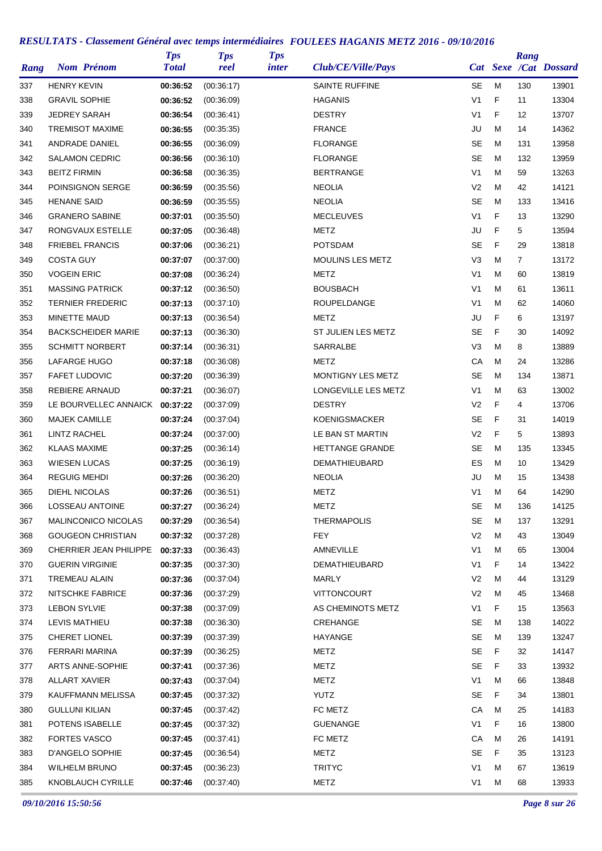| Rang | <b>Nom Prénom</b>         | <b>Tps</b><br><b>Total</b> | <b>Tps</b><br>reel | <b>Tps</b><br><i>inter</i> | Club/CE/Ville/Pays     |                |   | Rang           | Cat Sexe /Cat Dossard |
|------|---------------------------|----------------------------|--------------------|----------------------------|------------------------|----------------|---|----------------|-----------------------|
| 337  | <b>HENRY KEVIN</b>        | 00:36:52                   | (00:36:17)         |                            | <b>SAINTE RUFFINE</b>  | SE             | M | 130            | 13901                 |
| 338  | <b>GRAVIL SOPHIE</b>      | 00:36:52                   | (00:36:09)         |                            | <b>HAGANIS</b>         | V <sub>1</sub> | F | 11             | 13304                 |
| 339  | <b>JEDREY SARAH</b>       | 00:36:54                   | (00:36:41)         |                            | <b>DESTRY</b>          | V <sub>1</sub> | F | 12             | 13707                 |
| 340  | <b>TREMISOT MAXIME</b>    | 00:36:55                   | (00:35:35)         |                            | <b>FRANCE</b>          | JU             | M | 14             | 14362                 |
| 341  | ANDRADE DANIEL            | 00:36:55                   | (00:36:09)         |                            | <b>FLORANGE</b>        | SE             | M | 131            | 13958                 |
| 342  | <b>SALAMON CEDRIC</b>     | 00:36:56                   | (00:36:10)         |                            | <b>FLORANGE</b>        | <b>SE</b>      | M | 132            | 13959                 |
| 343  | <b>BEITZ FIRMIN</b>       | 00:36:58                   | (00.36.35)         |                            | <b>BERTRANGE</b>       | V <sub>1</sub> | M | 59             | 13263                 |
| 344  | POINSIGNON SERGE          | 00:36:59                   | (00:35:56)         |                            | <b>NEOLIA</b>          | V <sub>2</sub> | M | 42             | 14121                 |
| 345  | <b>HENANE SAID</b>        | 00:36:59                   | (00:35:55)         |                            | <b>NEOLIA</b>          | <b>SE</b>      | M | 133            | 13416                 |
| 346  | <b>GRANERO SABINE</b>     | 00:37:01                   | (00:35:50)         |                            | <b>MECLEUVES</b>       | V1             | F | 13             | 13290                 |
| 347  | RONGVAUX ESTELLE          | 00:37:05                   | (00:36:48)         |                            | <b>METZ</b>            | JU             | F | 5              | 13594                 |
| 348  | <b>FRIEBEL FRANCIS</b>    | 00:37:06                   | (00:36:21)         |                            | <b>POTSDAM</b>         | <b>SE</b>      | F | 29             | 13818                 |
| 349  | <b>COSTA GUY</b>          | 00:37:07                   | (00:37:00)         |                            | MOULINS LES METZ       | V3             | M | $\overline{7}$ | 13172                 |
| 350  | <b>VOGEIN ERIC</b>        | 00:37:08                   | (00:36:24)         |                            | METZ                   | V <sub>1</sub> | M | 60             | 13819                 |
| 351  | <b>MASSING PATRICK</b>    | 00:37:12                   | (00:36:50)         |                            | <b>BOUSBACH</b>        | V1             | M | 61             | 13611                 |
| 352  | <b>TERNIER FREDERIC</b>   | 00:37:13                   | (00:37:10)         |                            | ROUPELDANGE            | V1             | M | 62             | 14060                 |
| 353  | MINETTE MAUD              | 00:37:13                   | (00:36:54)         |                            | <b>METZ</b>            | JU             | F | 6              | 13197                 |
| 354  | <b>BACKSCHEIDER MARIE</b> | 00:37:13                   | (00:36:30)         |                            | ST JULIEN LES METZ     | <b>SE</b>      | F | 30             | 14092                 |
| 355  | <b>SCHMITT NORBERT</b>    | 00:37:14                   | (00:36:31)         |                            | SARRALBE               | V3             | M | 8              | 13889                 |
| 356  | LAFARGE HUGO              | 00:37:18                   | (00:36:08)         |                            | METZ                   | СA             | M | 24             | 13286                 |
| 357  | <b>FAFET LUDOVIC</b>      | 00:37:20                   | (00:36:39)         |                            | MONTIGNY LES METZ      | SE             | M | 134            | 13871                 |
| 358  | <b>REBIERE ARNAUD</b>     | 00:37:21                   | (00:36:07)         |                            | LONGEVILLE LES METZ    | V1             | M | 63             | 13002                 |
| 359  | LE BOURVELLEC ANNAICK     | 00:37:22                   | (00:37:09)         |                            | <b>DESTRY</b>          | V <sub>2</sub> | F | 4              | 13706                 |
| 360  | <b>MAJEK CAMILLE</b>      | 00:37:24                   | (00:37:04)         |                            | <b>KOENIGSMACKER</b>   | <b>SE</b>      | F | 31             | 14019                 |
| 361  | LINTZ RACHEL              | 00:37:24                   | (00:37:00)         |                            | LE BAN ST MARTIN       | V <sub>2</sub> | F | 5              | 13893                 |
| 362  | <b>KLAAS MAXIME</b>       | 00:37:25                   | (00:36:14)         |                            | <b>HETTANGE GRANDE</b> | SE             | M | 135            | 13345                 |
| 363  | <b>WIESEN LUCAS</b>       | 00:37:25                   | (00:36:19)         |                            | <b>DEMATHIEUBARD</b>   | ES             | M | 10             | 13429                 |
| 364  | <b>REGUIG MEHDI</b>       | 00:37:26                   | (00:36:20)         |                            | <b>NEOLIA</b>          | JU             | M | 15             | 13438                 |
| 365  | <b>DIEHL NICOLAS</b>      | 00:37:26                   | (00:36:51)         |                            | <b>METZ</b>            | V <sub>1</sub> | M | 64             | 14290                 |
| 366  | LOSSEAU ANTOINE           | 00:37:27                   | (00:36:24)         |                            | <b>METZ</b>            | <b>SE</b>      | M | 136            | 14125                 |
| 367  | MALINCONICO NICOLAS       | 00:37:29                   | (00:36:54)         |                            | <b>THERMAPOLIS</b>     | SE             | M | 137            | 13291                 |
| 368  | <b>GOUGEON CHRISTIAN</b>  | 00:37:32                   | (00:37:28)         |                            | <b>FEY</b>             | V <sub>2</sub> | M | 43             | 13049                 |
| 369  | CHERRIER JEAN PHILIPPE    | 00:37:33                   | (00.36.43)         |                            | AMNEVILLE              | V <sub>1</sub> | M | 65             | 13004                 |
| 370  | <b>GUERIN VIRGINIE</b>    | 00:37:35                   | (00:37:30)         |                            | DEMATHIEUBARD          | V1             | F | 14             | 13422                 |
|      | TREMEAU ALAIN             |                            |                    |                            | <b>MARLY</b>           | V <sub>2</sub> | M | 44             | 13129                 |
| 371  | NITSCHKE FABRICE          | 00:37:36                   | (00:37:04)         |                            | <b>VITTONCOURT</b>     | V <sub>2</sub> | M | 45             |                       |
| 372  |                           | 00:37:36                   | (00:37:29)         |                            |                        | V <sub>1</sub> | F |                | 13468                 |
| 373  | <b>LEBON SYLVIE</b>       | 00:37:38                   | (00.37.09)         |                            | AS CHEMINOTS METZ      |                |   | 15             | 13563                 |
| 374  | LEVIS MATHIEU             | 00:37:38                   | (00:36:30)         |                            | CREHANGE               | <b>SE</b>      | M | 138            | 14022                 |
| 375  | CHERET LIONEL             | 00:37:39                   | (00:37:39)         |                            | HAYANGE                | <b>SE</b>      | М | 139            | 13247                 |
| 376  | FERRARI MARINA            | 00:37:39                   | (00:36:25)         |                            | METZ                   | SE             | F | 32             | 14147                 |
| 377  | ARTS ANNE-SOPHIE          | 00:37:41                   | (00:37:36)         |                            | <b>METZ</b>            | <b>SE</b>      | F | 33             | 13932                 |
| 378  | <b>ALLART XAVIER</b>      | 00:37:43                   | (00:37:04)         |                            | <b>METZ</b>            | V <sub>1</sub> | M | 66             | 13848                 |
| 379  | KAUFFMANN MELISSA         | 00:37:45                   | (00:37:32)         |                            | <b>YUTZ</b>            | <b>SE</b>      | F | 34             | 13801                 |
| 380  | <b>GULLUNI KILIAN</b>     | 00:37:45                   | (00:37:42)         |                            | FC METZ                | CA             | М | 25             | 14183                 |
| 381  | POTENS ISABELLE           | 00:37:45                   | (00:37:32)         |                            | <b>GUENANGE</b>        | V1             | F | 16             | 13800                 |
| 382  | <b>FORTES VASCO</b>       | 00:37:45                   | (00:37:41)         |                            | FC METZ                | CA             | M | 26             | 14191                 |
| 383  | D'ANGELO SOPHIE           | 00:37:45                   | (00:36:54)         |                            | <b>METZ</b>            | <b>SE</b>      | F | 35             | 13123                 |
| 384  | <b>WILHELM BRUNO</b>      | 00:37:45                   | (00:36:23)         |                            | TRITYC                 | V <sub>1</sub> | M | 67             | 13619                 |
| 385  | KNOBLAUCH CYRILLE         | 00:37:46                   | (00:37:40)         |                            | METZ                   | V <sub>1</sub> | M | 68             | 13933                 |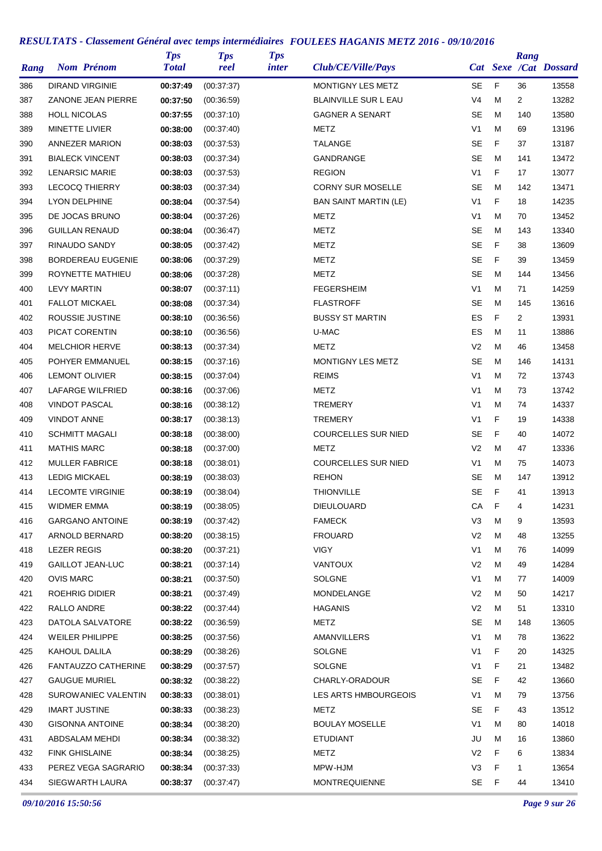| Rang | <b>Nom Prénom</b>        | <b>Tps</b><br><b>Total</b> | <b>Tps</b><br>reel | <b>Tps</b><br><i>inter</i> | Club/CE/Ville/Pays           |                |   | Rang           | Cat Sexe /Cat Dossard |
|------|--------------------------|----------------------------|--------------------|----------------------------|------------------------------|----------------|---|----------------|-----------------------|
| 386  | <b>DIRAND VIRGINIE</b>   | 00:37:49                   | (00:37:37)         |                            | MONTIGNY LES METZ            | SE             | F | 36             | 13558                 |
| 387  | ZANONE JEAN PIERRE       | 00:37:50                   | (00:36:59)         |                            | <b>BLAINVILLE SUR L EAU</b>  | V <sub>4</sub> | M | $\overline{2}$ | 13282                 |
| 388  | <b>HOLL NICOLAS</b>      | 00:37:55                   | (00:37:10)         |                            | <b>GAGNER A SENART</b>       | <b>SE</b>      | м | 140            | 13580                 |
| 389  | <b>MINETTE LIVIER</b>    | 00:38:00                   | (00:37:40)         |                            | METZ                         | V <sub>1</sub> | M | 69             | 13196                 |
| 390  | <b>ANNEZER MARION</b>    | 00:38:03                   | (00:37:53)         |                            | <b>TALANGE</b>               | <b>SE</b>      | F | 37             | 13187                 |
| 391  | <b>BIALECK VINCENT</b>   | 00:38:03                   | (00:37:34)         |                            | GANDRANGE                    | <b>SE</b>      | M | 141            | 13472                 |
| 392  | <b>LENARSIC MARIE</b>    | 00:38:03                   | (00:37:53)         |                            | <b>REGION</b>                | V <sub>1</sub> | F | 17             | 13077                 |
| 393  | <b>LECOCQ THIERRY</b>    | 00:38:03                   | (00:37:34)         |                            | <b>CORNY SUR MOSELLE</b>     | SE             | M | 142            | 13471                 |
| 394  | <b>LYON DELPHINE</b>     | 00:38:04                   | (00:37:54)         |                            | <b>BAN SAINT MARTIN (LE)</b> | V <sub>1</sub> | F | 18             | 14235                 |
| 395  | DE JOCAS BRUNO           | 00:38:04                   | (00:37:26)         |                            | METZ                         | V <sub>1</sub> | M | 70             | 13452                 |
| 396  | <b>GUILLAN RENAUD</b>    | 00:38:04                   | (00:36:47)         |                            | METZ                         | <b>SE</b>      | M | 143            | 13340                 |
| 397  | <b>RINAUDO SANDY</b>     | 00:38:05                   | (00:37:42)         |                            | METZ                         | <b>SE</b>      | F | 38             | 13609                 |
| 398  | <b>BORDEREAU EUGENIE</b> | 00:38:06                   | (00:37:29)         |                            | METZ                         | SE             | F | 39             | 13459                 |
| 399  | ROYNETTE MATHIEU         | 00:38:06                   | (00:37:28)         |                            | METZ                         | <b>SE</b>      | M | 144            | 13456                 |
| 400  | <b>LEVY MARTIN</b>       | 00:38:07                   | (00:37:11)         |                            | <b>FEGERSHEIM</b>            | V <sub>1</sub> | M | 71             | 14259                 |
| 401  | <b>FALLOT MICKAEL</b>    | 00:38:08                   | (00:37:34)         |                            | <b>FLASTROFF</b>             | <b>SE</b>      | M | 145            | 13616                 |
| 402  | ROUSSIE JUSTINE          | 00:38:10                   | (00:36:56)         |                            | <b>BUSSY ST MARTIN</b>       | ES             | F | $\overline{2}$ | 13931                 |
| 403  | PICAT CORENTIN           | 00:38:10                   | (00:36:56)         |                            | U-MAC                        | ES             | M | 11             | 13886                 |
| 404  | <b>MELCHIOR HERVE</b>    | 00:38:13                   | (00:37:34)         |                            | METZ                         | V <sub>2</sub> | м | 46             | 13458                 |
| 405  | POHYER EMMANUEL          | 00:38:15                   | (00:37:16)         |                            | MONTIGNY LES METZ            | <b>SE</b>      | M | 146            | 14131                 |
| 406  | <b>LEMONT OLIVIER</b>    | 00:38:15                   | (00:37:04)         |                            | <b>REIMS</b>                 | V <sub>1</sub> | M | 72             | 13743                 |
| 407  | LAFARGE WILFRIED         | 00:38:16                   | (00:37:06)         |                            | <b>METZ</b>                  | V <sub>1</sub> | M | 73             | 13742                 |
| 408  | <b>VINDOT PASCAL</b>     | 00:38:16                   | (00:38:12)         |                            | <b>TREMERY</b>               | V <sub>1</sub> | M | 74             | 14337                 |
| 409  | <b>VINDOT ANNE</b>       | 00:38:17                   | (00:38:13)         |                            | <b>TREMERY</b>               | V <sub>1</sub> | F | 19             | 14338                 |
| 410  | <b>SCHMITT MAGALI</b>    | 00:38:18                   | (00:38:00)         |                            | <b>COURCELLES SUR NIED</b>   | <b>SE</b>      | F | 40             | 14072                 |
| 411  | <b>MATHIS MARC</b>       | 00:38:18                   | (00:37:00)         |                            | METZ                         | V <sub>2</sub> | M | 47             | 13336                 |
| 412  | <b>MULLER FABRICE</b>    | 00:38:18                   | (00:38:01)         |                            | <b>COURCELLES SUR NIED</b>   | V <sub>1</sub> | M | 75             | 14073                 |
| 413  | <b>LEDIG MICKAEL</b>     | 00:38:19                   | (00:38:03)         |                            | <b>REHON</b>                 | SE             | M | 147            | 13912                 |
| 414  | <b>LECOMTE VIRGINIE</b>  | 00:38:19                   | (00:38:04)         |                            | <b>THIONVILLE</b>            | <b>SE</b>      | F | 41             | 13913                 |
| 415  | <b>WIDMER EMMA</b>       | 00:38:19                   | (00:38:05)         |                            | <b>DIEULOUARD</b>            | CA             | F | 4              | 14231                 |
| 416  | <b>GARGANO ANTOINE</b>   | 00:38:19                   | (00:37:42)         |                            | <b>FAMECK</b>                | V <sub>3</sub> | M | 9              | 13593                 |
| 417  | ARNOLD BERNARD           | 00:38:20                   | (00:38:15)         |                            | <b>FROUARD</b>               | V <sub>2</sub> | M | 48             | 13255                 |
| 418  | <b>LEZER REGIS</b>       | 00:38:20                   | (00:37:21)         |                            | <b>VIGY</b>                  | V1             | M | 76             | 14099                 |
| 419  | <b>GAILLOT JEAN-LUC</b>  | 00:38:21                   | (00.37:14)         |                            | <b>VANTOUX</b>               | V <sub>2</sub> | M | 49             | 14284                 |
| 420  | <b>OVIS MARC</b>         | 00:38:21                   | (00:37:50)         |                            | SOLGNE                       | V1             | M | 77             | 14009                 |
| 421  | <b>ROEHRIG DIDIER</b>    | 00:38:21                   | (00:37:49)         |                            | MONDELANGE                   | V2             | м | 50             | 14217                 |
| 422  | RALLO ANDRE              | 00:38:22                   | (00:37:44)         |                            | <b>HAGANIS</b>               | V <sub>2</sub> | м | 51             | 13310                 |
| 423  | DATOLA SALVATORE         | 00:38:22                   | (00:36:59)         |                            | METZ                         | SE             | M | 148            | 13605                 |
| 424  | <b>WEILER PHILIPPE</b>   | 00:38:25                   | (00:37:56)         |                            | AMANVILLERS                  | V1             | M | 78             | 13622                 |
| 425  | KAHOUL DALILA            | 00:38:29                   | (00:38:26)         |                            | <b>SOLGNE</b>                | V <sub>1</sub> | F | 20             | 14325                 |
| 426  | FANTAUZZO CATHERINE      | 00:38:29                   | (00:37:57)         |                            | <b>SOLGNE</b>                | V <sub>1</sub> | F | 21             | 13482                 |
| 427  | <b>GAUGUE MURIEL</b>     | 00:38:32                   | (00:38:22)         |                            | CHARLY-ORADOUR               | SE             | F | 42             | 13660                 |
| 428  | SUROWANIEC VALENTIN      | 00:38:33                   | (00:38:01)         |                            | LES ARTS HMBOURGEOIS         | V1             | M | 79             | 13756                 |
| 429  | <b>IMART JUSTINE</b>     | 00:38:33                   | (00:38:23)         |                            | METZ                         | SE             | F | 43             | 13512                 |
| 430  | <b>GISONNA ANTOINE</b>   | 00:38:34                   | (00:38:20)         |                            | <b>BOULAY MOSELLE</b>        | V1             | M | 80             | 14018                 |
| 431  | ABDSALAM MEHDI           | 00:38:34                   | (00:38:32)         |                            | <b>ETUDIANT</b>              | JU             | M | 16             | 13860                 |
| 432  | <b>FINK GHISLAINE</b>    | 00:38:34                   | (00:38:25)         |                            | METZ                         | V <sub>2</sub> | F | 6              | 13834                 |
| 433  | PEREZ VEGA SAGRARIO      | 00:38:34                   | (00:37:33)         |                            | MPW-HJM                      | V3             | F | $\mathbf{1}$   | 13654                 |
| 434  | SIEGWARTH LAURA          | 00:38:37                   | (00:37:47)         |                            | <b>MONTREQUIENNE</b>         | SE             | F | 44             | 13410                 |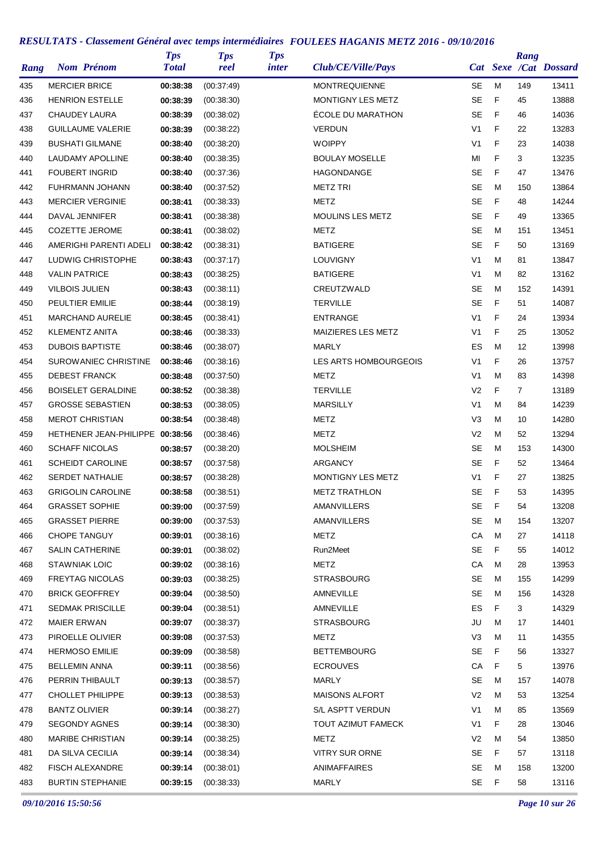| Rang | <b>Nom Prénom</b>               | <b>Tps</b><br><b>Total</b> | <b>Tps</b><br>reel | <b>Tps</b><br><i>inter</i> | Club/CE/Ville/Pays      |                |   | Rang           | Cat Sexe /Cat Dossard |
|------|---------------------------------|----------------------------|--------------------|----------------------------|-------------------------|----------------|---|----------------|-----------------------|
| 435  | <b>MERCIER BRICE</b>            | 00:38:38                   | (00:37:49)         |                            | <b>MONTREQUIENNE</b>    | SE             | M | 149            | 13411                 |
| 436  | <b>HENRION ESTELLE</b>          | 00:38:39                   | (00:38:30)         |                            | MONTIGNY LES METZ       | <b>SE</b>      | F | 45             | 13888                 |
| 437  | CHAUDEY LAURA                   | 00:38:39                   | (00:38:02)         |                            | ÉCOLE DU MARATHON       | <b>SE</b>      | F | 46             | 14036                 |
| 438  | <b>GUILLAUME VALERIE</b>        | 00:38:39                   | (00:38:22)         |                            | <b>VERDUN</b>           | V <sub>1</sub> | F | 22             | 13283                 |
| 439  | <b>BUSHATI GILMANE</b>          | 00:38:40                   | (00:38:20)         |                            | <b>WOIPPY</b>           | V <sub>1</sub> | F | 23             | 14038                 |
| 440  | <b>LAUDAMY APOLLINE</b>         | 00:38:40                   | (00:38:35)         |                            | <b>BOULAY MOSELLE</b>   | MI             | F | 3              | 13235                 |
| 441  | <b>FOUBERT INGRID</b>           | 00:38:40                   | (00:37:36)         |                            | <b>HAGONDANGE</b>       | SE             | F | 47             | 13476                 |
| 442  | FUHRMANN JOHANN                 | 00:38:40                   | (00:37:52)         |                            | <b>METZ TRI</b>         | <b>SE</b>      | M | 150            | 13864                 |
| 443  | <b>MERCIER VERGINIE</b>         | 00:38:41                   | (00:38:33)         |                            | METZ                    | <b>SE</b>      | F | 48             | 14244                 |
| 444  | DAVAL JENNIFER                  | 00:38:41                   | (00:38:38)         |                            | <b>MOULINS LES METZ</b> | <b>SE</b>      | F | 49             | 13365                 |
| 445  | <b>COZETTE JEROME</b>           | 00:38:41                   | (00:38:02)         |                            | <b>METZ</b>             | <b>SE</b>      | M | 151            | 13451                 |
| 446  | AMERIGHI PARENTI ADELI          | 00:38:42                   | (00:38:31)         |                            | <b>BATIGERE</b>         | <b>SE</b>      | F | 50             | 13169                 |
| 447  | LUDWIG CHRISTOPHE               | 00:38:43                   | (00:37:17)         |                            | <b>LOUVIGNY</b>         | V <sub>1</sub> | M | 81             | 13847                 |
| 448  | <b>VALIN PATRICE</b>            | 00:38:43                   | (00:38:25)         |                            | <b>BATIGERE</b>         | V <sub>1</sub> | м | 82             | 13162                 |
| 449  | <b>VILBOIS JULIEN</b>           | 00:38:43                   | (00:38:11)         |                            | CREUTZWALD              | <b>SE</b>      | M | 152            | 14391                 |
| 450  | PEULTIER EMILIE                 | 00:38:44                   | (00:38:19)         |                            | <b>TERVILLE</b>         | SE             | F | 51             | 14087                 |
| 451  | <b>MARCHAND AURELIE</b>         | 00:38:45                   | (00.38.41)         |                            | <b>ENTRANGE</b>         | V <sub>1</sub> | F | 24             | 13934                 |
| 452  | <b>KLEMENTZ ANITA</b>           | 00:38:46                   | (00:38:33)         |                            | MAIZIERES LES METZ      | V <sub>1</sub> | F | 25             | 13052                 |
| 453  | <b>DUBOIS BAPTISTE</b>          | 00:38:46                   | (00:38:07)         |                            | <b>MARLY</b>            | ES             | M | 12             | 13998                 |
| 454  | SUROWANIEC CHRISTINE            | 00:38:46                   | (00:38:16)         |                            | LES ARTS HOMBOURGEOIS   | V <sub>1</sub> | F | 26             | 13757                 |
| 455  | <b>DEBEST FRANCK</b>            | 00:38:48                   | (00:37:50)         |                            | METZ                    | V <sub>1</sub> | M | 83             | 14398                 |
| 456  | <b>BOISELET GERALDINE</b>       | 00:38:52                   | (00:38:38)         |                            | <b>TERVILLE</b>         | V <sub>2</sub> | F | $\overline{7}$ | 13189                 |
| 457  | <b>GROSSE SEBASTIEN</b>         | 00:38:53                   | (00:38:05)         |                            | <b>MARSILLY</b>         | V <sub>1</sub> | M | 84             | 14239                 |
| 458  | <b>MEROT CHRISTIAN</b>          | 00:38:54                   | (00:38:48)         |                            | METZ                    | V3             | M | 10             | 14280                 |
| 459  | HETHENER JEAN-PHILIPPE 00:38:56 |                            | (00:38:46)         |                            | METZ                    | V <sub>2</sub> | M | 52             | 13294                 |
| 460  | <b>SCHAFF NICOLAS</b>           | 00:38:57                   | (00:38:20)         |                            | <b>MOLSHEIM</b>         | SE             | M | 153            | 14300                 |
| 461  | <b>SCHEIDT CAROLINE</b>         | 00:38:57                   | (00:37:58)         |                            | ARGANCY                 | <b>SE</b>      | F | 52             | 13464                 |
| 462  | <b>SERDET NATHALIE</b>          | 00:38:57                   | (00:38:28)         |                            | MONTIGNY LES METZ       | V <sub>1</sub> | F | 27             | 13825                 |
| 463  | <b>GRIGOLIN CAROLINE</b>        | 00:38:58                   | (00:38:51)         |                            | <b>METZ TRATHLON</b>    | <b>SE</b>      | F | 53             | 14395                 |
| 464  | <b>GRASSET SOPHIE</b>           | 00:39:00                   | (00:37:59)         |                            | AMANVILLERS             | SE             | F | 54             | 13208                 |
| 465  | <b>GRASSET PIERRE</b>           | 00:39:00                   | (00:37:53)         |                            | AMANVILLERS             | <b>SE</b>      | М | 154            | 13207                 |
| 466  | <b>CHOPE TANGUY</b>             | 00:39:01                   | (00:38:16)         |                            | <b>METZ</b>             | CA             | M | 27             | 14118                 |
| 467  | <b>SALIN CATHERINE</b>          | 00:39:01                   | (00:38:02)         |                            | Run2Meet                | <b>SE</b>      | F | 55             | 14012                 |
| 468  | <b>STAWNIAK LOIC</b>            | 00:39:02                   | (00:38:16)         |                            | <b>METZ</b>             | CA             | M | 28             | 13953                 |
| 469  | <b>FREYTAG NICOLAS</b>          | 00:39:03                   | (00:38:25)         |                            | <b>STRASBOURG</b>       | SE             | м | 155            | 14299                 |
| 470  | <b>BRICK GEOFFREY</b>           | 00:39:04                   | (00:38:50)         |                            | AMNEVILLE               | SE             | М | 156            | 14328                 |
| 471  | <b>SEDMAK PRISCILLE</b>         | 00:39:04                   | (00:38:51)         |                            | AMNEVILLE               | ES             | F | 3              | 14329                 |
| 472  | <b>MAIER ERWAN</b>              | 00:39:07                   | (00:38:37)         |                            | <b>STRASBOURG</b>       | JU             | M | 17             | 14401                 |
| 473  | PIROELLE OLIVIER                | 00:39:08                   | (00:37:53)         |                            | METZ                    | V <sub>3</sub> | M | 11             | 14355                 |
| 474  | <b>HERMOSO EMILIE</b>           | 00:39:09                   | (00:38:58)         |                            | <b>BETTEMBOURG</b>      | SE             | F | 56             | 13327                 |
| 475  | <b>BELLEMIN ANNA</b>            | 00:39:11                   | (00:38:56)         |                            | <b>ECROUVES</b>         | CA             | F | 5              | 13976                 |
| 476  | PERRIN THIBAULT                 | 00:39:13                   | (00:38:57)         |                            | <b>MARLY</b>            | SE             | M | 157            | 14078                 |
| 477  | <b>CHOLLET PHILIPPE</b>         | 00:39:13                   | (00:38:53)         |                            | <b>MAISONS ALFORT</b>   | V <sub>2</sub> | м | 53             | 13254                 |
| 478  | <b>BANTZ OLIVIER</b>            | 00:39:14                   | (00:38:27)         |                            | S/L ASPTT VERDUN        | V <sub>1</sub> | M | 85             | 13569                 |
| 479  | <b>SEGONDY AGNES</b>            | 00:39:14                   | (00:38:30)         |                            | TOUT AZIMUT FAMECK      | V1             | F | 28             | 13046                 |
| 480  | <b>MARIBE CHRISTIAN</b>         | 00:39:14                   | (00:38:25)         |                            | METZ                    | V <sub>2</sub> | M | 54             | 13850                 |
| 481  | DA SILVA CECILIA                | 00:39:14                   | (00:38:34)         |                            | <b>VITRY SUR ORNE</b>   | SE             | F | 57             | 13118                 |
| 482  | <b>FISCH ALEXANDRE</b>          | 00:39:14                   | (00:38:01)         |                            | <b>ANIMAFFAIRES</b>     | <b>SE</b>      | M | 158            | 13200                 |
| 483  | <b>BURTIN STEPHANIE</b>         | 00:39:15                   | (00:38:33)         |                            | <b>MARLY</b>            | SE             | F | 58             | 13116                 |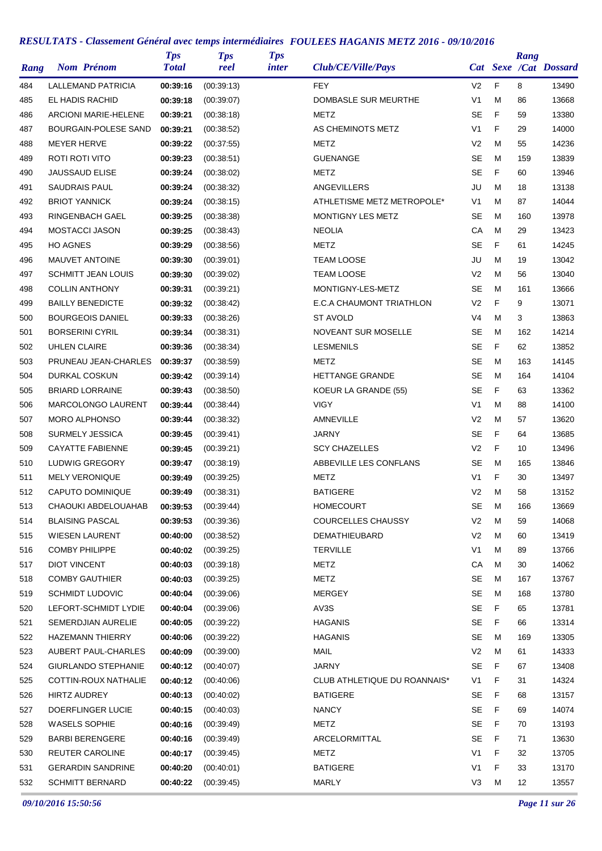| Rang       | <b>Nom Prénom</b>           | <b>Tps</b><br><b>Total</b> | <b>Tps</b><br>reel       | <b>Tps</b><br><i>inter</i> | Club/CE/Ville/Pays           |                        |        | Rang     | Cat Sexe /Cat Dossard |
|------------|-----------------------------|----------------------------|--------------------------|----------------------------|------------------------------|------------------------|--------|----------|-----------------------|
| 484        | LALLEMAND PATRICIA          | 00:39:16                   | (00:39:13)               |                            | <b>FEY</b>                   | V <sub>2</sub>         | F      | 8        | 13490                 |
| 485        | EL HADIS RACHID             | 00:39:18                   | (00:39:07)               |                            | <b>DOMBASLE SUR MEURTHE</b>  | V <sub>1</sub>         | M      | 86       | 13668                 |
| 486        | <b>ARCIONI MARIE-HELENE</b> | 00:39:21                   | (00:38:18)               |                            | <b>METZ</b>                  | SE                     | F      | 59       | 13380                 |
| 487        | <b>BOURGAIN-POLESE SAND</b> | 00:39:21                   | (00:38:52)               |                            | AS CHEMINOTS METZ            | V <sub>1</sub>         | F      | 29       | 14000                 |
| 488        | <b>MEYER HERVE</b>          | 00:39:22                   | (00:37:55)               |                            | METZ                         | V <sub>2</sub>         | M      | 55       | 14236                 |
| 489        | ROTI ROTI VITO              | 00:39:23                   | (00.38.51)               |                            | <b>GUENANGE</b>              | <b>SE</b>              | M      | 159      | 13839                 |
| 490        | <b>JAUSSAUD ELISE</b>       | 00:39:24                   | (00:38:02)               |                            | METZ                         | <b>SE</b>              | F      | 60       | 13946                 |
| 491        | <b>SAUDRAIS PAUL</b>        | 00:39:24                   | (00:38:32)               |                            | <b>ANGEVILLERS</b>           | JU                     | M      | 18       | 13138                 |
| 492        | <b>BRIOT YANNICK</b>        | 00:39:24                   | (00:38:15)               |                            | ATHLETISME METZ METROPOLE*   | V <sub>1</sub>         | M      | 87       | 14044                 |
| 493        | RINGENBACH GAEL             | 00:39:25                   | (00:38:38)               |                            | MONTIGNY LES METZ            | <b>SE</b>              | M      | 160      | 13978                 |
| 494        | <b>MOSTACCI JASON</b>       | 00:39:25                   | (00:38:43)               |                            | <b>NEOLIA</b>                | СA                     | M      | 29       | 13423                 |
| 495        | <b>HO AGNES</b>             | 00:39:29                   | (00:38:56)               |                            | METZ                         | <b>SE</b>              | F      | 61       | 14245                 |
| 496        | <b>MAUVET ANTOINE</b>       | 00:39:30                   | (00:39:01)               |                            | <b>TEAM LOOSE</b>            | JU                     | M      | 19       | 13042                 |
| 497        | SCHMITT JEAN LOUIS          | 00:39:30                   | (00:39:02)               |                            | <b>TEAM LOOSE</b>            | V <sub>2</sub>         | M      | 56       | 13040                 |
| 498        | <b>COLLIN ANTHONY</b>       | 00:39:31                   | (00:39:21)               |                            | MONTIGNY-LES-METZ            | <b>SE</b>              | M      | 161      | 13666                 |
| 499        | <b>BAILLY BENEDICTE</b>     | 00:39:32                   | (00:38:42)               |                            | E.C.A CHAUMONT TRIATHLON     | V <sub>2</sub>         | F      | 9        | 13071                 |
| 500        | <b>BOURGEOIS DANIEL</b>     | 00:39:33                   | (00:38:26)               |                            | <b>ST AVOLD</b>              | V4                     | M      | 3        | 13863                 |
| 501        | <b>BORSERINI CYRIL</b>      | 00:39:34                   | (00:38:31)               |                            | <b>NOVEANT SUR MOSELLE</b>   | SE                     | M      | 162      | 14214                 |
| 502        | <b>UHLEN CLAIRE</b>         | 00:39:36                   | (00:38:34)               |                            | <b>LESMENILS</b>             | <b>SE</b>              | F      | 62       | 13852                 |
| 503        | PRUNEAU JEAN-CHARLES        | 00:39:37                   | (00:38:59)               |                            | METZ                         | <b>SE</b>              | M      | 163      | 14145                 |
| 504        | DURKAL COSKUN               | 00:39:42                   | (00:39:14)               |                            | <b>HETTANGE GRANDE</b>       | <b>SE</b>              | M      | 164      | 14104                 |
| 505        | <b>BRIARD LORRAINE</b>      | 00:39:43                   | (00:38:50)               |                            | KOEUR LA GRANDE (55)         | SE                     | F      | 63       | 13362                 |
| 506        | <b>MARCOLONGO LAURENT</b>   | 00:39:44                   | (00:38:44)               |                            | <b>VIGY</b>                  | V <sub>1</sub>         | M      | 88       | 14100                 |
| 507        | <b>MORO ALPHONSO</b>        | 00:39:44                   | (00:38:32)               |                            | AMNEVILLE                    | V <sub>2</sub>         | M      | 57       | 13620                 |
| 508        | <b>SURMELY JESSICA</b>      | 00:39:45                   | (00:39:41)               |                            | JARNY                        | <b>SE</b>              | F      | 64       | 13685                 |
| 509        | <b>CAYATTE FABIENNE</b>     | 00:39:45                   | (00:39:21)               |                            | <b>SCY CHAZELLES</b>         | V <sub>2</sub>         | F      | 10       | 13496                 |
| 510        | LUDWIG GREGORY              | 00:39:47                   | (00:38:19)               |                            | ABBEVILLE LES CONFLANS       | SE                     | M      | 165      | 13846                 |
| 511        | <b>MELY VERONIQUE</b>       | 00:39:49                   | (00:39:25)               |                            | METZ                         | V <sub>1</sub>         | F      | 30       | 13497                 |
| 512        | <b>CAPUTO DOMINIQUE</b>     | 00:39:49                   | (00:38:31)               |                            | <b>BATIGERE</b>              | V <sub>2</sub>         | M      | 58       | 13152                 |
| 513        | CHAOUKI ABDELOUAHAB         | 00:39:53                   | (00:39:44)               |                            | <b>HOMECOURT</b>             | <b>SE</b>              | M      | 166      | 13669                 |
| 514        | <b>BLAISING PASCAL</b>      | 00:39:53                   | (00:39:36)               |                            | COURCELLES CHAUSSY           | V <sub>2</sub>         | M      | 59       | 14068                 |
| 515        | <b>WIESEN LAURENT</b>       | 00:40:00                   | (00:38:52)               |                            | DEMATHIEUBARD                | V <sub>2</sub>         | M      | 60       | 13419                 |
| 516        | <b>COMBY PHILIPPE</b>       | 00:40:02                   | (00:39:25)               |                            | <b>TERVILLE</b>              | V1                     | M      | 89       | 13766                 |
| 517        | <b>DIOT VINCENT</b>         | 00:40:03                   | (00:39:18)               |                            | <b>METZ</b>                  | CA                     | M      | 30       | 14062                 |
| 518        | <b>COMBY GAUTHIER</b>       | 00:40:03                   | (00.39.25)               |                            | <b>METZ</b>                  | <b>SE</b>              | м      | 167      | 13767                 |
| 519        | <b>SCHMIDT LUDOVIC</b>      | 00:40:04                   | (00:39:06)               |                            | <b>MERGEY</b>                | SE                     | М      | 168      | 13780                 |
| 520        | LEFORT-SCHMIDT LYDIE        | 00:40:04                   | (00.39.06)               |                            | AV3S                         | SE                     | F      | 65       | 13781                 |
| 521        | SEMERDJIAN AURELIE          |                            | (00:39:22)               |                            | <b>HAGANIS</b>               | SE                     | F      | 66       | 13314                 |
| 522        | <b>HAZEMANN THIERRY</b>     | 00:40:05<br>00:40:06       | (00:39:22)               |                            | HAGANIS                      | SE                     | м      | 169      | 13305                 |
|            | AUBERT PAUL-CHARLES         | 00:40:09                   |                          |                            | MAIL                         | V <sub>2</sub>         | M      |          | 14333                 |
| 523        | <b>GIURLANDO STEPHANIE</b>  |                            | (00:39:00)               |                            | <b>JARNY</b>                 | SE                     | F      | 61<br>67 |                       |
| 524<br>525 | COTTIN-ROUX NATHALIE        | 00:40:12                   | (00:40:07)<br>(00:40:06) |                            | CLUB ATHLETIQUE DU ROANNAIS* | V1                     | F      | 31       | 13408<br>14324        |
|            |                             | 00:40:12<br>00:40:13       |                          |                            |                              | SE                     | F      |          |                       |
| 526        | HIRTZ AUDREY                |                            | (00:40:02)               |                            | <b>BATIGERE</b>              |                        |        | 68       | 13157                 |
| 527        | DOERFLINGER LUCIE           | 00:40:15                   | (00:40:03)               |                            | <b>NANCY</b>                 | <b>SE</b><br><b>SE</b> | F<br>F | 69       | 14074                 |
| 528        | <b>WASELS SOPHIE</b>        | 00:40:16                   | (00:39:49)               |                            | <b>METZ</b>                  |                        |        | 70       | 13193                 |
| 529        | <b>BARBI BERENGERE</b>      | 00:40:16                   | (00:39:49)               |                            | ARCELORMITTAL                | SE                     | F      | 71       | 13630                 |
| 530        | REUTER CAROLINE             | 00:40:17                   | (00:39:45)               |                            | METZ                         | V1                     | F      | 32       | 13705                 |
| 531        | <b>GERARDIN SANDRINE</b>    | 00:40:20                   | (00:40:01)               |                            | <b>BATIGERE</b>              | V1                     | F      | 33       | 13170                 |
| 532        | <b>SCHMITT BERNARD</b>      | 00:40:22                   | (00:39:45)               |                            | <b>MARLY</b>                 | V3                     | M      | 12       | 13557                 |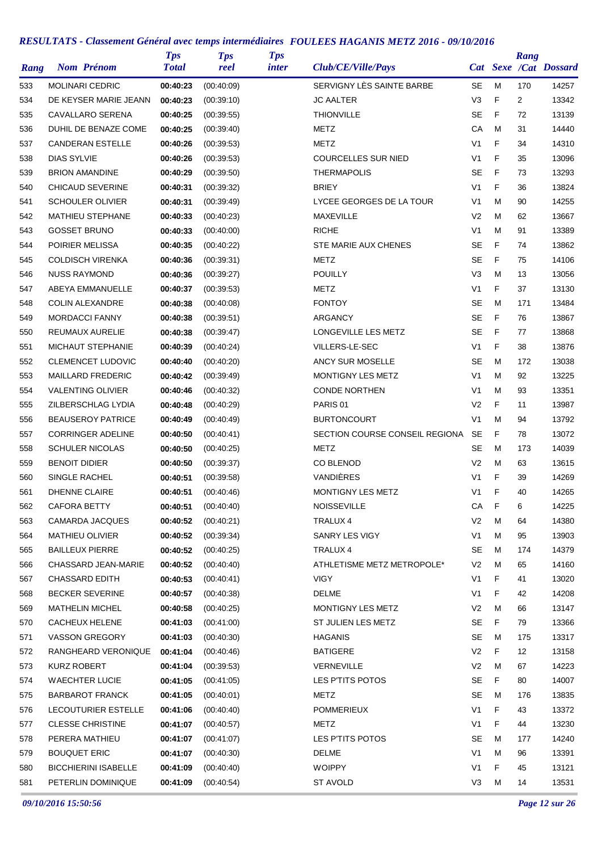| Rang | <b>Nom Prénom</b>           | <b>Tps</b><br><b>Total</b> | <b>Tps</b><br>reel | <b>Tps</b><br><i>inter</i> | Club/CE/Ville/Pays             |                |             | Rang            | Cat Sexe /Cat Dossard |
|------|-----------------------------|----------------------------|--------------------|----------------------------|--------------------------------|----------------|-------------|-----------------|-----------------------|
| 533  | <b>MOLINARI CEDRIC</b>      | 00:40:23                   | (00:40:09)         |                            | SERVIGNY LES SAINTE BARBE      | <b>SE</b>      | M           | 170             | 14257                 |
| 534  | DE KEYSER MARIE JEANN       | 00:40:23                   | (00:39:10)         |                            | <b>JC AALTER</b>               | V <sub>3</sub> | F           | 2               | 13342                 |
| 535  | <b>CAVALLARO SERENA</b>     | 00:40:25                   | (00:39:55)         |                            | <b>THIONVILLE</b>              | <b>SE</b>      | F           | 72              | 13139                 |
| 536  | DUHIL DE BENAZE COME        | 00:40:25                   | (00:39:40)         |                            | METZ                           | СA             | м           | 31              | 14440                 |
| 537  | <b>CANDERAN ESTELLE</b>     | 00:40:26                   | (00:39:53)         |                            | METZ                           | V <sub>1</sub> | F           | 34              | 14310                 |
| 538  | <b>DIAS SYLVIE</b>          | 00:40:26                   | (00:39:53)         |                            | <b>COURCELLES SUR NIED</b>     | V <sub>1</sub> | F           | 35              | 13096                 |
| 539  | <b>BRION AMANDINE</b>       | 00:40:29                   | (00:39:50)         |                            | <b>THERMAPOLIS</b>             | <b>SE</b>      | F           | 73              | 13293                 |
| 540  | <b>CHICAUD SEVERINE</b>     | 00:40:31                   | (00:39:32)         |                            | <b>BRIEY</b>                   | V <sub>1</sub> | F           | 36              | 13824                 |
| 541  | <b>SCHOULER OLIVIER</b>     | 00:40:31                   | (00:39:49)         |                            | LYCEE GEORGES DE LA TOUR       | V <sub>1</sub> | M           | 90              | 14255                 |
| 542  | <b>MATHIEU STEPHANE</b>     | 00:40:33                   | (00:40:23)         |                            | <b>MAXEVILLE</b>               | V <sub>2</sub> | M           | 62              | 13667                 |
| 543  | <b>GOSSET BRUNO</b>         | 00:40:33                   | (00:40:00)         |                            | <b>RICHE</b>                   | V <sub>1</sub> | M           | 91              | 13389                 |
| 544  | POIRIER MELISSA             | 00:40:35                   | (00:40:22)         |                            | STE MARIE AUX CHENES           | <b>SE</b>      | F           | 74              | 13862                 |
| 545  | <b>COLDISCH VIRENKA</b>     | 00:40:36                   | (00:39:31)         |                            | METZ                           | <b>SE</b>      | F           | 75              | 14106                 |
| 546  | <b>NUSS RAYMOND</b>         | 00:40:36                   | (00:39:27)         |                            | <b>POUILLY</b>                 | V <sub>3</sub> | M           | 13              | 13056                 |
| 547  | <b>ABEYA EMMANUELLE</b>     | 00:40:37                   | (00:39:53)         |                            | METZ                           | V <sub>1</sub> | F           | 37              | 13130                 |
| 548  | <b>COLIN ALEXANDRE</b>      | 00:40:38                   | (00:40:08)         |                            | <b>FONTOY</b>                  | <b>SE</b>      | м           | 171             | 13484                 |
| 549  | <b>MORDACCI FANNY</b>       | 00:40:38                   | (00:39:51)         |                            | <b>ARGANCY</b>                 | <b>SE</b>      | F           | 76              | 13867                 |
| 550  | REUMAUX AURELIE             | 00:40:38                   | (00:39:47)         |                            | LONGEVILLE LES METZ            | <b>SE</b>      | F           | 77              | 13868                 |
| 551  | MICHAUT STEPHANIE           | 00:40:39                   | (00:40:24)         |                            | VILLERS-LE-SEC                 | V <sub>1</sub> | F           | 38              | 13876                 |
| 552  | <b>CLEMENCET LUDOVIC</b>    | 00:40:40                   | (00:40:20)         |                            | <b>ANCY SUR MOSELLE</b>        | <b>SE</b>      | M           | 172             | 13038                 |
| 553  | <b>MAILLARD FREDERIC</b>    | 00:40:42                   | (00:39:49)         |                            | MONTIGNY LES METZ              | V <sub>1</sub> | M           | 92              | 13225                 |
| 554  | <b>VALENTING OLIVIER</b>    | 00:40:46                   | (00:40:32)         |                            | <b>CONDE NORTHEN</b>           | V <sub>1</sub> | M           | 93              | 13351                 |
| 555  | ZILBERSCHLAG LYDIA          | 00:40:48                   | (00:40:29)         |                            | PARIS <sub>01</sub>            | V <sub>2</sub> | F           | 11              | 13987                 |
| 556  | <b>BEAUSEROY PATRICE</b>    | 00:40:49                   | (00:40:49)         |                            | <b>BURTONCOURT</b>             | V <sub>1</sub> | M           | 94              | 13792                 |
| 557  | <b>CORRINGER ADELINE</b>    | 00:40:50                   | (00:40:41)         |                            | SECTION COURSE CONSEIL REGIONA | <b>SE</b>      | F           | 78              | 13072                 |
| 558  | <b>SCHULER NICOLAS</b>      | 00:40:50                   | (00:40:25)         |                            | METZ                           | SE             | м           | 173             | 14039                 |
| 559  | <b>BENOIT DIDIER</b>        | 00:40:50                   | (00:39:37)         |                            | <b>CO BLENOD</b>               | V <sub>2</sub> | M           | 63              | 13615                 |
| 560  | SINGLE RACHEL               | 00:40:51                   | (00:39:58)         |                            | VANDIÈRES                      | V <sub>1</sub> | F           | 39              | 14269                 |
| 561  | <b>DHENNE CLAIRE</b>        | 00:40:51                   | (00:40:46)         |                            | MONTIGNY LES METZ              | V <sub>1</sub> | F           | 40              | 14265                 |
| 562  | <b>CAFORA BETTY</b>         | 00:40:51                   | (00:40:40)         |                            | <b>NOISSEVILLE</b>             | CA             | $\mathsf F$ | 6               | 14225                 |
| 563  | <b>CAMARDA JACQUES</b>      | 00:40:52                   | (00:40:21)         |                            | TRALUX 4                       | V <sub>2</sub> | M           | 64              | 14380                 |
| 564  | <b>MATHIEU OLIVIER</b>      | 00:40:52                   | (00:39:34)         |                            | SANRY LES VIGY                 | V <sub>1</sub> | M           | 95              | 13903                 |
| 565  | <b>BAILLEUX PIERRE</b>      | 00:40:52                   | (00:40:25)         |                            | TRALUX 4                       | SE             | M           | 174             | 14379                 |
| 566  | CHASSARD JEAN-MARIE         | 00:40:52                   | (00.40.40)         |                            | ATHLETISME METZ METROPOLE*     | V <sub>2</sub> | M           | 65              | 14160                 |
| 567  | CHASSARD EDITH              | 00:40:53                   | (00.40.41)         |                            | <b>VIGY</b>                    | V <sub>1</sub> | F           | 41              | 13020                 |
| 568  | <b>BECKER SEVERINE</b>      | 00:40:57                   | (00:40:38)         |                            | <b>DELME</b>                   | V <sub>1</sub> | F           | 42              | 14208                 |
| 569  | <b>MATHELIN MICHEL</b>      | 00:40:58                   | (00:40:25)         |                            | MONTIGNY LES METZ              | V <sub>2</sub> | M           | 66              | 13147                 |
| 570  | CACHEUX HELENE              | 00:41:03                   | (00:41:00)         |                            | ST JULIEN LES METZ             | <b>SE</b>      | F           | 79              | 13366                 |
| 571  | <b>VASSON GREGORY</b>       | 00:41:03                   | (00:40:30)         |                            | <b>HAGANIS</b>                 | SE             | м           | 175             | 13317                 |
| 572  | RANGHEARD VERONIQUE         | 00:41:04                   | (00:40:46)         |                            | <b>BATIGERE</b>                | V <sub>2</sub> | F           | 12 <sup>°</sup> | 13158                 |
| 573  | <b>KURZ ROBERT</b>          | 00:41:04                   | (00:39:53)         |                            | VERNEVILLE                     | V <sub>2</sub> | M           | 67              | 14223                 |
| 574  | <b>WAECHTER LUCIE</b>       | 00:41:05                   | (00:41:05)         |                            | LES P'TITS POTOS               | SE             | F           | 80              | 14007                 |
|      |                             | 00:41:05                   |                    |                            |                                | SE             | M           | 176             |                       |
| 575  | <b>BARBAROT FRANCK</b>      |                            | (00:40:01)         |                            | METZ                           |                |             |                 | 13835                 |
| 576  | LECOUTURIER ESTELLE         | 00:41:06                   | (00:40:40)         |                            | <b>POMMERIEUX</b>              | V <sub>1</sub> | F<br>F      | 43              | 13372                 |
| 577  | <b>CLESSE CHRISTINE</b>     | 00:41:07                   | (00:40:57)         |                            | METZ                           | V <sub>1</sub> |             | 44              | 13230                 |
| 578  | PERERA MATHIEU              | 00:41:07                   | (00:41:07)         |                            | LES P'TITS POTOS               | SE             | м           | 177             | 14240                 |
| 579  | <b>BOUQUET ERIC</b>         | 00:41:07                   | (00:40:30)         |                            | DELME                          | V <sub>1</sub> | M           | 96              | 13391                 |
| 580  | <b>BICCHIERINI ISABELLE</b> | 00:41:09                   | (00:40:40)         |                            | <b>WOIPPY</b>                  | V <sub>1</sub> | F           | 45              | 13121                 |
| 581  | PETERLIN DOMINIQUE          | 00:41:09                   | (00:40:54)         |                            | <b>ST AVOLD</b>                | V <sub>3</sub> | M           | 14              | 13531                 |

*09/10/2016 15:50:56 Page 12 sur 26*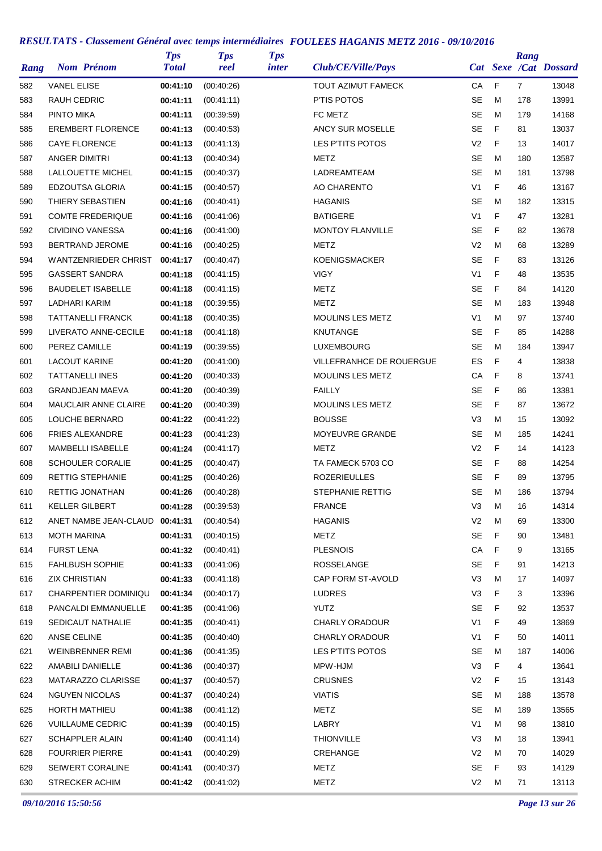| Rang | <b>Nom Prénom</b>           | <b>Tps</b><br><b>Total</b> | <b>Tps</b><br>reel | <b>Tps</b><br><i>inter</i> | Club/CE/Ville/Pays       |                |   | Rang           | Cat Sexe /Cat Dossard |
|------|-----------------------------|----------------------------|--------------------|----------------------------|--------------------------|----------------|---|----------------|-----------------------|
| 582  | <b>VANEL ELISE</b>          | 00:41:10                   | (00:40:26)         |                            | TOUT AZIMUT FAMECK       | СA             | F | $\overline{7}$ | 13048                 |
| 583  | <b>RAUH CEDRIC</b>          | 00:41:11                   | (00:41:11)         |                            | P'TIS POTOS              | <b>SE</b>      | M | 178            | 13991                 |
| 584  | <b>PINTO MIKA</b>           | 00:41:11                   | (00:39:59)         |                            | FC METZ                  | <b>SE</b>      | M | 179            | 14168                 |
| 585  | <b>EREMBERT FLORENCE</b>    | 00:41:13                   | (00:40:53)         |                            | <b>ANCY SUR MOSELLE</b>  | <b>SE</b>      | F | 81             | 13037                 |
| 586  | <b>CAYE FLORENCE</b>        | 00:41:13                   | (00.41:13)         |                            | LES P'TITS POTOS         | V <sub>2</sub> | F | 13             | 14017                 |
| 587  | ANGER DIMITRI               | 00:41:13                   | (00:40:34)         |                            | METZ                     | SE             | м | 180            | 13587                 |
| 588  | LALLOUETTE MICHEL           | 00:41:15                   | (00:40:37)         |                            | LADREAMTEAM              | <b>SE</b>      | м | 181            | 13798                 |
| 589  | EDZOUTSA GLORIA             | 00:41:15                   | (00:40:57)         |                            | <b>AO CHARENTO</b>       | V <sub>1</sub> | F | 46             | 13167                 |
| 590  | THIERY SEBASTIEN            | 00:41:16                   | (00:40:41)         |                            | <b>HAGANIS</b>           | SE             | M | 182            | 13315                 |
| 591  | <b>COMTE FREDERIQUE</b>     | 00:41:16                   | (00:41:06)         |                            | <b>BATIGERE</b>          | V <sub>1</sub> | F | 47             | 13281                 |
| 592  | <b>CIVIDINO VANESSA</b>     | 00:41:16                   | (00:41:00)         |                            | <b>MONTOY FLANVILLE</b>  | <b>SE</b>      | F | 82             | 13678                 |
| 593  | <b>BERTRAND JEROME</b>      | 00:41:16                   | (00:40:25)         |                            | METZ                     | V <sub>2</sub> | M | 68             | 13289                 |
| 594  | WANTZENRIEDER CHRIST        | 00:41:17                   | (00:40:47)         |                            | <b>KOENIGSMACKER</b>     | <b>SE</b>      | F | 83             | 13126                 |
| 595  | <b>GASSERT SANDRA</b>       | 00:41:18                   | (00:41:15)         |                            | <b>VIGY</b>              | V1             | F | 48             | 13535                 |
| 596  | <b>BAUDELET ISABELLE</b>    | 00:41:18                   | (00.41:15)         |                            | METZ                     | <b>SE</b>      | F | 84             | 14120                 |
| 597  | LADHARI KARIM               | 00:41:18                   | (00:39:55)         |                            | METZ                     | <b>SE</b>      | M | 183            | 13948                 |
| 598  | <b>TATTANELLI FRANCK</b>    | 00:41:18                   | (00:40:35)         |                            | <b>MOULINS LES METZ</b>  | V <sub>1</sub> | M | 97             | 13740                 |
| 599  | LIVERATO ANNE-CECILE        | 00:41:18                   | (00:41:18)         |                            | <b>KNUTANGE</b>          | SE             | F | 85             | 14288                 |
| 600  | PEREZ CAMILLE               | 00:41:19                   | (00:39:55)         |                            | <b>LUXEMBOURG</b>        | <b>SE</b>      | M | 184            | 13947                 |
| 601  | <b>LACOUT KARINE</b>        | 00:41:20                   | (00:41:00)         |                            | VILLEFRANHCE DE ROUERGUE | ES             | F | 4              | 13838                 |
| 602  | <b>TATTANELLI INES</b>      | 00:41:20                   | (00:40:33)         |                            | <b>MOULINS LES METZ</b>  | СA             | F | 8              | 13741                 |
| 603  | <b>GRANDJEAN MAEVA</b>      | 00:41:20                   | (00:40:39)         |                            | <b>FAILLY</b>            | <b>SE</b>      | F | 86             | 13381                 |
| 604  | <b>MAUCLAIR ANNE CLAIRE</b> | 00:41:20                   | (00:40:39)         |                            | MOULINS LES METZ         | SE             | F | 87             | 13672                 |
| 605  | LOUCHE BERNARD              | 00:41:22                   | (00:41:22)         |                            | <b>BOUSSE</b>            | V3             | M | 15             | 13092                 |
| 606  | <b>FRIES ALEXANDRE</b>      | 00:41:23                   | (00:41:23)         |                            | MOYEUVRE GRANDE          | <b>SE</b>      | M | 185            | 14241                 |
| 607  | <b>MAMBELLI ISABELLE</b>    | 00:41:24                   | (00:41:17)         |                            | METZ                     | V <sub>2</sub> | F | 14             | 14123                 |
| 608  | <b>SCHOULER CORALIE</b>     | 00:41:25                   | (00:40:47)         |                            | TA FAMECK 5703 CO        | <b>SE</b>      | F | 88             | 14254                 |
| 609  | RETTIG STEPHANIE            | 00:41:25                   | (00:40:26)         |                            | <b>ROZERIEULLES</b>      | SE             | F | 89             | 13795                 |
| 610  | RETTIG JONATHAN             | 00:41:26                   | (00:40:28)         |                            | STEPHANIE RETTIG         | <b>SE</b>      | M | 186            | 13794                 |
| 611  | <b>KELLER GILBERT</b>       | 00:41:28                   | (00:39:53)         |                            | <b>FRANCE</b>            | V <sub>3</sub> | M | 16             | 14314                 |
| 612  | ANET NAMBE JEAN-CLAUD       | 00:41:31                   | (00:40:54)         |                            | <b>HAGANIS</b>           | V <sub>2</sub> | M | 69             | 13300                 |
| 613  | MOTH MARINA                 | 00:41:31                   | (00:40:15)         |                            | <b>METZ</b>              | SE             | F | 90             | 13481                 |
| 614  | <b>FURST LENA</b>           | 00:41:32                   | (00.40.41)         |                            | <b>PLESNOIS</b>          | CA             | F | 9              | 13165                 |
| 615  | <b>FAHLBUSH SOPHIE</b>      | 00:41:33                   | (00:41:06)         |                            | ROSSELANGE               | SE             | F | 91             | 14213                 |
| 616  | <b>ZIX CHRISTIAN</b>        | 00:41:33                   | (00:41:18)         |                            | CAP FORM ST-AVOLD        | V3             | M | 17             | 14097                 |
| 617  | CHARPENTIER DOMINIQU        | 00:41:34                   | (00:40:17)         |                            | <b>LUDRES</b>            | V <sub>3</sub> | F | 3              | 13396                 |
| 618  | PANCALDI EMMANUELLE         | 00:41:35                   | (00:41:06)         |                            | <b>YUTZ</b>              | <b>SE</b>      | F | 92             | 13537                 |
| 619  | SEDICAUT NATHALIE           | 00:41:35                   | (00:40:41)         |                            | CHARLY ORADOUR           | V1             | F | 49             | 13869                 |
| 620  | ANSE CELINE                 | 00:41:35                   | (00:40:40)         |                            | <b>CHARLY ORADOUR</b>    | V1             | F | 50             | 14011                 |
| 621  | <b>WEINBRENNER REMI</b>     | 00:41:36                   | (00:41:35)         |                            | LES P'TITS POTOS         | SE             | м | 187            | 14006                 |
| 622  | AMABILI DANIELLE            | 00:41:36                   | (00:40:37)         |                            | MPW-HJM                  | V <sub>3</sub> | F | 4              | 13641                 |
| 623  | MATARAZZO CLARISSE          | 00:41:37                   | (00:40:57)         |                            | <b>CRUSNES</b>           | V2             | F | 15             | 13143                 |
| 624  | <b>NGUYEN NICOLAS</b>       | 00:41:37                   | (00:40:24)         |                            | <b>VIATIS</b>            | <b>SE</b>      | М | 188            | 13578                 |
| 625  | <b>HORTH MATHIEU</b>        | 00:41:38                   | (00:41:12)         |                            | <b>METZ</b>              | <b>SE</b>      | м | 189            | 13565                 |
| 626  | <b>VUILLAUME CEDRIC</b>     | 00:41:39                   | (00:40:15)         |                            | LABRY                    | V1             | м | 98             | 13810                 |
| 627  | <b>SCHAPPLER ALAIN</b>      | 00:41:40                   | (00:41:14)         |                            | <b>THIONVILLE</b>        | V <sub>3</sub> | M | 18             | 13941                 |
| 628  | <b>FOURRIER PIERRE</b>      | 00:41:41                   | (00:40:29)         |                            | CREHANGE                 | V <sub>2</sub> | м | 70             | 14029                 |
| 629  | <b>SEIWERT CORALINE</b>     | 00:41:41                   | (00:40:37)         |                            | METZ                     | SE             | F | 93             | 14129                 |
| 630  | <b>STRECKER ACHIM</b>       | 00:41:42                   | (00:41:02)         |                            | METZ                     | V <sub>2</sub> | м | 71             | 13113                 |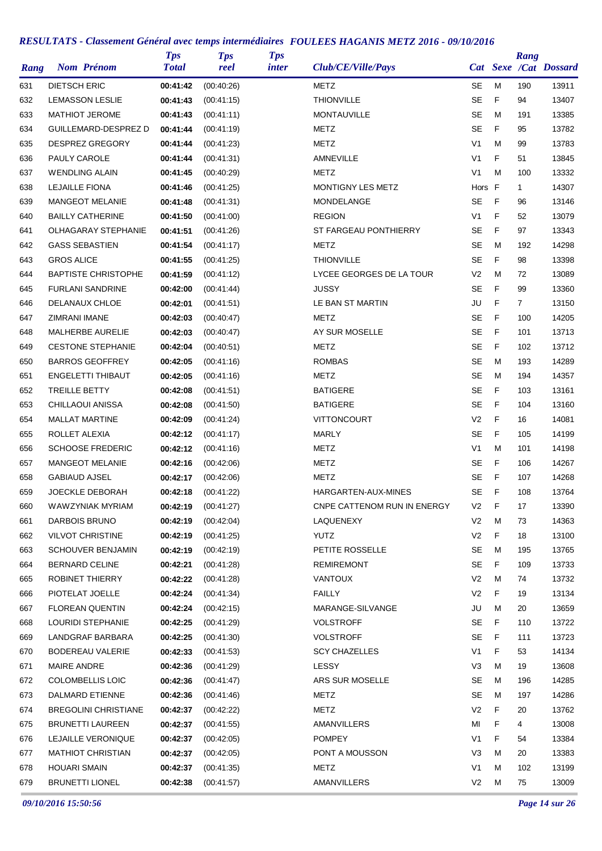| Rang | <b>Nom Prénom</b>           | <b>Tps</b><br><b>Total</b> | <b>Tps</b><br>reel | <b>Tps</b><br><i>inter</i> | Club/CE/Ville/Pays           |                |   | Rang           | Cat Sexe /Cat Dossard |
|------|-----------------------------|----------------------------|--------------------|----------------------------|------------------------------|----------------|---|----------------|-----------------------|
| 631  | <b>DIETSCH ERIC</b>         | 00:41:42                   | (00:40:26)         |                            | METZ                         | SE             | M | 190            | 13911                 |
| 632  | <b>LEMASSON LESLIE</b>      | 00:41:43                   | (00:41:15)         |                            | <b>THIONVILLE</b>            | <b>SE</b>      | F | 94             | 13407                 |
| 633  | <b>MATHIOT JEROME</b>       | 00:41:43                   | (00:41:11)         |                            | <b>MONTAUVILLE</b>           | <b>SE</b>      | м | 191            | 13385                 |
| 634  | <b>GUILLEMARD-DESPREZ D</b> | 00:41:44                   | (00:41:19)         |                            | METZ                         | <b>SE</b>      | F | 95             | 13782                 |
| 635  | <b>DESPREZ GREGORY</b>      | 00:41:44                   | (00:41:23)         |                            | METZ                         | V1             | M | 99             | 13783                 |
| 636  | PAULY CAROLE                | 00:41:44                   | (00:41:31)         |                            | AMNEVILLE                    | V <sub>1</sub> | F | 51             | 13845                 |
| 637  | <b>WENDLING ALAIN</b>       | 00:41:45                   | (00:40:29)         |                            | METZ                         | V <sub>1</sub> | M | 100            | 13332                 |
| 638  | <b>LEJAILLE FIONA</b>       | 00:41:46                   | (00:41:25)         |                            | MONTIGNY LES METZ            | Hors F         |   | $\mathbf{1}$   | 14307                 |
| 639  | <b>MANGEOT MELANIE</b>      | 00:41:48                   | (00:41:31)         |                            | MONDELANGE                   | <b>SE</b>      | F | 96             | 13146                 |
| 640  | <b>BAILLY CATHERINE</b>     | 00:41:50                   | (00:41:00)         |                            | <b>REGION</b>                | V <sub>1</sub> | F | 52             | 13079                 |
| 641  | <b>OLHAGARAY STEPHANIE</b>  | 00:41:51                   | (00:41:26)         |                            | ST FARGEAU PONTHIERRY        | <b>SE</b>      | F | 97             | 13343                 |
| 642  | <b>GASS SEBASTIEN</b>       | 00:41:54                   | (00.41:17)         |                            | METZ                         | <b>SE</b>      | M | 192            | 14298                 |
| 643  | <b>GROS ALICE</b>           | 00:41:55                   | (00:41:25)         |                            | <b>THIONVILLE</b>            | <b>SE</b>      | F | 98             | 13398                 |
| 644  | <b>BAPTISTE CHRISTOPHE</b>  | 00:41:59                   | (00:41:12)         |                            | LYCEE GEORGES DE LA TOUR     | V <sub>2</sub> | M | 72             | 13089                 |
| 645  | <b>FURLANI SANDRINE</b>     | 00:42:00                   | (00.41.44)         |                            | <b>JUSSY</b>                 | <b>SE</b>      | F | 99             | 13360                 |
| 646  | DELANAUX CHLOE              | 00:42:01                   | (00.41.51)         |                            | LE BAN ST MARTIN             | JU             | F | $\overline{7}$ | 13150                 |
| 647  | ZIMRANI IMANE               | 00:42:03                   | (00:40:47)         |                            | METZ                         | <b>SE</b>      | F | 100            | 14205                 |
| 648  | MALHERBE AURELIE            | 00:42:03                   | (00:40:47)         |                            | AY SUR MOSELLE               | <b>SE</b>      | F | 101            | 13713                 |
| 649  | <b>CESTONE STEPHANIE</b>    | 00:42:04                   | (00:40:51)         |                            | METZ                         | <b>SE</b>      | F | 102            | 13712                 |
| 650  | <b>BARROS GEOFFREY</b>      | 00:42:05                   | (00:41:16)         |                            | <b>ROMBAS</b>                | <b>SE</b>      | M | 193            | 14289                 |
| 651  | <b>ENGELETTI THIBAUT</b>    | 00:42:05                   | (00:41:16)         |                            | METZ                         | <b>SE</b>      | м | 194            | 14357                 |
| 652  | <b>TREILLE BETTY</b>        | 00:42:08                   | (00.41.51)         |                            | <b>BATIGERE</b>              | <b>SE</b>      | F | 103            | 13161                 |
| 653  | CHILLAOUI ANISSA            | 00:42:08                   | (00:41:50)         |                            | <b>BATIGERE</b>              | SE             | F | 104            | 13160                 |
| 654  | <b>MALLAT MARTINE</b>       | 00:42:09                   | (00:41:24)         |                            | <b>VITTONCOURT</b>           | V <sub>2</sub> | F | 16             | 14081                 |
| 655  | ROLLET ALEXIA               | 00:42:12                   | (00.41:17)         |                            | <b>MARLY</b>                 | <b>SE</b>      | F | 105            | 14199                 |
| 656  | <b>SCHOOSE FREDERIC</b>     | 00:42:12                   | (00.41.16)         |                            | METZ                         | V1             | M | 101            | 14198                 |
| 657  | <b>MANGEOT MELANIE</b>      | 00:42:16                   | (00:42:06)         |                            | <b>METZ</b>                  | <b>SE</b>      | F | 106            | 14267                 |
| 658  | <b>GABIAUD AJSEL</b>        | 00:42:17                   | (00:42:06)         |                            | METZ                         | SE             | F | 107            | 14268                 |
| 659  | JOECKLE DEBORAH             | 00:42:18                   | (00:41:22)         |                            | HARGARTEN-AUX-MINES          | <b>SE</b>      | F | 108            | 13764                 |
| 660  | WAWZYNIAK MYRIAM            | 00:42:19                   | (00:41:27)         |                            | CNPE CATTENOM RUN IN ENERGY  | V <sub>2</sub> | F | 17             | 13390                 |
| 661  | DARBOIS BRUNO               | 00:42:19                   | (00:42:04)         |                            | LAQUENEXY                    | V <sub>2</sub> | M | 73             | 14363                 |
| 662  | <b>VILVOT CHRISTINE</b>     | 00:42:19                   | (00:41:25)         |                            | <b>YUTZ</b>                  | V <sub>2</sub> | F | 18             | 13100                 |
| 663  | <b>SCHOUVER BENJAMIN</b>    | 00:42:19                   | (00:42:19)         |                            | PETITE ROSSELLE              | SE             | м | 195            | 13765                 |
| 664  | <b>BERNARD CELINE</b>       | 00:42:21                   | (00.41.28)         |                            | <b>REMIREMONT</b>            | <b>SE</b>      | F | 109            | 13733                 |
| 665  | ROBINET THIERRY             | 00:42:22                   | (00:41:28)         |                            | <b>VANTOUX</b>               | V <sub>2</sub> | М | 74             | 13732                 |
| 666  | PIOTELAT JOELLE             | 00:42:24                   | (00:41:34)         |                            | <b>FAILLY</b>                | V <sub>2</sub> | F | 19             | 13134                 |
| 667  | <b>FLOREAN QUENTIN</b>      | 00:42:24                   | (00:42:15)         |                            | MARANGE-SILVANGE             | JU             | M | 20             | 13659                 |
| 668  | LOURIDI STEPHANIE           | 00:42:25                   | (00:41:29)         |                            | <b>VOLSTROFF</b>             | SE             | F | 110            | 13722                 |
| 669  | LANDGRAF BARBARA            | 00:42:25                   | (00:41:30)         |                            | <b>VOLSTROFF</b>             | SE             | F | 111            | 13723                 |
| 670  | BODEREAU VALERIE            | 00:42:33                   | (00:41:53)         |                            | <b>SCY CHAZELLES</b>         | V <sub>1</sub> | F | 53             | 14134                 |
| 671  | <b>MAIRE ANDRE</b>          | 00:42:36                   | (00:41:29)         |                            | LESSY                        | V <sub>3</sub> | M | 19             | 13608                 |
| 672  | <b>COLOMBELLIS LOIC</b>     | 00:42:36                   | (00.41.47)         |                            | ARS SUR MOSELLE              | <b>SE</b>      | м | 196            | 14285                 |
| 673  | DALMARD ETIENNE             | 00:42:36                   | (00:41:46)         |                            | METZ                         | <b>SE</b>      | М | 197            | 14286                 |
| 674  | <b>BREGOLINI CHRISTIANE</b> | 00:42:37                   | (00:42:22)         |                            | <b>METZ</b>                  | V2             | F | 20             | 13762                 |
|      | <b>BRUNETTI LAUREEN</b>     |                            |                    |                            |                              | MI             | F |                | 13008                 |
| 675  | LEJAILLE VERONIQUE          | 00:42:37                   | (00:41:55)         |                            | AMANVILLERS<br><b>POMPEY</b> | V1             | F | 4<br>54        | 13384                 |
| 676  |                             | 00:42:37                   | (00:42:05)         |                            |                              |                |   |                |                       |
| 677  | <b>MATHIOT CHRISTIAN</b>    | 00:42:37                   | (00:42:05)         |                            | PONT A MOUSSON               | V3             | M | 20             | 13383                 |
| 678  | <b>HOUARI SMAIN</b>         | 00:42:37                   | (00:41:35)         |                            | METZ                         | V <sub>1</sub> | M | 102            | 13199                 |
| 679  | <b>BRUNETTI LIONEL</b>      | 00:42:38                   | (00:41:57)         |                            | AMANVILLERS                  | V <sub>2</sub> | М | 75             | 13009                 |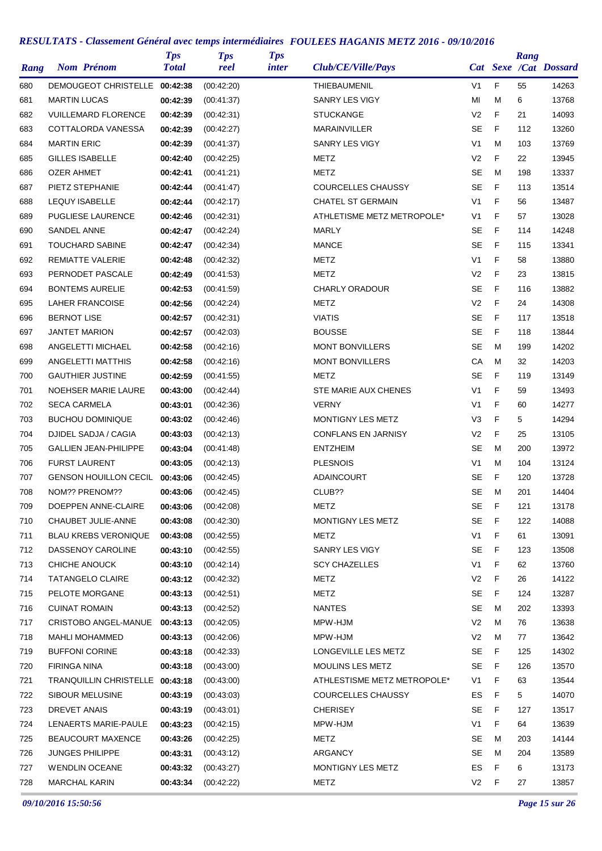| Rang | <b>Nom Prénom</b>        |                                 | <b>Tps</b><br><b>Total</b> | <b>Tps</b><br>reel | <b>Tps</b><br><i>inter</i> | Club/CE/Ville/Pays          |                |    | Rang | Cat Sexe /Cat Dossard |
|------|--------------------------|---------------------------------|----------------------------|--------------------|----------------------------|-----------------------------|----------------|----|------|-----------------------|
| 680  |                          | <b>DEMOUGEOT CHRISTELLE</b>     | 00:42:38                   | (00:42:20)         |                            | <b>THIEBAUMENIL</b>         | V <sub>1</sub> | F  | 55   | 14263                 |
| 681  | <b>MARTIN LUCAS</b>      |                                 | 00:42:39                   | (00:41:37)         |                            | <b>SANRY LES VIGY</b>       | MI             | M  | 6    | 13768                 |
| 682  |                          | <b>VUILLEMARD FLORENCE</b>      | 00:42:39                   | (00:42:31)         |                            | <b>STUCKANGE</b>            | V <sub>2</sub> | F  | 21   | 14093                 |
| 683  |                          | COTTALORDA VANESSA              | 00:42:39                   | (00:42:27)         |                            | <b>MARAINVILLER</b>         | <b>SE</b>      | F  | 112  | 13260                 |
| 684  | <b>MARTIN ERIC</b>       |                                 | 00:42:39                   | (00:41:37)         |                            | SANRY LES VIGY              | V <sub>1</sub> | M  | 103  | 13769                 |
| 685  | <b>GILLES ISABELLE</b>   |                                 | 00:42:40                   | (00:42:25)         |                            | METZ                        | V <sub>2</sub> | F  | 22   | 13945                 |
| 686  | <b>OZER AHMET</b>        |                                 | 00:42:41                   | (00:41:21)         |                            | METZ                        | <b>SE</b>      | M  | 198  | 13337                 |
| 687  | PIETZ STEPHANIE          |                                 | 00:42:44                   | (00.41.47)         |                            | <b>COURCELLES CHAUSSY</b>   | <b>SE</b>      | F  | 113  | 13514                 |
| 688  | <b>LEQUY ISABELLE</b>    |                                 | 00:42:44                   | (00.42:17)         |                            | <b>CHATEL ST GERMAIN</b>    | V <sub>1</sub> | F  | 56   | 13487                 |
| 689  | <b>PUGLIESE LAURENCE</b> |                                 | 00:42:46                   | (00:42:31)         |                            | ATHLETISME METZ METROPOLE*  | V <sub>1</sub> | F  | 57   | 13028                 |
| 690  | SANDEL ANNE              |                                 | 00:42:47                   | (00:42:24)         |                            | <b>MARLY</b>                | <b>SE</b>      | F  | 114  | 14248                 |
| 691  | <b>TOUCHARD SABINE</b>   |                                 | 00:42:47                   | (00:42:34)         |                            | <b>MANCE</b>                | <b>SE</b>      | F  | 115  | 13341                 |
| 692  | <b>REMIATTE VALERIE</b>  |                                 | 00:42:48                   | (00:42:32)         |                            | METZ                        | V <sub>1</sub> | F  | 58   | 13880                 |
| 693  | PERNODET PASCALE         |                                 | 00:42:49                   | (00:41:53)         |                            | METZ                        | V <sub>2</sub> | F  | 23   | 13815                 |
| 694  | <b>BONTEMS AURELIE</b>   |                                 | 00:42:53                   | (00:41:59)         |                            | <b>CHARLY ORADOUR</b>       | <b>SE</b>      | F  | 116  | 13882                 |
| 695  | <b>LAHER FRANCOISE</b>   |                                 | 00:42:56                   | (00:42:24)         |                            | METZ                        | V <sub>2</sub> | F  | 24   | 14308                 |
| 696  | <b>BERNOT LISE</b>       |                                 | 00:42:57                   | (00:42:31)         |                            | <b>VIATIS</b>               | <b>SE</b>      | F  | 117  | 13518                 |
| 697  | <b>JANTET MARION</b>     |                                 | 00:42:57                   | (00:42:03)         |                            | <b>BOUSSE</b>               | <b>SE</b>      | F  | 118  | 13844                 |
| 698  | ANGELETTI MICHAEL        |                                 | 00:42:58                   | (00:42:16)         |                            | <b>MONT BONVILLERS</b>      | <b>SE</b>      | м  | 199  | 14202                 |
| 699  | ANGELETTI MATTHIS        |                                 | 00:42:58                   | (00:42:16)         |                            | <b>MONT BONVILLERS</b>      | CA             | м  | 32   | 14203                 |
| 700  | <b>GAUTHIER JUSTINE</b>  |                                 | 00:42:59                   | (00:41:55)         |                            | METZ                        | <b>SE</b>      | F  | 119  | 13149                 |
| 701  |                          | <b>NOEHSER MARIE LAURE</b>      | 00:43:00                   | (00:42:44)         |                            | STE MARIE AUX CHENES        | V <sub>1</sub> | F  | 59   | 13493                 |
| 702  | <b>SECA CARMELA</b>      |                                 | 00:43:01                   | (00:42:36)         |                            | <b>VERNY</b>                | V <sub>1</sub> | F  | 60   | 14277                 |
| 703  | <b>BUCHOU DOMINIQUE</b>  |                                 | 00:43:02                   | (00:42:46)         |                            | MONTIGNY LES METZ           | V3             | F  | 5    | 14294                 |
| 704  | DJIDEL SADJA / CAGIA     |                                 | 00:43:03                   | (00:42:13)         |                            | <b>CONFLANS EN JARNISY</b>  | V <sub>2</sub> | F  | 25   | 13105                 |
| 705  |                          | <b>GALLIEN JEAN-PHILIPPE</b>    | 00:43:04                   | (00:41:48)         |                            | <b>ENTZHEIM</b>             | SE             | M  | 200  | 13972                 |
| 706  | <b>FURST LAURENT</b>     |                                 | 00:43:05                   | (00:42:13)         |                            | <b>PLESNOIS</b>             | V <sub>1</sub> | M  | 104  | 13124                 |
| 707  |                          | <b>GENSON HOUILLON CECIL</b>    | 00:43:06                   | (00:42:45)         |                            | <b>ADAINCOURT</b>           | <b>SE</b>      | F  | 120  | 13728                 |
| 708  | NOM?? PRENOM??           |                                 | 00:43:06                   | (00:42:45)         |                            | CLUB??                      | <b>SE</b>      | M  | 201  | 14404                 |
| 709  |                          | DOEPPEN ANNE-CLAIRE             | 00:43:06                   | (00:42:08)         |                            | METZ                        | <b>SE</b>      | F  | 121  | 13178                 |
| 710  | CHAUBET JULIE-ANNE       |                                 | 00:43:08                   | (00:42:30)         |                            | MONTIGNY LES METZ           | SE             | F  | 122  | 14088                 |
| 711  |                          | <b>BLAU KREBS VERONIQUE</b>     | 00:43:08                   | (00:42:55)         |                            | METZ                        | V1             | F  | 61   | 13091                 |
| 712  | DASSENOY CAROLINE        |                                 | 00:43:10                   | (00:42:55)         |                            | SANRY LES VIGY              | SE             | F  | 123  | 13508                 |
| 713  | CHICHE ANOUCK            |                                 | 00:43:10                   | (00.42:14)         |                            | <b>SCY CHAZELLES</b>        | V1             | F  | 62   | 13760                 |
| 714  | <b>TATANGELO CLAIRE</b>  |                                 | 00:43:12                   | (00:42:32)         |                            | METZ                        | V <sub>2</sub> | F  | 26   | 14122                 |
| 715  | PELOTE MORGANE           |                                 | 00:43:13                   | (00:42:51)         |                            | METZ                        | SE             | F. | 124  | 13287                 |
| 716  | <b>CUINAT ROMAIN</b>     |                                 | 00:43:13                   | (00.42.52)         |                            | <b>NANTES</b>               | <b>SE</b>      | м  | 202  | 13393                 |
| 717  |                          | CRISTOBO ANGEL-MANUE            | 00:43:13                   | (00:42:05)         |                            | MPW-HJM                     | V <sub>2</sub> | M  | 76   | 13638                 |
| 718  | <b>MAHLI MOHAMMED</b>    |                                 | 00:43:13                   | (00.42:06)         |                            | MPW-HJM                     | V <sub>2</sub> | M  | 77   | 13642                 |
| 719  | <b>BUFFONI CORINE</b>    |                                 | 00:43:18                   | (00:42:33)         |                            | LONGEVILLE LES METZ         | SE             | F  | 125  | 14302                 |
| 720  | FIRINGA NINA             |                                 | 00:43:18                   | (00:43:00)         |                            | MOULINS LES METZ            | SE             | F. | 126  | 13570                 |
| 721  |                          | TRANQUILLIN CHRISTELLE 00:43:18 |                            | (00.43:00)         |                            | ATHLESTISME METZ METROPOLE* | V1             | F  | 63   | 13544                 |
| 722  | SIBOUR MELUSINE          |                                 | 00:43:19                   | (00:43:03)         |                            | COURCELLES CHAUSSY          | ES             | F  | 5    | 14070                 |
| 723  | <b>DREVET ANAIS</b>      |                                 | 00:43:19                   | (00:43:01)         |                            | <b>CHERISEY</b>             | SE             | F  | 127  | 13517                 |
| 724  |                          | LENAERTS MARIE-PAULE            | 00:43:23                   | (00:42:15)         |                            | MPW-HJM                     | V1             | F  | 64   | 13639                 |
| 725  | <b>BEAUCOURT MAXENCE</b> |                                 | 00:43:26                   | (00:42:25)         |                            | METZ                        | SE             | М  | 203  | 14144                 |
| 726  | <b>JUNGES PHILIPPE</b>   |                                 | 00:43:31                   | (00:43:12)         |                            | ARGANCY                     | <b>SE</b>      | M  | 204  | 13589                 |
| 727  | <b>WENDLIN OCEANE</b>    |                                 | 00:43:32                   | (00:43:27)         |                            | MONTIGNY LES METZ           | ES             | F  | 6    | 13173                 |
| 728  | <b>MARCHAL KARIN</b>     |                                 | 00:43:34                   | (00:42:22)         |                            | METZ                        | V <sub>2</sub> | F  | 27   | 13857                 |
|      |                          |                                 |                            |                    |                            |                             |                |    |      |                       |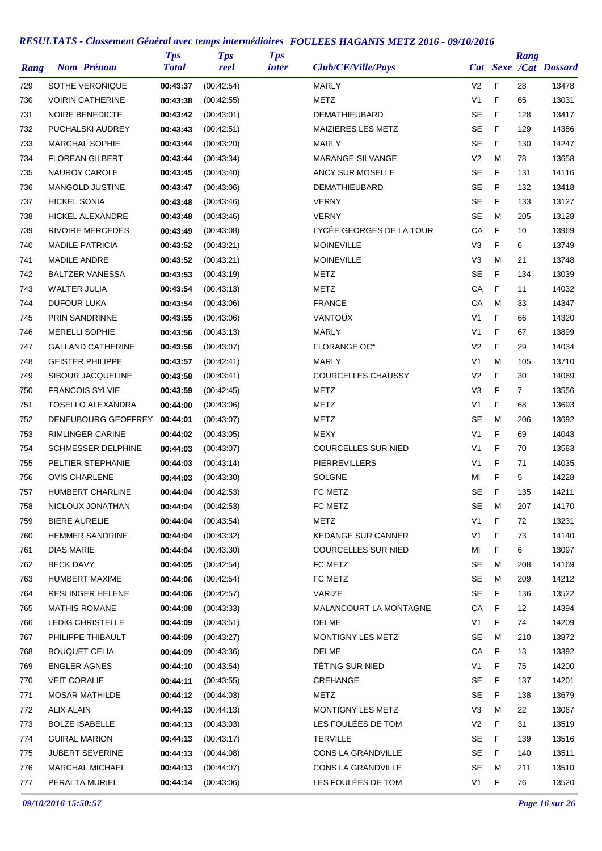| Rang | <b>Nom Prénom</b>                        | <b>Tps</b><br><b>Total</b> | <b>Tps</b><br>reel | <b>Tps</b><br><i>inter</i> | Club/CE/Ville/Pays         |                |             | Rang            | Cat Sexe /Cat Dossard |
|------|------------------------------------------|----------------------------|--------------------|----------------------------|----------------------------|----------------|-------------|-----------------|-----------------------|
| 729  | SOTHE VERONIQUE                          | 00:43:37                   | (00:42:54)         |                            | <b>MARLY</b>               | V <sub>2</sub> | F           | 28              | 13478                 |
| 730  | <b>VOIRIN CATHERINE</b>                  | 00:43:38                   | (00.42.55)         |                            | METZ                       | V <sub>1</sub> | F           | 65              | 13031                 |
| 731  | <b>NOIRE BENEDICTE</b>                   | 00:43:42                   | (00:43:01)         |                            | DEMATHIEUBARD              | <b>SE</b>      | F           | 128             | 13417                 |
| 732  | PUCHALSKI AUDREY                         | 00:43:43                   | (00:42:51)         |                            | MAIZIERES LES METZ         | <b>SE</b>      | F           | 129             | 14386                 |
| 733  | <b>MARCHAL SOPHIE</b>                    | 00:43:44                   | (00:43:20)         |                            | MARLY                      | <b>SE</b>      | F           | 130             | 14247                 |
| 734  | <b>FLOREAN GILBERT</b>                   | 00:43:44                   | (00:43:34)         |                            | MARANGE-SILVANGE           | V <sub>2</sub> | M           | 78              | 13658                 |
| 735  | NAUROY CAROLE                            | 00:43:45                   | (00:43:40)         |                            | ANCY SUR MOSELLE           | <b>SE</b>      | F           | 131             | 14116                 |
| 736  | <b>MANGOLD JUSTINE</b>                   | 00:43:47                   | (00:43:06)         |                            | <b>DEMATHIEUBARD</b>       | <b>SE</b>      | F           | 132             | 13418                 |
| 737  | <b>HICKEL SONIA</b>                      | 00:43:48                   | (00:43:46)         |                            | <b>VERNY</b>               | <b>SE</b>      | F           | 133             | 13127                 |
| 738  | <b>HICKEL ALEXANDRE</b>                  | 00:43:48                   | (00:43:46)         |                            | <b>VERNY</b>               | <b>SE</b>      | м           | 205             | 13128                 |
| 739  | <b>RIVOIRE MERCEDES</b>                  | 00:43:49                   | (00:43:08)         |                            | LYCÉE GEORGES DE LA TOUR   | CA             | F           | 10              | 13969                 |
| 740  | <b>MADILE PATRICIA</b>                   | 00:43:52                   | (00:43:21)         |                            | <b>MOINEVILLE</b>          | V <sub>3</sub> | F           | 6               | 13749                 |
| 741  | <b>MADILE ANDRE</b>                      | 00:43:52                   | (00:43:21)         |                            | <b>MOINEVILLE</b>          | V <sub>3</sub> | M           | 21              | 13748                 |
| 742  | <b>BALTZER VANESSA</b>                   | 00:43:53                   | (00:43:19)         |                            | METZ                       | <b>SE</b>      | F           | 134             | 13039                 |
| 743  | <b>WALTER JULIA</b>                      | 00:43:54                   | (00:43:13)         |                            | METZ                       | CA             | F           | 11              | 14032                 |
| 744  | <b>DUFOUR LUKA</b>                       | 00:43:54                   | (00:43:06)         |                            | <b>FRANCE</b>              | СA             | м           | 33              | 14347                 |
| 745  | PRIN SANDRINNE                           | 00:43:55                   | (00:43:06)         |                            | <b>VANTOUX</b>             | V <sub>1</sub> | F           | 66              | 14320                 |
| 746  | <b>MERELLI SOPHIE</b>                    | 00:43:56                   | (00:43:13)         |                            | <b>MARLY</b>               | V <sub>1</sub> | F           | 67              | 13899                 |
| 747  | <b>GALLAND CATHERINE</b>                 | 00:43:56                   | (00:43:07)         |                            | <b>FLORANGE OC*</b>        | V <sub>2</sub> | F           | 29              | 14034                 |
| 748  | <b>GEISTER PHILIPPE</b>                  | 00:43:57                   | (00:42:41)         |                            | MARLY                      | V <sub>1</sub> | M           | 105             | 13710                 |
| 749  | SIBOUR JACQUELINE                        | 00:43:58                   | (00:43:41)         |                            | <b>COURCELLES CHAUSSY</b>  | V <sub>2</sub> | F           | 30              | 14069                 |
| 750  | <b>FRANCOIS SYLVIE</b>                   | 00:43:59                   | (00:42:45)         |                            | METZ                       | V <sub>3</sub> | F           | $\mathbf{7}$    | 13556                 |
| 751  | <b>TOSELLO ALEXANDRA</b>                 | 00:44:00                   | (00:43:06)         |                            | METZ                       | V <sub>1</sub> | F           | 68              | 13693                 |
| 752  | DENEUBOURG GEOFFREY                      | 00:44:01                   | (00:43:07)         |                            | METZ                       | SE             | M           | 206             | 13692                 |
| 753  | <b>RIMLINGER CARINE</b>                  | 00:44:02                   | (00:43:05)         |                            | MEXY                       | V <sub>1</sub> | F           | 69              | 14043                 |
| 754  | <b>SCHMESSER DELPHINE</b>                | 00:44:03                   | (00:43:07)         |                            | <b>COURCELLES SUR NIED</b> | V <sub>1</sub> | F           | 70              | 13583                 |
| 755  | PELTIER STEPHANIE                        | 00:44:03                   | (00.43.14)         |                            | PIERREVILLERS              | V <sub>1</sub> | F           | 71              | 14035                 |
| 756  | <b>OVIS CHARLENE</b>                     | 00:44:03                   | (00:43:30)         |                            | SOLGNE                     | MI             | F           | 5               | 14228                 |
| 757  | <b>HUMBERT CHARLINE</b>                  | 00:44:04                   | (00:42:53)         |                            | FC METZ                    | <b>SE</b>      | F           | 135             | 14211                 |
| 758  | NICLOUX JONATHAN                         | 00:44:04                   | (00:42:53)         |                            | FC METZ                    | <b>SE</b>      | M           | 207             | 14170                 |
| 759  | <b>BIERE AURELIE</b>                     | 00:44:04                   | (00:43:54)         |                            | <b>METZ</b>                | V <sub>1</sub> | F           | 72              | 13231                 |
| 760  | <b>HEMMER SANDRINE</b>                   | 00:44:04                   | (00:43:32)         |                            | <b>KEDANGE SUR CANNER</b>  | V <sub>1</sub> | F           | 73              | 14140                 |
| 761  | DIAS MARIE                               | 00:44:04                   | (00:43:30)         |                            | COURCELLES SUR NIED        | МI             | F           | 6               | 13097                 |
| 762  | <b>BECK DAVY</b>                         | 00:44:05                   | (00:42:54)         |                            | FC METZ                    | SE             | м           | 208             | 14169                 |
| 763  | <b>HUMBERT MAXIME</b>                    | 00:44:06                   | (00:42:54)         |                            | FC METZ                    | SE             | м           | 209             | 14212                 |
| 764  | <b>RESLINGER HELENE</b>                  | 00:44:06                   | (00:42:57)         |                            | VARIZE                     | SE             | F           | 136             | 13522                 |
| 765  | <b>MATHIS ROMANE</b>                     | 00:44:08                   | (00:43:33)         |                            | MALANCOURT LA MONTAGNE     | CA             | F           | 12 <sup>°</sup> | 14394                 |
| 766  | LEDIG CHRISTELLE                         | 00:44:09                   | (00:43:51)         |                            | DELME                      | V1             | F           | 74              | 14209                 |
| 767  | PHILIPPE THIBAULT                        | 00:44:09                   | (00:43:27)         |                            | MONTIGNY LES METZ          | SE             | м           | 210             | 13872                 |
| 768  | <b>BOUQUET CELIA</b>                     | 00:44:09                   | (00:43:36)         |                            | DELME                      | СA             | $\mathsf F$ | 13              | 13392                 |
| 769  | <b>ENGLER AGNES</b>                      | 00:44:10                   | (00:43:54)         |                            | TÉTING SUR NIED            | V1             | F           | 75              | 14200                 |
| 770  | <b>VEIT CORALIE</b>                      | 00:44:11                   | (00:43:55)         |                            | CREHANGE                   | SE             | F           | 137             | 14201                 |
| 771  | <b>MOSAR MATHILDE</b>                    | 00:44:12                   | (00:44:03)         |                            | METZ                       | SE             | F           | 138             | 13679                 |
| 772  | <b>ALIX ALAIN</b>                        | 00:44:13                   | (00:44:13)         |                            | MONTIGNY LES METZ          | V3             | M           | 22              | 13067                 |
| 773  | <b>BOLZE ISABELLE</b>                    | 00:44:13                   | (00:43:03)         |                            | LES FOULÉES DE TOM         | V2             | F           | 31              | 13519                 |
| 774  | <b>GUIRAL MARION</b>                     | 00:44:13                   | (00:43:17)         |                            | <b>TERVILLE</b>            | SE             | F           | 139             | 13516                 |
|      | JUBERT SEVERINE                          | 00:44:13                   |                    |                            | CONS LA GRANDVILLE         | SE             | F           |                 | 13511                 |
| 775  |                                          |                            | (00:44:08)         |                            | CONS LA GRANDVILLE         | SE             | м           | 140<br>211      |                       |
| 776  | <b>MARCHAL MICHAEL</b><br>PERALTA MURIEL | 00:44:13                   | (00:44:07)         |                            | LES FOULÉES DE TOM         | V <sub>1</sub> | F           | 76              | 13510<br>13520        |
| 777  |                                          | 00:44:14                   | (00:43:06)         |                            |                            |                |             |                 |                       |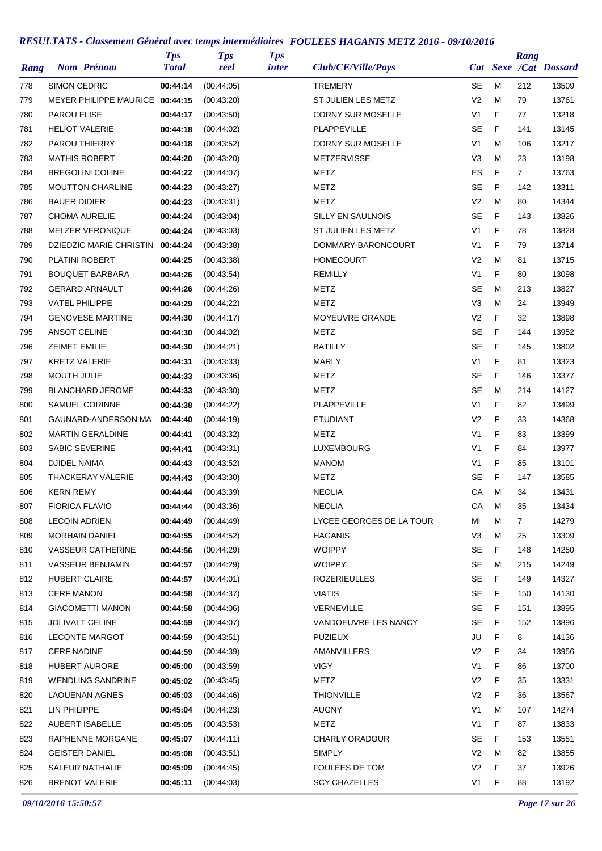| Rang |                       | <b>Nom Prénom</b>               | <b>Tps</b><br><b>Total</b> | <b>Tps</b><br>reel | <b>Tps</b><br>inter | Club/CE/Ville/Pays        |                |   | Rang           | Cat Sexe /Cat Dossard |
|------|-----------------------|---------------------------------|----------------------------|--------------------|---------------------|---------------------------|----------------|---|----------------|-----------------------|
| 778  | <b>SIMON CEDRIC</b>   |                                 | 00:44:14                   | (00:44:05)         |                     | TREMERY                   | SE             | M | 212            | 13509                 |
| 779  |                       | MEYER PHILIPPE MAURICE 00:44:15 |                            | (00:43:20)         |                     | <b>ST JULIEN LES METZ</b> | V <sub>2</sub> | м | 79             | 13761                 |
| 780  | <b>PAROU ELISE</b>    |                                 | 00:44:17                   | (00.43.50)         |                     | <b>CORNY SUR MOSELLE</b>  | V <sub>1</sub> | F | 77             | 13218                 |
| 781  |                       | <b>HELIOT VALERIE</b>           | 00:44:18                   | (00:44:02)         |                     | <b>PLAPPEVILLE</b>        | <b>SE</b>      | F | 141            | 13145                 |
| 782  |                       | PAROU THIERRY                   | 00:44:18                   | (00:43:52)         |                     | <b>CORNY SUR MOSELLE</b>  | V <sub>1</sub> | M | 106            | 13217                 |
| 783  |                       | <b>MATHIS ROBERT</b>            | 00:44:20                   | (00:43:20)         |                     | METZERVISSE               | V3             | M | 23             | 13198                 |
| 784  |                       | <b>BREGOLINI COLINE</b>         | 00:44:22                   | (00:44:07)         |                     | METZ                      | ES             | F | $\overline{7}$ | 13763                 |
| 785  |                       | <b>MOUTTON CHARLINE</b>         | 00:44:23                   | (00:43:27)         |                     | METZ                      | SE             | F | 142            | 13311                 |
| 786  | <b>BAUER DIDIER</b>   |                                 | 00:44:23                   | (00:43:31)         |                     | METZ                      | V <sub>2</sub> | M | 80             | 14344                 |
| 787  |                       | <b>CHOMA AURELIE</b>            | 00:44:24                   | (00:43:04)         |                     | SILLY EN SAULNOIS         | <b>SE</b>      | F | 143            | 13826                 |
| 788  |                       | <b>MELZER VERONIQUE</b>         | 00:44:24                   | (00:43:03)         |                     | ST JULIEN LES METZ        | V <sub>1</sub> | F | 78             | 13828                 |
| 789  |                       | DZIEDZIC MARIE CHRISTIN         | 00:44:24                   | (00:43:38)         |                     | DOMMARY-BARONCOURT        | V <sub>1</sub> | F | 79             | 13714                 |
| 790  |                       | PLATINI ROBERT                  | 00:44:25                   | (00:43:38)         |                     | <b>HOMECOURT</b>          | V <sub>2</sub> | M | 81             | 13715                 |
| 791  |                       | <b>BOUQUET BARBARA</b>          | 00:44:26                   | (00:43:54)         |                     | <b>REMILLY</b>            | V <sub>1</sub> | F | 80             | 13098                 |
| 792  |                       | <b>GERARD ARNAULT</b>           | 00:44:26                   | (00:44:26)         |                     | <b>METZ</b>               | <b>SE</b>      | M | 213            | 13827                 |
| 793  | <b>VATEL PHILIPPE</b> |                                 | 00:44:29                   | (00:44:22)         |                     | METZ                      | V3             | M | 24             | 13949                 |
| 794  |                       | <b>GENOVESE MARTINE</b>         | 00:44:30                   | (00:44:17)         |                     | MOYEUVRE GRANDE           | V <sub>2</sub> | F | 32             | 13898                 |
| 795  | <b>ANSOT CELINE</b>   |                                 | 00:44:30                   | (00:44:02)         |                     | METZ                      | <b>SE</b>      | F | 144            | 13952                 |
| 796  | <b>ZEIMET EMILIE</b>  |                                 | 00:44:30                   | (00:44:21)         |                     | <b>BATILLY</b>            | <b>SE</b>      | F | 145            | 13802                 |
| 797  |                       | <b>KRETZ VALERIE</b>            | 00:44:31                   | (00:43:33)         |                     | <b>MARLY</b>              | V <sub>1</sub> | F | 81             | 13323                 |
| 798  | MOUTH JULIE           |                                 | 00:44:33                   | (00:43:36)         |                     | METZ                      | <b>SE</b>      | F | 146            | 13377                 |
| 799  |                       | <b>BLANCHARD JEROME</b>         | 00:44:33                   | (00:43:30)         |                     | METZ                      | SE             | M | 214            | 14127                 |
| 800  |                       | <b>SAMUEL CORINNE</b>           | 00:44:38                   | (00:44:22)         |                     | <b>PLAPPEVILLE</b>        | V <sub>1</sub> | F | 82             | 13499                 |
| 801  |                       | GAUNARD-ANDERSON MA             | 00:44:40                   |                    |                     | <b>ETUDIANT</b>           | V <sub>2</sub> | F | 33             | 14368                 |
| 802  |                       | <b>MARTIN GERALDINE</b>         |                            | (00:44:19)         |                     | METZ                      | V <sub>1</sub> | F | 83             | 13399                 |
|      |                       | <b>SABIC SEVERINE</b>           | 00:44:41                   | (00:43:32)         |                     | LUXEMBOURG                | V <sub>1</sub> | F | 84             | 13977                 |
| 803  |                       |                                 | 00:44:41                   | (00:43:31)         |                     |                           |                |   |                |                       |
| 804  | <b>DJIDEL NAIMA</b>   |                                 | 00:44:43                   | (00:43:52)         |                     | <b>MANOM</b>              | V <sub>1</sub> | F | 85             | 13101                 |
| 805  |                       | <b>THACKERAY VALERIE</b>        | 00:44:43                   | (00:43:30)         |                     | METZ                      | <b>SE</b>      | F | 147            | 13585                 |
| 806  | <b>KERN REMY</b>      |                                 | 00:44:44                   | (00:43:39)         |                     | <b>NEOLIA</b>             | CA             | M | 34             | 13431                 |
| 807  | <b>FIORICA FLAVIO</b> |                                 | 00:44:44                   | (00:43:36)         |                     | <b>NEOLIA</b>             | CA             | M | 35             | 13434                 |
| 808  | <b>LECOIN ADRIEN</b>  |                                 | 00:44:49                   | (00:44:49)         |                     | LYCEE GEORGES DE LA TOUR  | MI             | M | 7              | 14279                 |
| 809  |                       | <b>MORHAIN DANIEL</b>           | 00:44:55                   | (00.44.52)         |                     | <b>HAGANIS</b>            | V3             | M | 25             | 13309                 |
| 810  |                       | <b>VASSEUR CATHERINE</b>        | 00:44:56                   | (00:44:29)         |                     | <b>WOIPPY</b>             | SE             | F | 148            | 14250                 |
| 811  |                       | VASSEUR BENJAMIN                | 00:44:57                   | (00:44:29)         |                     | <b>WOIPPY</b>             | SE             | M | 215            | 14249                 |
| 812  |                       | <b>HUBERT CLAIRE</b>            | 00:44:57                   | (00:44:01)         |                     | <b>ROZERIEULLES</b>       | <b>SE</b>      | F | 149            | 14327                 |
| 813  | <b>CERF MANON</b>     |                                 | 00:44:58                   | (00:44:37)         |                     | <b>VIATIS</b>             | SE             | F | 150            | 14130                 |
| 814  |                       | <b>GIACOMETTI MANON</b>         | 00:44:58                   | (00:44:06)         |                     | VERNEVILLE                | <b>SE</b>      | F | 151            | 13895                 |
| 815  |                       | <b>JOLIVALT CELINE</b>          | 00:44:59                   | (00:44:07)         |                     | VANDOEUVRE LES NANCY      | <b>SE</b>      | F | 152            | 13896                 |
| 816  |                       | <b>LECONTE MARGOT</b>           | 00:44:59                   | (00:43:51)         |                     | <b>PUZIEUX</b>            | JU             | F | 8              | 14136                 |
| 817  | <b>CERF NADINE</b>    |                                 | 00:44:59                   | (00:44:39)         |                     | AMANVILLERS               | V <sub>2</sub> | F | 34             | 13956                 |
| 818  |                       | <b>HUBERT AURORE</b>            | 00:45:00                   | (00:43:59)         |                     | <b>VIGY</b>               | V1             | F | 86             | 13700                 |
| 819  |                       | <b>WENDLING SANDRINE</b>        | 00:45:02                   | (00.43.45)         |                     | <b>METZ</b>               | V <sub>2</sub> | F | 35             | 13331                 |
| 820  |                       | <b>LAOUENAN AGNES</b>           | 00:45:03                   | (00:44:46)         |                     | <b>THIONVILLE</b>         | V <sub>2</sub> | F | 36             | 13567                 |
| 821  | LIN PHILIPPE          |                                 | 00:45:04                   | (00:44:23)         |                     | <b>AUGNY</b>              | V <sub>1</sub> | M | 107            | 14274                 |
| 822  |                       | AUBERT ISABELLE                 | 00:45:05                   | (00:43:53)         |                     | <b>METZ</b>               | V1             | F | 87             | 13833                 |
| 823  |                       | RAPHENNE MORGANE                | 00:45:07                   | (00:44:11)         |                     | <b>CHARLY ORADOUR</b>     | SE             | F | 153            | 13551                 |
| 824  |                       | <b>GEISTER DANIEL</b>           | 00:45:08                   | (00:43:51)         |                     | <b>SIMPLY</b>             | V <sub>2</sub> | M | 82             | 13855                 |
| 825  |                       | SALEUR NATHALIE                 | 00:45:09                   | (00:44:45)         |                     | FOULÉES DE TOM            | V <sub>2</sub> | F | 37             | 13926                 |
| 826  |                       | <b>BRENOT VALERIE</b>           | 00:45:11                   | (00:44:03)         |                     | <b>SCY CHAZELLES</b>      | V <sub>1</sub> | F | 88             | 13192                 |

*09/10/2016 15:50:57 Page 17 sur 26*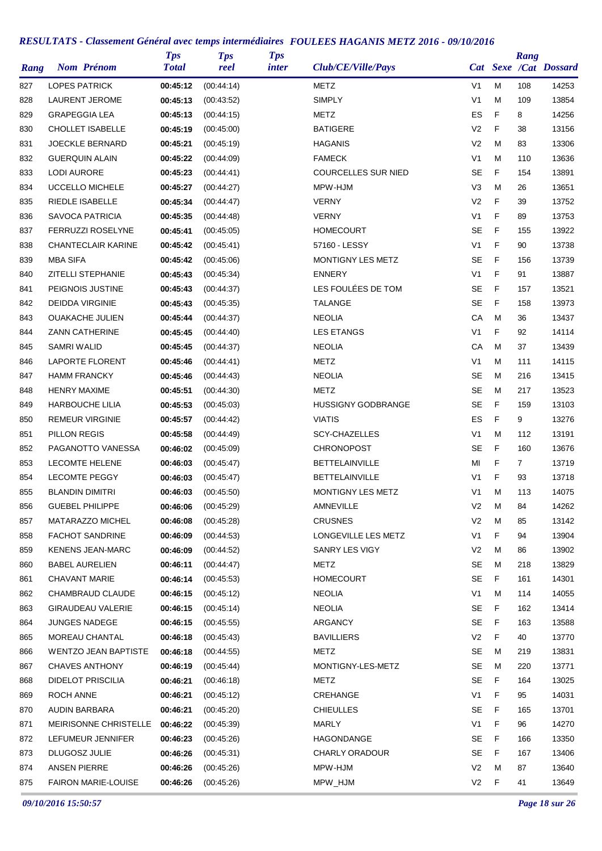| Rang |                        | <b>Nom Prénom</b>           | <b>Tps</b><br><b>Total</b> | <b>Tps</b><br>reel | <b>Tps</b><br><i>inter</i> | Club/CE/Ville/Pays         |                |   | Rang         | Cat Sexe /Cat Dossard |
|------|------------------------|-----------------------------|----------------------------|--------------------|----------------------------|----------------------------|----------------|---|--------------|-----------------------|
| 827  | <b>LOPES PATRICK</b>   |                             | 00:45:12                   | (00:44:14)         |                            | METZ                       | V <sub>1</sub> | M | 108          | 14253                 |
| 828  |                        | LAURENT JEROME              | 00:45:13                   | (00:43:52)         |                            | <b>SIMPLY</b>              | V <sub>1</sub> | M | 109          | 13854                 |
| 829  | <b>GRAPEGGIA LEA</b>   |                             | 00:45:13                   | (00:44:15)         |                            | METZ                       | ES             | F | 8            | 14256                 |
| 830  |                        | <b>CHOLLET ISABELLE</b>     | 00:45:19                   | (00:45:00)         |                            | <b>BATIGERE</b>            | V <sub>2</sub> | F | 38           | 13156                 |
| 831  |                        | <b>JOECKLE BERNARD</b>      | 00:45:21                   | (00:45:19)         |                            | <b>HAGANIS</b>             | V2             | M | 83           | 13306                 |
| 832  |                        | <b>GUERQUIN ALAIN</b>       | 00:45:22                   | (00:44:09)         |                            | <b>FAMECK</b>              | V <sub>1</sub> | M | 110          | 13636                 |
| 833  | <b>LODI AURORE</b>     |                             | 00:45:23                   | (00:44:41)         |                            | <b>COURCELLES SUR NIED</b> | <b>SE</b>      | F | 154          | 13891                 |
| 834  |                        | UCCELLO MICHELE             | 00:45:27                   | (00:44:27)         |                            | MPW-HJM                    | V3             | M | 26           | 13651                 |
| 835  |                        | RIEDLE ISABELLE             | 00:45:34                   | (00:44:47)         |                            | <b>VERNY</b>               | V <sub>2</sub> | F | 39           | 13752                 |
| 836  |                        | <b>SAVOCA PATRICIA</b>      | 00:45:35                   | (00:44:48)         |                            | <b>VERNY</b>               | V <sub>1</sub> | F | 89           | 13753                 |
| 837  |                        | <b>FERRUZZI ROSELYNE</b>    | 00:45:41                   | (00:45:05)         |                            | <b>HOMECOURT</b>           | <b>SE</b>      | F | 155          | 13922                 |
| 838  |                        | <b>CHANTECLAIR KARINE</b>   | 00:45:42                   | (00.45.41)         |                            | 57160 - LESSY              | V <sub>1</sub> | F | 90           | 13738                 |
| 839  | <b>MBA SIFA</b>        |                             | 00:45:42                   | (00:45:06)         |                            | MONTIGNY LES METZ          | <b>SE</b>      | F | 156          | 13739                 |
| 840  |                        | <b>ZITELLI STEPHANIE</b>    | 00:45:43                   | (00.45.34)         |                            | <b>ENNERY</b>              | V <sub>1</sub> | F | 91           | 13887                 |
| 841  |                        | PEIGNOIS JUSTINE            | 00:45:43                   | (00.44.37)         |                            | LES FOULÉES DE TOM         | <b>SE</b>      | F | 157          | 13521                 |
| 842  | <b>DEIDDA VIRGINIE</b> |                             | 00:45:43                   | (00:45:35)         |                            | <b>TALANGE</b>             | <b>SE</b>      | F | 158          | 13973                 |
| 843  |                        | <b>OUAKACHE JULIEN</b>      | 00:45:44                   | (00:44:37)         |                            | <b>NEOLIA</b>              | СA             | M | 36           | 13437                 |
| 844  |                        | <b>ZANN CATHERINE</b>       | 00:45:45                   | (00:44:40)         |                            | <b>LES ETANGS</b>          | V <sub>1</sub> | F | 92           | 14114                 |
| 845  | SAMRI WALID            |                             | 00:45:45                   | (00.44.37)         |                            | <b>NEOLIA</b>              | СA             | M | 37           | 13439                 |
| 846  |                        | <b>LAPORTE FLORENT</b>      | 00:45:46                   | (00:44:41)         |                            | <b>METZ</b>                | V <sub>1</sub> | M | 111          | 14115                 |
| 847  | <b>HAMM FRANCKY</b>    |                             | 00:45:46                   | (00:44:43)         |                            | <b>NEOLIA</b>              | <b>SE</b>      | м | 216          | 13415                 |
| 848  | <b>HENRY MAXIME</b>    |                             | 00:45:51                   | (00:44:30)         |                            | METZ                       | <b>SE</b>      | M | 217          | 13523                 |
| 849  |                        | <b>HARBOUCHE LILIA</b>      | 00:45:53                   | (00:45:03)         |                            | <b>HUSSIGNY GODBRANGE</b>  | SE             | F | 159          | 13103                 |
| 850  |                        | <b>REMEUR VIRGINIE</b>      | 00:45:57                   | (00:44:42)         |                            | <b>VIATIS</b>              | ES             | F | 9            | 13276                 |
| 851  | PILLON REGIS           |                             | 00:45:58                   | (00.44.49)         |                            | <b>SCY-CHAZELLES</b>       | V <sub>1</sub> | M | 112          | 13191                 |
| 852  |                        | PAGANOTTO VANESSA           | 00:46:02                   | (00:45:09)         |                            | <b>CHRONOPOST</b>          | <b>SE</b>      | F | 160          | 13676                 |
| 853  |                        | <b>LECOMTE HELENE</b>       | 00:46:03                   | (00.45.47)         |                            | <b>BETTELAINVILLE</b>      | MI             | F | $\mathbf{7}$ | 13719                 |
| 854  |                        | <b>LECOMTE PEGGY</b>        | 00:46:03                   | (00:45:47)         |                            | <b>BETTELAINVILLE</b>      | V <sub>1</sub> | F | 93           | 13718                 |
| 855  | <b>BLANDIN DIMITRI</b> |                             | 00:46:03                   | (00:45:50)         |                            | MONTIGNY LES METZ          | V <sub>1</sub> | M | 113          | 14075                 |
| 856  |                        | <b>GUEBEL PHILIPPE</b>      | 00:46:06                   | (00:45:29)         |                            | <b>AMNEVILLE</b>           | V <sub>2</sub> | M | 84           | 14262                 |
| 857  |                        | MATARAZZO MICHEL            | 00:46:08                   | (00:45:28)         |                            | <b>CRUSNES</b>             | V <sub>2</sub> | M | 85           | 13142                 |
| 858  |                        | <b>FACHOT SANDRINE</b>      | 00:46:09                   | (00:44:53)         |                            | LONGEVILLE LES METZ        | V1             | F | 94           | 13904                 |
| 859  |                        | <b>KENENS JEAN-MARC</b>     | 00:46:09                   | (00:44:52)         |                            | SANRY LES VIGY             | V2             | M | 86           | 13902                 |
| 860  |                        | <b>BABEL AURELIEN</b>       | 00:46:11                   | (00.44.47)         |                            | <b>METZ</b>                | <b>SE</b>      | М | 218          | 13829                 |
| 861  | <b>CHAVANT MARIE</b>   |                             | 00:46:14                   | (00:45:53)         |                            | <b>HOMECOURT</b>           | <b>SE</b>      | F | 161          | 14301                 |
| 862  |                        | CHAMBRAUD CLAUDE            | 00:46:15                   | (00:45:12)         |                            | <b>NEOLIA</b>              | V <sub>1</sub> | M | 114          | 14055                 |
| 863  |                        | <b>GIRAUDEAU VALERIE</b>    | 00:46:15                   | (00.45.14)         |                            | <b>NEOLIA</b>              | <b>SE</b>      | F | 162          | 13414                 |
| 864  |                        | <b>JUNGES NADEGE</b>        | 00:46:15                   | (00:45:55)         |                            | ARGANCY                    | SE             | F | 163          | 13588                 |
| 865  |                        | MOREAU CHANTAL              | 00:46:18                   | (00.45.43)         |                            | <b>BAVILLIERS</b>          | V2             | F | 40           | 13770                 |
| 866  |                        | <b>WENTZO JEAN BAPTISTE</b> | 00:46:18                   | (00:44:55)         |                            | METZ                       | SE             | м | 219          | 13831                 |
| 867  |                        | <b>CHAVES ANTHONY</b>       | 00:46:19                   | (00.45.44)         |                            | MONTIGNY-LES-METZ          | SE             | м | 220          | 13771                 |
| 868  |                        | <b>DIDELOT PRISCILIA</b>    | 00:46:21                   | (00.46.18)         |                            | METZ                       | SE             | F | 164          | 13025                 |
| 869  | ROCH ANNE              |                             | 00:46:21                   | (00:45:12)         |                            | CREHANGE                   | V1             | F | 95           | 14031                 |
| 870  | AUDIN BARBARA          |                             | 00:46:21                   | (00:45:20)         |                            | <b>CHIEULLES</b>           | SE             | F | 165          | 13701                 |
| 871  |                        | MEIRISONNE CHRISTELLE       | 00:46:22                   | (00:45:39)         |                            | MARLY                      | V1             | F | 96           | 14270                 |
| 872  |                        | LEFUMEUR JENNIFER           | 00:46:23                   | (00:45:26)         |                            | HAGONDANGE                 | <b>SE</b>      | F | 166          | 13350                 |
| 873  | DLUGOSZ JULIE          |                             | 00:46:26                   | (00:45:31)         |                            | <b>CHARLY ORADOUR</b>      | SE             | F | 167          | 13406                 |
| 874  | ANSEN PIERRE           |                             | 00:46:26                   | (00:45:26)         |                            | MPW-HJM                    | V2             | M | 87           | 13640                 |
| 875  |                        | <b>FAIRON MARIE-LOUISE</b>  | 00:46:26                   | (00:45:26)         |                            | MPW_HJM                    | V <sub>2</sub> | F | 41           | 13649                 |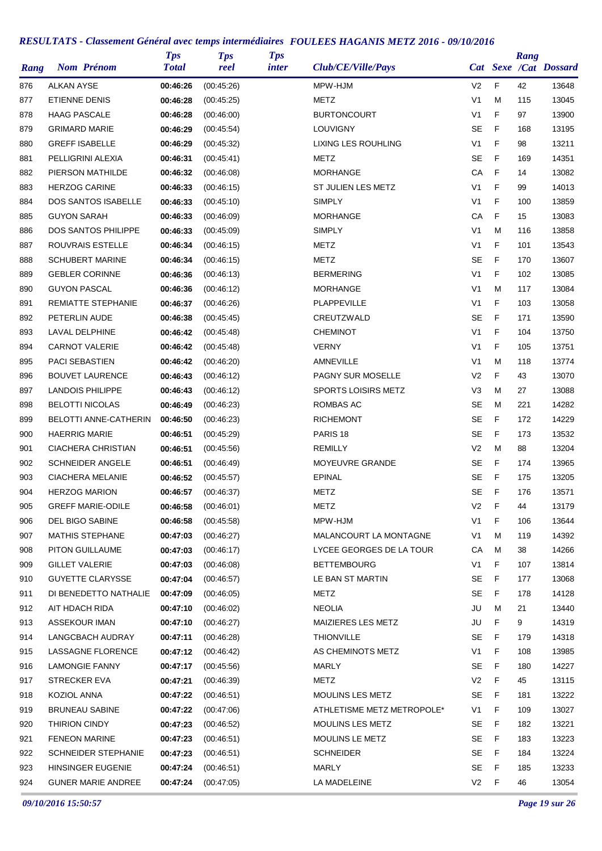| Rang | <b>Nom Prénom</b>          | <b>Tps</b><br><b>Total</b> | <b>Tps</b><br>reel | <b>Tps</b><br><i>inter</i> | Club/CE/Ville/Pays         |                |             | Rang | Cat Sexe /Cat Dossard |
|------|----------------------------|----------------------------|--------------------|----------------------------|----------------------------|----------------|-------------|------|-----------------------|
| 876  | ALKAN AYSE                 | 00:46:26                   | (00:45:26)         |                            | MPW-HJM                    | V <sub>2</sub> | F           | 42   | 13648                 |
| 877  | <b>ETIENNE DENIS</b>       | 00:46:28                   | (00:45:25)         |                            | METZ                       | V <sub>1</sub> | M           | 115  | 13045                 |
| 878  | <b>HAAG PASCALE</b>        | 00:46:28                   | (00:46:00)         |                            | <b>BURTONCOURT</b>         | V <sub>1</sub> | F           | 97   | 13900                 |
| 879  | <b>GRIMARD MARIE</b>       | 00:46:29                   | (00:45:54)         |                            | LOUVIGNY                   | SE             | F           | 168  | 13195                 |
| 880  | <b>GREFF ISABELLE</b>      | 00:46:29                   | (00:45:32)         |                            | LIXING LES ROUHLING        | V <sub>1</sub> | F           | 98   | 13211                 |
| 881  | PELLIGRINI ALEXIA          | 00:46:31                   | (00.45.41)         |                            | METZ                       | <b>SE</b>      | F           | 169  | 14351                 |
| 882  | PIERSON MATHILDE           | 00:46:32                   | (00:46:08)         |                            | <b>MORHANGE</b>            | CA             | F           | 14   | 13082                 |
| 883  | <b>HERZOG CARINE</b>       | 00:46:33                   | (00.46.15)         |                            | <b>ST JULIEN LES METZ</b>  | V <sub>1</sub> | F           | 99   | 14013                 |
| 884  | DOS SANTOS ISABELLE        | 00:46:33                   | (00:45:10)         |                            | <b>SIMPLY</b>              | V <sub>1</sub> | F           | 100  | 13859                 |
| 885  | <b>GUYON SARAH</b>         | 00:46:33                   | (00:46:09)         |                            | <b>MORHANGE</b>            | CA             | F           | 15   | 13083                 |
| 886  | <b>DOS SANTOS PHILIPPE</b> | 00:46:33                   | (00:45:09)         |                            | <b>SIMPLY</b>              | V1             | M           | 116  | 13858                 |
| 887  | ROUVRAIS ESTELLE           | 00:46:34                   | (00:46:15)         |                            | METZ                       | V <sub>1</sub> | F           | 101  | 13543                 |
| 888  | <b>SCHUBERT MARINE</b>     | 00:46:34                   | (00.46.15)         |                            | METZ                       | SE             | F           | 170  | 13607                 |
| 889  | <b>GEBLER CORINNE</b>      | 00:46:36                   | (00.46.13)         |                            | <b>BERMERING</b>           | V <sub>1</sub> | F           | 102  | 13085                 |
| 890  | <b>GUYON PASCAL</b>        | 00:46:36                   | (00:46:12)         |                            | <b>MORHANGE</b>            | V <sub>1</sub> | M           | 117  | 13084                 |
| 891  | <b>REMIATTE STEPHANIE</b>  | 00:46:37                   | (00.46.26)         |                            | PLAPPEVILLE                | V <sub>1</sub> | F           | 103  | 13058                 |
| 892  | PETERLIN AUDE              | 00:46:38                   | (00.45.45)         |                            | CREUTZWALD                 | <b>SE</b>      | F           | 171  | 13590                 |
| 893  | <b>LAVAL DELPHINE</b>      | 00:46:42                   | (00.45.48)         |                            | <b>CHEMINOT</b>            | V <sub>1</sub> | F           | 104  | 13750                 |
| 894  | CARNOT VALERIE             | 00:46:42                   | (00:45:48)         |                            | <b>VERNY</b>               | V <sub>1</sub> | F           | 105  | 13751                 |
| 895  | <b>PACI SEBASTIEN</b>      | 00:46:42                   | (00:46:20)         |                            | AMNEVILLE                  | V <sub>1</sub> | M           | 118  | 13774                 |
| 896  | <b>BOUVET LAURENCE</b>     | 00:46:43                   | (00.46.12)         |                            | PAGNY SUR MOSELLE          | V <sub>2</sub> | F           | 43   | 13070                 |
| 897  | <b>LANDOIS PHILIPPE</b>    | 00:46:43                   | (00.46.12)         |                            | <b>SPORTS LOISIRS METZ</b> | V3             | M           | 27   | 13088                 |
| 898  | <b>BELOTTI NICOLAS</b>     | 00:46:49                   | (00.46.23)         |                            | ROMBAS AC                  | <b>SE</b>      | M           | 221  | 14282                 |
| 899  | BELOTTI ANNE-CATHERIN      | 00:46:50                   | (00:46:23)         |                            | <b>RICHEMONT</b>           | <b>SE</b>      | F           | 172  | 14229                 |
| 900  | <b>HAERRIG MARIE</b>       | 00:46:51                   | (00:45:29)         |                            | PARIS <sub>18</sub>        | <b>SE</b>      | F           | 173  | 13532                 |
| 901  | <b>CIACHERA CHRISTIAN</b>  | 00:46:51                   | (00.45.56)         |                            | <b>REMILLY</b>             | V <sub>2</sub> | M           | 88   | 13204                 |
| 902  | <b>SCHNEIDER ANGELE</b>    | 00:46:51                   | (00.46.49)         |                            | MOYEUVRE GRANDE            | <b>SE</b>      | F           | 174  | 13965                 |
| 903  | <b>CIACHERA MELANIE</b>    | 00:46:52                   | (00:45:57)         |                            | <b>EPINAL</b>              | <b>SE</b>      | F           | 175  | 13205                 |
| 904  | <b>HERZOG MARION</b>       | 00:46:57                   | (00.46.37)         |                            | <b>METZ</b>                | <b>SE</b>      | F           | 176  | 13571                 |
| 905  | <b>GREFF MARIE-ODILE</b>   | 00:46:58                   | (00:46:01)         |                            | METZ                       | V2             | F           | 44   | 13179                 |
| 906  | DEL BIGO SABINE            | 00:46:58                   | (00:45:58)         |                            | MPW-HJM                    | V <sub>1</sub> | F           | 106  | 13644                 |
| 907  | <b>MATHIS STEPHANE</b>     | 00:47:03                   | (00:46:27)         |                            | MALANCOURT LA MONTAGNE     | V1             | M           | 119  | 14392                 |
| 908  | PITON GUILLAUME            | 00:47:03                   | (00:46:17)         |                            | LYCEE GEORGES DE LA TOUR   | СA             | M           | 38   | 14266                 |
| 909  | <b>GILLET VALERIE</b>      | 00:47:03                   | (00.46.08)         |                            | <b>BETTEMBOURG</b>         | V1             | F           | 107  | 13814                 |
| 910  | <b>GUYETTE CLARYSSE</b>    | 00:47:04                   | (00:46:57)         |                            | LE BAN ST MARTIN           | <b>SE</b>      | F           | 177  | 13068                 |
| 911  | DI BENEDETTO NATHALIE      | 00:47:09                   | (00:46:05)         |                            | METZ                       | SE             | F           | 178  | 14128                 |
| 912  | AIT HDACH RIDA             | 00:47:10                   | (00.46.02)         |                            | <b>NEOLIA</b>              | JU             | M           | 21   | 13440                 |
| 913  | ASSEKOUR IMAN              | 00:47:10                   | (00:46:27)         |                            | MAIZIERES LES METZ         | JU             | F           | 9    | 14319                 |
| 914  | LANGCBACH AUDRAY           | 00:47:11                   | (00:46:28)         |                            | <b>THIONVILLE</b>          | SE             | F           | 179  | 14318                 |
| 915  | LASSAGNE FLORENCE          | 00:47:12                   | (00:46:42)         |                            | AS CHEMINOTS METZ          | V1             | F           | 108  | 13985                 |
| 916  | <b>LAMONGIE FANNY</b>      | 00:47:17                   | (00:45:56)         |                            | MARLY                      | SE             | F           | 180  | 14227                 |
| 917  | STRECKER EVA               | 00:47:21                   | (00.46.39)         |                            | <b>METZ</b>                | V2             | F           | 45   | 13115                 |
| 918  | KOZIOL ANNA                | 00:47:22                   | (00:46:51)         |                            | MOULINS LES METZ           | SE             | F           | 181  | 13222                 |
| 919  | <b>BRUNEAU SABINE</b>      | 00:47:22                   | (00:47:06)         |                            | ATHLETISME METZ METROPOLE* | V1             | F           | 109  | 13027                 |
| 920  | THIRION CINDY              | 00:47:23                   | (00:46:52)         |                            | MOULINS LES METZ           | SE             | F           | 182  | 13221                 |
| 921  | <b>FENEON MARINE</b>       | 00:47:23                   | (00.46.51)         |                            | <b>MOULINS LE METZ</b>     | SE             | F           | 183  | 13223                 |
| 922  | SCHNEIDER STEPHANIE        | 00:47:23                   | (00:46:51)         |                            | <b>SCHNEIDER</b>           | SE             | F           | 184  | 13224                 |
| 923  | <b>HINSINGER EUGENIE</b>   | 00:47:24                   | (00:46:51)         |                            | <b>MARLY</b>               | <b>SE</b>      | $\mathsf F$ | 185  | 13233                 |
| 924  | <b>GUNER MARIE ANDREE</b>  | 00:47:24                   | (00:47:05)         |                            | LA MADELEINE               | V <sub>2</sub> | F           | 46   | 13054                 |

*09/10/2016 15:50:57 Page 19 sur 26*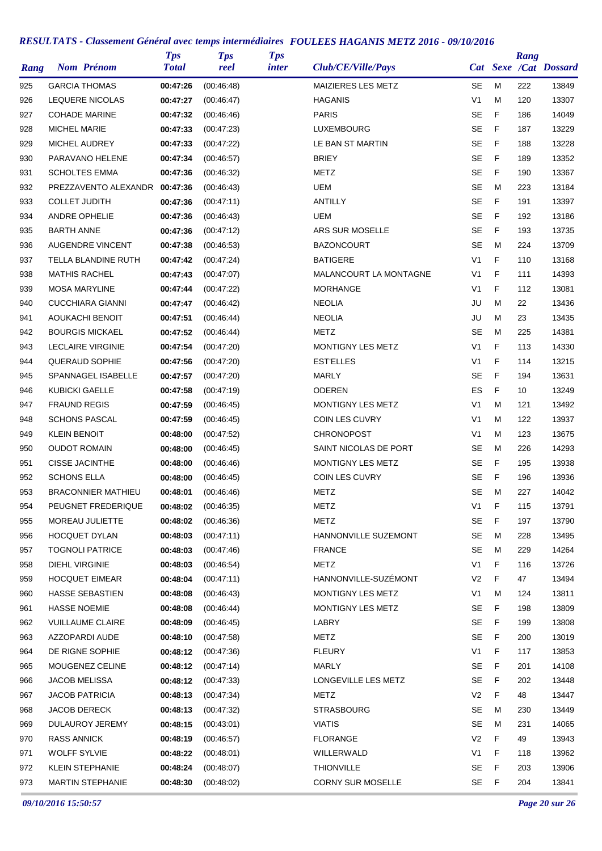| Rang | <b>Nom Prénom</b>             | <b>Tps</b><br><b>Total</b> | <b>Tps</b><br>reel | <b>Tps</b><br><i>inter</i> | Club/CE/Ville/Pays        |                |   | Rang | Cat Sexe /Cat Dossard |
|------|-------------------------------|----------------------------|--------------------|----------------------------|---------------------------|----------------|---|------|-----------------------|
| 925  | <b>GARCIA THOMAS</b>          | 00:47:26                   | (00.46.48)         |                            | <b>MAIZIERES LES METZ</b> | SE             | M | 222  | 13849                 |
| 926  | <b>LEQUERE NICOLAS</b>        | 00:47:27                   | (00.46.47)         |                            | <b>HAGANIS</b>            | V <sub>1</sub> | M | 120  | 13307                 |
| 927  | <b>COHADE MARINE</b>          | 00:47:32                   | (00:46:46)         |                            | <b>PARIS</b>              | <b>SE</b>      | F | 186  | 14049                 |
| 928  | <b>MICHEL MARIE</b>           | 00:47:33                   | (00:47:23)         |                            | <b>LUXEMBOURG</b>         | SE             | F | 187  | 13229                 |
| 929  | <b>MICHEL AUDREY</b>          | 00:47:33                   | (00:47:22)         |                            | LE BAN ST MARTIN          | <b>SE</b>      | F | 188  | 13228                 |
| 930  | PARAVANO HELENE               | 00:47:34                   | (00.46.57)         |                            | <b>BRIEY</b>              | <b>SE</b>      | F | 189  | 13352                 |
| 931  | <b>SCHOLTES EMMA</b>          | 00:47:36                   | (00:46:32)         |                            | <b>METZ</b>               | <b>SE</b>      | F | 190  | 13367                 |
| 932  | PREZZAVENTO ALEXANDR 00:47:36 |                            | (00.46.43)         |                            | <b>UEM</b>                | SE             | м | 223  | 13184                 |
| 933  | <b>COLLET JUDITH</b>          | 00:47:36                   | (00.47.11)         |                            | <b>ANTILLY</b>            | <b>SE</b>      | F | 191  | 13397                 |
| 934  | <b>ANDRE OPHELIE</b>          | 00:47:36                   | (00:46:43)         |                            | <b>UEM</b>                | <b>SE</b>      | F | 192  | 13186                 |
| 935  | <b>BARTH ANNE</b>             | 00:47:36                   | (00:47:12)         |                            | ARS SUR MOSELLE           | <b>SE</b>      | F | 193  | 13735                 |
| 936  | <b>AUGENDRE VINCENT</b>       | 00:47:38                   | (00.46.53)         |                            | <b>BAZONCOURT</b>         | <b>SE</b>      | M | 224  | 13709                 |
| 937  | TELLA BLANDINE RUTH           | 00:47:42                   | (00:47:24)         |                            | <b>BATIGERE</b>           | V <sub>1</sub> | F | 110  | 13168                 |
| 938  | <b>MATHIS RACHEL</b>          | 00:47:43                   | (00.47.07)         |                            | MALANCOURT LA MONTAGNE    | V <sub>1</sub> | F | 111  | 14393                 |
| 939  | <b>MOSA MARYLINE</b>          | 00:47:44                   | (00:47:22)         |                            | <b>MORHANGE</b>           | V <sub>1</sub> | F | 112  | 13081                 |
| 940  | <b>CUCCHIARA GIANNI</b>       | 00:47:47                   | (00:46:42)         |                            | <b>NEOLIA</b>             | JU             | M | 22   | 13436                 |
| 941  | AOUKACHI BENOIT               | 00:47:51                   | (00:46:44)         |                            | <b>NEOLIA</b>             | JU             | M | 23   | 13435                 |
| 942  | <b>BOURGIS MICKAEL</b>        | 00:47:52                   | (00.46.44)         |                            | METZ                      | SE             | M | 225  | 14381                 |
| 943  | <b>LECLAIRE VIRGINIE</b>      | 00:47:54                   | (00:47:20)         |                            | MONTIGNY LES METZ         | V <sub>1</sub> | F | 113  | 14330                 |
| 944  | <b>QUERAUD SOPHIE</b>         | 00:47:56                   | (00:47:20)         |                            | <b>EST'ELLES</b>          | V <sub>1</sub> | F | 114  | 13215                 |
| 945  | SPANNAGEL ISABELLE            | 00:47:57                   | (00:47:20)         |                            | <b>MARLY</b>              | <b>SE</b>      | F | 194  | 13631                 |
| 946  | <b>KUBICKI GAELLE</b>         | 00:47:58                   | (00:47:19)         |                            | <b>ODEREN</b>             | ES             | F | 10   | 13249                 |
|      | <b>FRAUND REGIS</b>           |                            |                    |                            | MONTIGNY LES METZ         | V <sub>1</sub> | M | 121  | 13492                 |
| 947  | <b>SCHONS PASCAL</b>          | 00:47:59                   | (00.46.45)         |                            |                           | V <sub>1</sub> | M |      |                       |
| 948  |                               | 00:47:59                   | (00:46:45)         |                            | <b>COIN LES CUVRY</b>     |                | M | 122  | 13937                 |
| 949  | <b>KLEIN BENOIT</b>           | 00:48:00                   | (00:47:52)         |                            | <b>CHRONOPOST</b>         | V <sub>1</sub> |   | 123  | 13675                 |
| 950  | <b>OUDOT ROMAIN</b>           | 00:48:00                   | (00:46:45)         |                            | SAINT NICOLAS DE PORT     | SE             | м | 226  | 14293                 |
| 951  | <b>CISSE JACINTHE</b>         | 00:48:00                   | (00:46:46)         |                            | MONTIGNY LES METZ         | SE             | F | 195  | 13938                 |
| 952  | <b>SCHONS ELLA</b>            | 00:48:00                   | (00:46:45)         |                            | <b>COIN LES CUVRY</b>     | <b>SE</b>      | F | 196  | 13936                 |
| 953  | <b>BRACONNIER MATHIEU</b>     | 00:48:01                   | (00:46:46)         |                            | <b>METZ</b>               | <b>SE</b>      | M | 227  | 14042                 |
| 954  | PEUGNET FREDERIQUE            | 00:48:02                   | (00:46:35)         |                            | METZ                      | V <sub>1</sub> | F | 115  | 13791                 |
| 955  | MOREAU JULIETTE               | 00:48:02                   | (00:46:36)         |                            | <b>METZ</b>               | SE             | F | 197  | 13790                 |
| 956  | <b>HOCQUET DYLAN</b>          | 00:48:03                   | (00:47:11)         |                            | HANNONVILLE SUZEMONT      | SE             | M | 228  | 13495                 |
| 957  | <b>TOGNOLI PATRICE</b>        | 00:48:03                   | (00.47.46)         |                            | <b>FRANCE</b>             | SE             | M | 229  | 14264                 |
| 958  | <b>DIEHL VIRGINIE</b>         | 00:48:03                   | (00:46:54)         |                            | METZ                      | V <sub>1</sub> | F | 116  | 13726                 |
| 959  | <b>HOCQUET EIMEAR</b>         | 00:48:04                   | (00.47:11)         |                            | HANNONVILLE-SUZÉMONT      | V <sub>2</sub> | F | 47   | 13494                 |
| 960  | <b>HASSE SEBASTIEN</b>        | 00:48:08                   | (00:46:43)         |                            | MONTIGNY LES METZ         | V1             | M | 124  | 13811                 |
| 961  | <b>HASSE NOEMIE</b>           | 00:48:08                   | (00:46:44)         |                            | MONTIGNY LES METZ         | SE             | F | 198  | 13809                 |
| 962  | <b>VUILLAUME CLAIRE</b>       | 00:48:09                   | (00:46:45)         |                            | LABRY                     | <b>SE</b>      | F | 199  | 13808                 |
| 963  | AZZOPARDI AUDE                | 00:48:10                   | (00.47.58)         |                            | METZ                      | SE             | F | 200  | 13019                 |
| 964  | DE RIGNE SOPHIE               | 00:48:12                   | (00:47:36)         |                            | <b>FLEURY</b>             | V <sub>1</sub> | F | 117  | 13853                 |
| 965  | MOUGENEZ CELINE               | 00:48:12                   | (00.47:14)         |                            | MARLY                     | SE             | F | 201  | 14108                 |
| 966  | <b>JACOB MELISSA</b>          | 00:48:12                   | (00.47.33)         |                            | LONGEVILLE LES METZ       | SE             | F | 202  | 13448                 |
| 967  | <b>JACOB PATRICIA</b>         | 00:48:13                   | (00:47:34)         |                            | METZ                      | V <sub>2</sub> | F | 48   | 13447                 |
| 968  | JACOB DERECK                  | 00:48:13                   | (00:47:32)         |                            | <b>STRASBOURG</b>         | SE             | м | 230  | 13449                 |
| 969  | DULAUROY JEREMY               | 00:48:15                   | (00:43:01)         |                            | <b>VIATIS</b>             | SE             | M | 231  | 14065                 |
| 970  | <b>RASS ANNICK</b>            | 00:48:19                   | (00.46.57)         |                            | <b>FLORANGE</b>           | V2             | F | 49   | 13943                 |
| 971  | <b>WOLFF SYLVIE</b>           | 00:48:22                   | (00:48:01)         |                            | WILLERWALD                | V <sub>1</sub> | F | 118  | 13962                 |
| 972  | KLEIN STEPHANIE               | 00:48:24                   | (00:48:07)         |                            | <b>THIONVILLE</b>         | SE             | F | 203  | 13906                 |
| 973  | <b>MARTIN STEPHANIE</b>       | 00:48:30                   | (00:48:02)         |                            | <b>CORNY SUR MOSELLE</b>  | SE             | F | 204  | 13841                 |

*09/10/2016 15:50:57 Page 20 sur 26*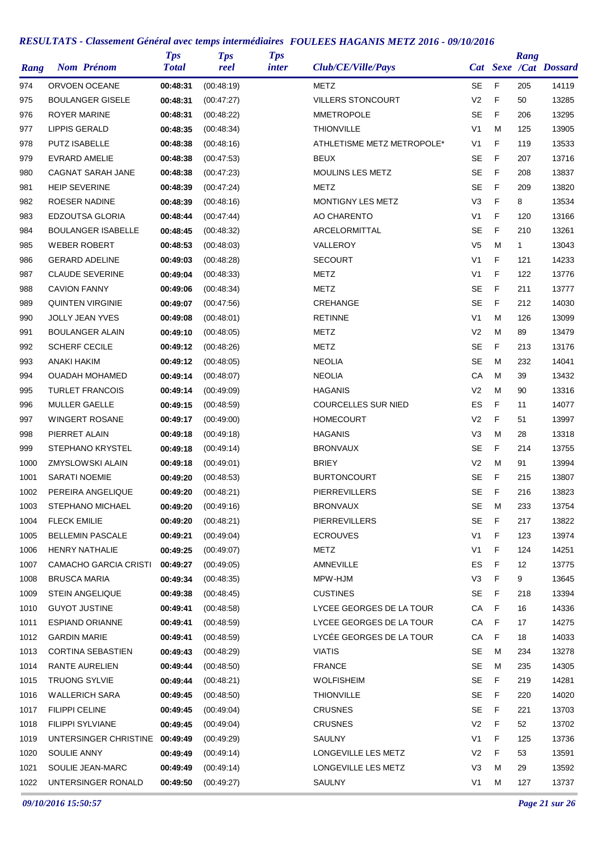| Rang |                       | <b>Nom Prénom</b>            | <b>Tps</b><br><b>Total</b> | <b>Tps</b><br>reel | <b>Tps</b><br><i>inter</i> | Club/CE/Ville/Pays         |                |             | Rang         | Cat Sexe /Cat Dossard |
|------|-----------------------|------------------------------|----------------------------|--------------------|----------------------------|----------------------------|----------------|-------------|--------------|-----------------------|
| 974  |                       | ORVOEN OCEANE                | 00:48:31                   | (00:48:19)         |                            | METZ                       | SE             | F           | 205          | 14119                 |
| 975  |                       | <b>BOULANGER GISELE</b>      | 00:48:31                   | (00.47:27)         |                            | <b>VILLERS STONCOURT</b>   | V <sub>2</sub> | F           | 50           | 13285                 |
| 976  | <b>ROYER MARINE</b>   |                              | 00:48:31                   | (00:48:22)         |                            | <b>MMETROPOLE</b>          | <b>SE</b>      | F           | 206          | 13295                 |
| 977  | <b>LIPPIS GERALD</b>  |                              | 00:48:35                   | (00:48:34)         |                            | <b>THIONVILLE</b>          | V <sub>1</sub> | M           | 125          | 13905                 |
| 978  | <b>PUTZ ISABELLE</b>  |                              | 00:48:38                   | (00:48:16)         |                            | ATHLETISME METZ METROPOLE* | V <sub>1</sub> | F           | 119          | 13533                 |
| 979  |                       | EVRARD AMELIE                | 00:48:38                   | (00:47:53)         |                            | <b>BEUX</b>                | <b>SE</b>      | F           | 207          | 13716                 |
| 980  |                       | <b>CAGNAT SARAH JANE</b>     | 00:48:38                   | (00:47:23)         |                            | <b>MOULINS LES METZ</b>    | <b>SE</b>      | F           | 208          | 13837                 |
| 981  | <b>HEIP SEVERINE</b>  |                              | 00:48:39                   | (00:47:24)         |                            | METZ                       | SE             | F           | 209          | 13820                 |
| 982  |                       | ROESER NADINE                | 00:48:39                   | (00:48:16)         |                            | MONTIGNY LES METZ          | V <sub>3</sub> | F           | 8            | 13534                 |
| 983  |                       | EDZOUTSA GLORIA              | 00:48:44                   | (00:47:44)         |                            | AO CHARENTO                | V <sub>1</sub> | F           | 120          | 13166                 |
| 984  |                       | <b>BOULANGER ISABELLE</b>    | 00:48:45                   | (00:48:32)         |                            | ARCELORMITTAL              | <b>SE</b>      | F           | 210          | 13261                 |
| 985  |                       | <b>WEBER ROBERT</b>          | 00:48:53                   | (00:48:03)         |                            | VALLEROY                   | V <sub>5</sub> | M           | $\mathbf{1}$ | 13043                 |
| 986  |                       | <b>GERARD ADELINE</b>        | 00:49:03                   | (00:48:28)         |                            | <b>SECOURT</b>             | V <sub>1</sub> | F           | 121          | 14233                 |
| 987  |                       | <b>CLAUDE SEVERINE</b>       | 00:49:04                   | (00.48.33)         |                            | <b>METZ</b>                | V <sub>1</sub> | F           | 122          | 13776                 |
| 988  | <b>CAVION FANNY</b>   |                              | 00:49:06                   | (00:48:34)         |                            | <b>METZ</b>                | <b>SE</b>      | F           | 211          | 13777                 |
| 989  |                       | <b>QUINTEN VIRGINIE</b>      | 00:49:07                   | (00:47:56)         |                            | CREHANGE                   | <b>SE</b>      | F           | 212          | 14030                 |
| 990  |                       | <b>JOLLY JEAN YVES</b>       | 00:49:08                   | (00:48:01)         |                            | <b>RETINNE</b>             | V <sub>1</sub> | M           | 126          | 13099                 |
| 991  |                       | <b>BOULANGER ALAIN</b>       | 00:49:10                   | (00:48:05)         |                            | METZ                       | V <sub>2</sub> | M           | 89           | 13479                 |
| 992  |                       | <b>SCHERF CECILE</b>         | 00:49:12                   | (00:48:26)         |                            | METZ                       | <b>SE</b>      | F           | 213          | 13176                 |
| 993  | <b>ANAKI HAKIM</b>    |                              | 00:49:12                   | (00:48:05)         |                            | <b>NEOLIA</b>              | <b>SE</b>      | M           | 232          | 14041                 |
|      |                       | <b>OUADAH MOHAMED</b>        | 00:49:14                   |                    |                            | <b>NEOLIA</b>              | CA             | M           | 39           | 13432                 |
| 994  |                       | <b>TURLET FRANCOIS</b>       |                            | (00:48:07)         |                            | <b>HAGANIS</b>             | V <sub>2</sub> | M           | 90           | 13316                 |
| 995  |                       | MULLER GAELLE                | 00:49:14                   | (00:49:09)         |                            |                            | <b>ES</b>      | F           |              |                       |
| 996  |                       |                              | 00:49:15                   | (00.48.59)         |                            | <b>COURCELLES SUR NIED</b> |                |             | 11           | 14077                 |
| 997  |                       | <b>WINGERT ROSANE</b>        | 00:49:17                   | (00:49:00)         |                            | <b>HOMECOURT</b>           | V <sub>2</sub> | F           | 51           | 13997                 |
| 998  | PIERRET ALAIN         |                              | 00:49:18                   | (00.49.18)         |                            | <b>HAGANIS</b>             | V <sub>3</sub> | M           | 28           | 13318                 |
| 999  |                       | STEPHANO KRYSTEL             | 00:49:18                   | (00:49:14)         |                            | <b>BRONVAUX</b>            | <b>SE</b>      | F           | 214          | 13755                 |
| 1000 |                       | <b>ZMYSLOWSKI ALAIN</b>      | 00:49:18                   | (00:49:01)         |                            | <b>BRIEY</b>               | V <sub>2</sub> | M           | 91           | 13994                 |
| 1001 | <b>SARATI NOEMIE</b>  |                              | 00:49:20                   | (00:48:53)         |                            | <b>BURTONCOURT</b>         | <b>SE</b>      | F           | 215          | 13807                 |
| 1002 |                       | PEREIRA ANGELIQUE            | 00:49:20                   | (00:48:21)         |                            | <b>PIERREVILLERS</b>       | <b>SE</b>      | F           | 216          | 13823                 |
| 1003 |                       | <b>STEPHANO MICHAEL</b>      | 00:49:20                   | (00:49:16)         |                            | <b>BRONVAUX</b>            | <b>SE</b>      | M           | 233          | 13754                 |
| 1004 | <b>FLECK EMILIE</b>   |                              | 00:49:20                   | (00:48:21)         |                            | <b>PIERREVILLERS</b>       | <b>SE</b>      | F           | 217          | 13822                 |
| 1005 |                       | <b>BELLEMIN PASCALE</b>      | 00:49:21                   | (00.49.04)         |                            | <b>ECROUVES</b>            | V <sub>1</sub> | F           | 123          | 13974                 |
| 1006 |                       | <b>HENRY NATHALIE</b>        | 00:49:25                   | (00.49.07)         |                            | METZ                       | V1             | F           | 124          | 14251                 |
| 1007 |                       | <b>CAMACHO GARCIA CRISTI</b> | 00:49:27                   | (00:49:05)         |                            | AMNEVILLE                  | ES             | F           | 12           | 13775                 |
| 1008 | <b>BRUSCA MARIA</b>   |                              | 00:49:34                   | (00:48:35)         |                            | MPW-HJM                    | V <sub>3</sub> | F           | 9            | 13645                 |
| 1009 |                       | <b>STEIN ANGELIQUE</b>       | 00:49:38                   | (00:48:45)         |                            | <b>CUSTINES</b>            | SE             | F           | 218          | 13394                 |
| 1010 |                       | <b>GUYOT JUSTINE</b>         | 00:49:41                   | (00:48:58)         |                            | LYCEE GEORGES DE LA TOUR   | СA             | $\mathsf F$ | 16           | 14336                 |
| 1011 |                       | <b>ESPIAND ORIANNE</b>       | 00:49:41                   | (00:48:59)         |                            | LYCEE GEORGES DE LA TOUR   | CA             | $\mathsf F$ | 17           | 14275                 |
| 1012 | <b>GARDIN MARIE</b>   |                              | 00:49:41                   | (00.48.59)         |                            | LYCEE GEORGES DE LA TOUR   | СA             | F           | 18           | 14033                 |
| 1013 |                       | <b>CORTINA SEBASTIEN</b>     | 00:49:43                   | (00:48:29)         |                            | <b>VIATIS</b>              | <b>SE</b>      | м           | 234          | 13278                 |
| 1014 |                       | RANTE AURELIEN               | 00:49:44                   | (00:48:50)         |                            | <b>FRANCE</b>              | SE             | M           | 235          | 14305                 |
| 1015 |                       | <b>TRUONG SYLVIE</b>         | 00:49:44                   | (00:48:21)         |                            | <b>WOLFISHEIM</b>          | SE             | F           | 219          | 14281                 |
| 1016 |                       | <b>WALLERICH SARA</b>        | 00:49:45                   | (00:48:50)         |                            | <b>THIONVILLE</b>          | SE             | F           | 220          | 14020                 |
| 1017 | <b>FILIPPI CELINE</b> |                              | 00:49:45                   | (00:49:04)         |                            | <b>CRUSNES</b>             | SE             | F           | 221          | 13703                 |
| 1018 |                       | <b>FILIPPI SYLVIANE</b>      | 00:49:45                   | (00.49.04)         |                            | <b>CRUSNES</b>             | V <sub>2</sub> | F           | 52           | 13702                 |
| 1019 |                       | UNTERSINGER CHRISTINE        | 00:49:49                   | (00:49:29)         |                            | SAULNY                     | V1             | F           | 125          | 13736                 |
| 1020 | SOULIE ANNY           |                              | 00:49:49                   | (00:49:14)         |                            | LONGEVILLE LES METZ        | V <sub>2</sub> | F           | 53           | 13591                 |
| 1021 |                       | SOULIE JEAN-MARC             | 00:49:49                   | (00:49:14)         |                            | LONGEVILLE LES METZ        | V3             | M           | 29           | 13592                 |
| 1022 |                       | UNTERSINGER RONALD           | 00:49:50                   | (00:49:27)         |                            | SAULNY                     | V <sub>1</sub> | M           | 127          | 13737                 |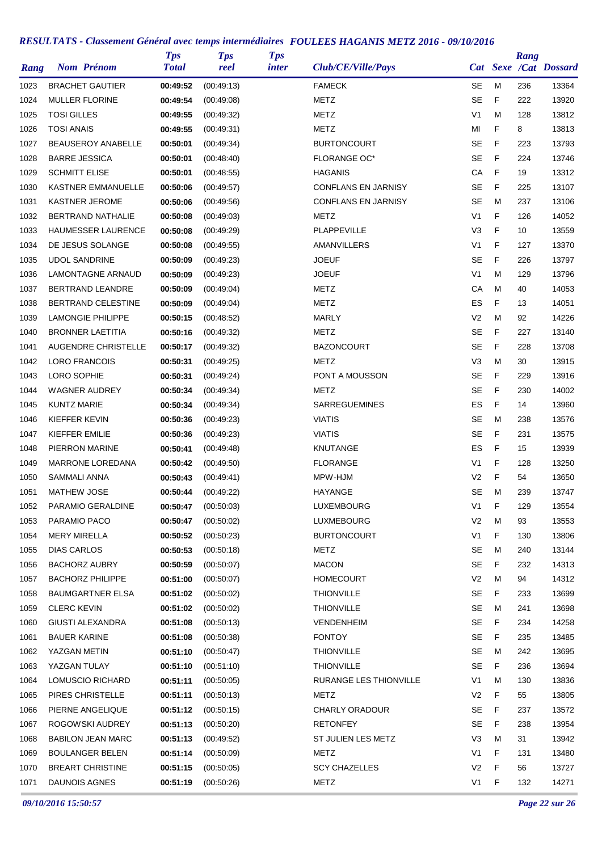| Rang | <b>Nom Prénom</b>         | <b>Tps</b><br><b>Total</b> | <b>Tps</b><br>reel | <b>Tps</b><br><i>inter</i> | Club/CE/Ville/Pays         |                |   | Rang | Cat Sexe /Cat Dossard |
|------|---------------------------|----------------------------|--------------------|----------------------------|----------------------------|----------------|---|------|-----------------------|
| 1023 | <b>BRACHET GAUTIER</b>    | 00:49:52                   | (00:49:13)         |                            | <b>FAMECK</b>              | <b>SE</b>      | M | 236  | 13364                 |
| 1024 | <b>MULLER FLORINE</b>     | 00:49:54                   | (00.49.08)         |                            | METZ                       | <b>SE</b>      | F | 222  | 13920                 |
| 1025 | <b>TOSI GILLES</b>        | 00:49:55                   | (00:49:32)         |                            | METZ                       | V1             | M | 128  | 13812                 |
| 1026 | <b>TOSI ANAIS</b>         | 00:49:55                   | (00:49:31)         |                            | METZ                       | MI             | F | 8    | 13813                 |
| 1027 | BEAUSEROY ANABELLE        | 00:50:01                   | (00:49:34)         |                            | <b>BURTONCOURT</b>         | SE             | F | 223  | 13793                 |
| 1028 | <b>BARRE JESSICA</b>      | 00:50:01                   | (00.48.40)         |                            | <b>FLORANGE OC*</b>        | <b>SE</b>      | F | 224  | 13746                 |
| 1029 | <b>SCHMITT ELISE</b>      | 00:50:01                   | (00:48:55)         |                            | <b>HAGANIS</b>             | CA             | F | 19   | 13312                 |
| 1030 | <b>KASTNER EMMANUELLE</b> | 00:50:06                   | (00.49.57)         |                            | <b>CONFLANS EN JARNISY</b> | <b>SE</b>      | F | 225  | 13107                 |
| 1031 | <b>KASTNER JEROME</b>     | 00:50:06                   | (00.49.56)         |                            | <b>CONFLANS EN JARNISY</b> | <b>SE</b>      | M | 237  | 13106                 |
| 1032 | BERTRAND NATHALIE         | 00:50:08                   | (00:49:03)         |                            | METZ                       | V1             | F | 126  | 14052                 |
| 1033 | HAUMESSER LAURENCE        | 00:50:08                   | (00:49:29)         |                            | <b>PLAPPEVILLE</b>         | V3             | F | 10   | 13559                 |
| 1034 | DE JESUS SOLANGE          | 00:50:08                   | (00:49:55)         |                            | AMANVILLERS                | V <sub>1</sub> | F | 127  | 13370                 |
| 1035 | <b>UDOL SANDRINE</b>      | 00:50:09                   | (00:49:23)         |                            | <b>JOEUF</b>               | <b>SE</b>      | F | 226  | 13797                 |
| 1036 | LAMONTAGNE ARNAUD         | 00:50:09                   | (00:49:23)         |                            | <b>JOEUF</b>               | V <sub>1</sub> | M | 129  | 13796                 |
| 1037 | <b>BERTRAND LEANDRE</b>   | 00:50:09                   | (00:49:04)         |                            | METZ                       | СA             | M | 40   | 14053                 |
| 1038 | BERTRAND CELESTINE        | 00:50:09                   | (00.49.04)         |                            | <b>METZ</b>                | ES             | F | 13   | 14051                 |
| 1039 | LAMONGIE PHILIPPE         | 00:50:15                   | (00.48.52)         |                            | <b>MARLY</b>               | V <sub>2</sub> | M | 92   | 14226                 |
| 1040 | <b>BRONNER LAETITIA</b>   | 00:50:16                   | (00:49:32)         |                            | METZ                       | <b>SE</b>      | F | 227  | 13140                 |
| 1041 | AUGENDRE CHRISTELLE       | 00:50:17                   | (00:49:32)         |                            | <b>BAZONCOURT</b>          | <b>SE</b>      | F | 228  | 13708                 |
| 1042 | <b>LORO FRANCOIS</b>      | 00:50:31                   | (00:49:25)         |                            | METZ                       | V3             | M | 30   | 13915                 |
| 1043 | LORO SOPHIE               | 00:50:31                   | (00:49:24)         |                            | PONT A MOUSSON             | <b>SE</b>      | F | 229  | 13916                 |
| 1044 | <b>WAGNER AUDREY</b>      | 00:50:34                   | (00.49.34)         |                            | METZ                       | <b>SE</b>      | F | 230  | 14002                 |
| 1045 | <b>KUNTZ MARIE</b>        | 00:50:34                   | (00.49.34)         |                            | <b>SARREGUEMINES</b>       | ES             | F | 14   | 13960                 |
| 1046 | KIEFFER KEVIN             | 00:50:36                   | (00:49:23)         |                            | <b>VIATIS</b>              | SE             | M | 238  | 13576                 |
| 1047 | KIEFFER EMILIE            | 00:50:36                   | (00:49:23)         |                            | <b>VIATIS</b>              | <b>SE</b>      | F | 231  | 13575                 |
| 1048 | PIERRON MARINE            | 00:50:41                   | (00.49.48)         |                            | <b>KNUTANGE</b>            | ES             | F | 15   | 13939                 |
| 1049 | <b>MARRONE LOREDANA</b>   | 00:50:42                   | (00:49:50)         |                            | <b>FLORANGE</b>            | V1             | F | 128  | 13250                 |
| 1050 | <b>SAMMALI ANNA</b>       | 00:50:43                   | (00:49:41)         |                            | MPW-HJM                    | V <sub>2</sub> | F | 54   | 13650                 |
| 1051 | <b>MATHEW JOSE</b>        | 00:50:44                   | (00:49:22)         |                            | HAYANGE                    | SE             | M | 239  | 13747                 |
| 1052 | PARAMIO GERALDINE         | 00:50:47                   | (00:50:03)         |                            | LUXEMBOURG                 | V <sub>1</sub> | F | 129  | 13554                 |
| 1053 | PARAMIO PACO              | 00:50:47                   | (00:50:02)         |                            | LUXMEBOURG                 | V <sub>2</sub> | M | 93   | 13553                 |
| 1054 | <b>MERY MIRELLA</b>       | 00:50:52                   | (00:50:23)         |                            | <b>BURTONCOURT</b>         | V <sub>1</sub> | F | 130  | 13806                 |
| 1055 | DIAS CARLOS               | 00:50:53                   | (00:50:18)         |                            | METZ                       | <b>SE</b>      | M | 240  | 13144                 |
| 1056 | <b>BACHORZ AUBRY</b>      | 00:50:59                   | (00:50:07)         |                            | <b>MACON</b>               | SE             | F | 232  | 14313                 |
| 1057 | <b>BACHORZ PHILIPPE</b>   | 00:51:00                   | (00:50:07)         |                            | <b>HOMECOURT</b>           | V <sub>2</sub> | M | 94   | 14312                 |
| 1058 | <b>BAUMGARTNER ELSA</b>   | 00:51:02                   | (00:50:02)         |                            | <b>THIONVILLE</b>          | <b>SE</b>      | F | 233  | 13699                 |
| 1059 | <b>CLERC KEVIN</b>        | 00:51:02                   | (00:50:02)         |                            | <b>THIONVILLE</b>          | SE             | M | 241  | 13698                 |
| 1060 | GIUSTI ALEXANDRA          | 00:51:08                   | (00:50:13)         |                            | <b>VENDENHEIM</b>          | <b>SE</b>      | F | 234  | 14258                 |
| 1061 | <b>BAUER KARINE</b>       | 00:51:08                   | (00:50:38)         |                            | <b>FONTOY</b>              | <b>SE</b>      | F | 235  | 13485                 |
| 1062 | YAZGAN METIN              | 00:51:10                   | (00:50:47)         |                            | <b>THIONVILLE</b>          | <b>SE</b>      | M | 242  | 13695                 |
|      | YAZGAN TULAY              | 00:51:10                   |                    |                            | <b>THIONVILLE</b>          | <b>SE</b>      | F |      | 13694                 |
| 1063 | LOMUSCIO RICHARD          |                            | (00:51:10)         |                            | RURANGE LES THIONVILLE     | V1             | M | 236  |                       |
| 1064 |                           | 00:51:11                   | (00:50:05)         |                            |                            |                | F | 130  | 13836                 |
| 1065 | PIRES CHRISTELLE          | 00:51:11                   | (00:50:13)         |                            | METZ                       | V <sub>2</sub> |   | 55   | 13805                 |
| 1066 | PIERNE ANGELIQUE          | 00:51:12                   | (00:50:15)         |                            | <b>CHARLY ORADOUR</b>      | <b>SE</b>      | F | 237  | 13572                 |
| 1067 | ROGOWSKI AUDREY           | 00:51:13                   | (00:50:20)         |                            | <b>RETONFEY</b>            | <b>SE</b>      | F | 238  | 13954                 |
| 1068 | <b>BABILON JEAN MARC</b>  | 00:51:13                   | (00:49:52)         |                            | ST JULIEN LES METZ         | V <sub>3</sub> | M | 31   | 13942                 |
| 1069 | <b>BOULANGER BELEN</b>    | 00:51:14                   | (00:50:09)         |                            | <b>METZ</b>                | V1             | F | 131  | 13480                 |
| 1070 | <b>BREART CHRISTINE</b>   | 00:51:15                   | (00:50:05)         |                            | <b>SCY CHAZELLES</b>       | V2             | F | 56   | 13727                 |
| 1071 | <b>DAUNOIS AGNES</b>      | 00:51:19                   | (00:50:26)         |                            | METZ                       | V <sub>1</sub> | F | 132  | 14271                 |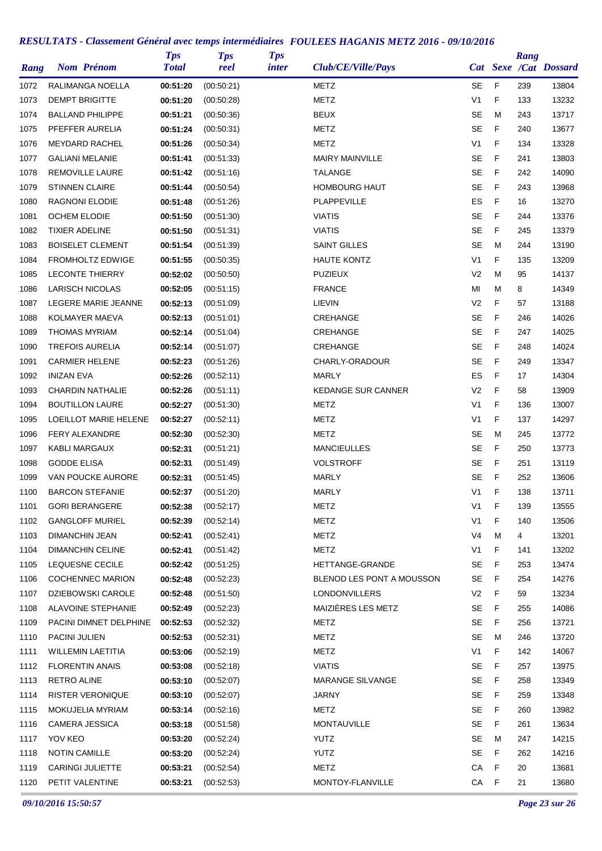| Rang         | <b>Nom Prénom</b>                   | <b>Tps</b><br><b>Total</b> | <b>Tps</b><br>reel       | <b>Tps</b><br><i>inter</i> | Club/CE/Ville/Pays        |                |     | Rang     | Cat Sexe /Cat Dossard |
|--------------|-------------------------------------|----------------------------|--------------------------|----------------------------|---------------------------|----------------|-----|----------|-----------------------|
| 1072         | RALIMANGA NOELLA                    | 00:51:20                   | (00:50:21)               |                            | METZ                      | SE             | F   | 239      | 13804                 |
| 1073         | <b>DEMPT BRIGITTE</b>               | 00:51:20                   | (00:50:28)               |                            | <b>METZ</b>               | V <sub>1</sub> | F   | 133      | 13232                 |
| 1074         | <b>BALLAND PHILIPPE</b>             | 00:51:21                   | (00:50:36)               |                            | <b>BEUX</b>               | <b>SE</b>      | M   | 243      | 13717                 |
| 1075         | PFEFFER AURELIA                     | 00:51:24                   | (00:50:31)               |                            | <b>METZ</b>               | <b>SE</b>      | F   | 240      | 13677                 |
| 1076         | <b>MEYDARD RACHEL</b>               | 00:51:26                   | (00:50:34)               |                            | METZ                      | V <sub>1</sub> | F   | 134      | 13328                 |
| 1077         | <b>GALIANI MELANIE</b>              | 00:51:41                   | (00:51:33)               |                            | MAIRY MAINVILLE           | <b>SE</b>      | F   | 241      | 13803                 |
| 1078         | <b>REMOVILLE LAURE</b>              | 00:51:42                   | (00.51:16)               |                            | <b>TALANGE</b>            | <b>SE</b>      | F   | 242      | 14090                 |
| 1079         | <b>STINNEN CLAIRE</b>               | 00:51:44                   | (00.50.54)               |                            | <b>HOMBOURG HAUT</b>      | <b>SE</b>      | F   | 243      | 13968                 |
| 1080         | RAGNONI ELODIE                      | 00:51:48                   | (00.51.26)               |                            | PLAPPEVILLE               | ES             | F   | 16       | 13270                 |
| 1081         | <b>OCHEM ELODIE</b>                 | 00:51:50                   | (00:51:30)               |                            | <b>VIATIS</b>             | <b>SE</b>      | F   | 244      | 13376                 |
| 1082         | <b>TIXIER ADELINE</b>               | 00:51:50                   | (00:51:31)               |                            | <b>VIATIS</b>             | <b>SE</b>      | F   | 245      | 13379                 |
| 1083         | <b>BOISELET CLEMENT</b>             | 00:51:54                   | (00.51.39)               |                            | <b>SAINT GILLES</b>       | <b>SE</b>      | M   | 244      | 13190                 |
| 1084         | <b>FROMHOLTZ EDWIGE</b>             | 00:51:55                   | (00:50:35)               |                            | <b>HAUTE KONTZ</b>        | V <sub>1</sub> | F   | 135      | 13209                 |
| 1085         | <b>LECONTE THIERRY</b>              | 00:52:02                   | (00:50:50)               |                            | <b>PUZIEUX</b>            | V <sub>2</sub> | M   | 95       | 14137                 |
| 1086         | <b>LARISCH NICOLAS</b>              | 00:52:05                   | (00:51:15)               |                            | <b>FRANCE</b>             | ΜI             | M   | 8        | 14349                 |
| 1087         | LEGERE MARIE JEANNE                 | 00:52:13                   | (00.51.09)               |                            | LIEVIN                    | V <sub>2</sub> | F   | 57       | 13188                 |
| 1088         | <b>KOLMAYER MAEVA</b>               | 00:52:13                   | (00.51:01)               |                            | CREHANGE                  | <b>SE</b>      | F   | 246      | 14026                 |
| 1089         | <b>THOMAS MYRIAM</b>                | 00:52:14                   | (00.51:04)               |                            | CREHANGE                  | <b>SE</b>      | F   | 247      | 14025                 |
| 1090         | <b>TREFOIS AURELIA</b>              | 00:52:14                   | (00.51.07)               |                            | CREHANGE                  | <b>SE</b>      | F   | 248      | 14024                 |
| 1091         | <b>CARMIER HELENE</b>               | 00:52:23                   | (00:51:26)               |                            | CHARLY-ORADOUR            | <b>SE</b>      | F   | 249      | 13347                 |
| 1092         | <b>INIZAN EVA</b>                   | 00:52:26                   | (00:52:11)               |                            | <b>MARLY</b>              | ES             | F   | 17       | 14304                 |
| 1093         | <b>CHARDIN NATHALIE</b>             | 00:52:26                   | (00.51:11)               |                            | <b>KEDANGE SUR CANNER</b> | V <sub>2</sub> | F   | 58       | 13909                 |
| 1094         | <b>BOUTILLON LAURE</b>              | 00:52:27                   | (00:51:30)               |                            | METZ                      | V <sub>1</sub> | F   | 136      | 13007                 |
| 1095         | LOEILLOT MARIE HELENE               | 00:52:27                   | (00.52:11)               |                            | <b>METZ</b>               | V <sub>1</sub> | F   | 137      | 14297                 |
| 1096         | FERY ALEXANDRE                      | 00:52:30                   | (00:52:30)               |                            | METZ                      | <b>SE</b>      | M   | 245      | 13772                 |
| 1097         | <b>KABLI MARGAUX</b>                | 00:52:31                   | (00:51:21)               |                            | <b>MANCIEULLES</b>        | <b>SE</b>      | F   | 250      | 13773                 |
| 1098         | <b>GODDE ELISA</b>                  | 00:52:31                   | (00.51.49)               |                            | <b>VOLSTROFF</b>          | <b>SE</b>      | F   | 251      | 13119                 |
| 1099         | VAN POUCKE AURORE                   | 00:52:31                   | (00:51:45)               |                            | <b>MARLY</b>              | <b>SE</b>      | F   | 252      | 13606                 |
| 1100         | <b>BARCON STEFANIE</b>              | 00:52:37                   | (00:51:20)               |                            | <b>MARLY</b>              | V <sub>1</sub> | F   | 138      | 13711                 |
| 1101         | <b>GORI BERANGERE</b>               | 00:52:38                   | (00:52:17)               |                            | <b>METZ</b>               | V <sub>1</sub> | F   | 139      | 13555                 |
| 1102         | <b>GANGLOFF MURIEL</b>              | 00:52:39                   | (00:52:14)               |                            | <b>METZ</b>               | V <sub>1</sub> | F   | 140      | 13506                 |
| 1103         | <b>DIMANCHIN JEAN</b>               | 00:52:41                   | (00:52:41)               |                            | <b>METZ</b>               | V4             | M   | 4        | 13201                 |
| 1104         | <b>DIMANCHIN CELINE</b>             | 00:52:41                   | (00:51:42)               |                            | METZ                      | V <sub>1</sub> | F   | 141      | 13202                 |
| 1105         | LEQUESNE CECILE                     | 00:52:42                   | (00:51:25)               |                            | HETTANGE-GRANDE           | SE             | F   | 253      | 13474                 |
| 1106         | <b>COCHENNEC MARION</b>             | 00:52:48                   | (00:52:23)               |                            | BLENOD LES PONT A MOUSSON | SE             | F   | 254      | 14276                 |
| 1107         | DZIEBOWSKI CAROLE                   | 00:52:48                   | (00:51:50)               |                            | <b>LONDONVILLERS</b>      | V <sub>2</sub> | F   | 59       | 13234                 |
| 1108         | ALAVOINE STEPHANIE                  | 00:52:49                   | (00:52:23)               |                            | MAIZIÈRES LES METZ        | <b>SE</b>      | F   | 255      | 14086                 |
| 1109         | PACINI DIMNET DELPHINE              | 00:52:53                   | (00:52:32)               |                            | METZ                      | SE             | F   | 256      | 13721                 |
| 1110         | PACINI JULIEN                       | 00:52:53                   | (00:52:31)               |                            | METZ                      | <b>SE</b>      | м   | 246      | 13720                 |
| 1111         | <b>WILLEMIN LAETITIA</b>            | 00:53:06                   | (00:52:19)               |                            | METZ                      | V <sub>1</sub> | F   | 142      | 14067                 |
| 1112         | <b>FLORENTIN ANAIS</b>              | 00:53:08                   | (00:52:18)               |                            | <b>VIATIS</b>             | <b>SE</b>      | F   | 257      | 13975                 |
| 1113         | <b>RETRO ALINE</b>                  | 00:53:10                   | (00:52:07)               |                            | <b>MARANGE SILVANGE</b>   | SE             | F   | 258      | 13349                 |
| 1114         | RISTER VERONIQUE                    | 00:53:10                   | (00:52:07)               |                            | JARNY                     | SE             | F   | 259      | 13348                 |
| 1115         | MOKUJELIA MYRIAM                    | 00:53:14                   | (00:52:16)               |                            | METZ                      | SE             | F   | 260      | 13982                 |
| 1116         | <b>CAMERA JESSICA</b>               | 00:53:18                   | (00:51:58)               |                            | <b>MONTAUVILLE</b>        | <b>SE</b>      | F.  | 261      | 13634                 |
| 1117         | YOV KEO                             | 00:53:20                   | (00:52:24)               |                            | <b>YUTZ</b>               | <b>SE</b>      | M   | 247      | 14215                 |
|              | <b>NOTIN CAMILLE</b>                | 00:53:20                   |                          |                            | <b>YUTZ</b>               | SE             | F   |          | 14216                 |
| 1118         |                                     |                            | (00:52:24)               |                            |                           | CA             | F   | 262      |                       |
| 1119<br>1120 | CARINGI JULIETTE<br>PETIT VALENTINE | 00:53:21                   | (00:52:54)<br>(00:52:53) |                            | METZ<br>MONTOY-FLANVILLE  | CA             | - F | 20<br>21 | 13681<br>13680        |
|              |                                     | 00:53:21                   |                          |                            |                           |                |     |          |                       |

*09/10/2016 15:50:57 Page 23 sur 26*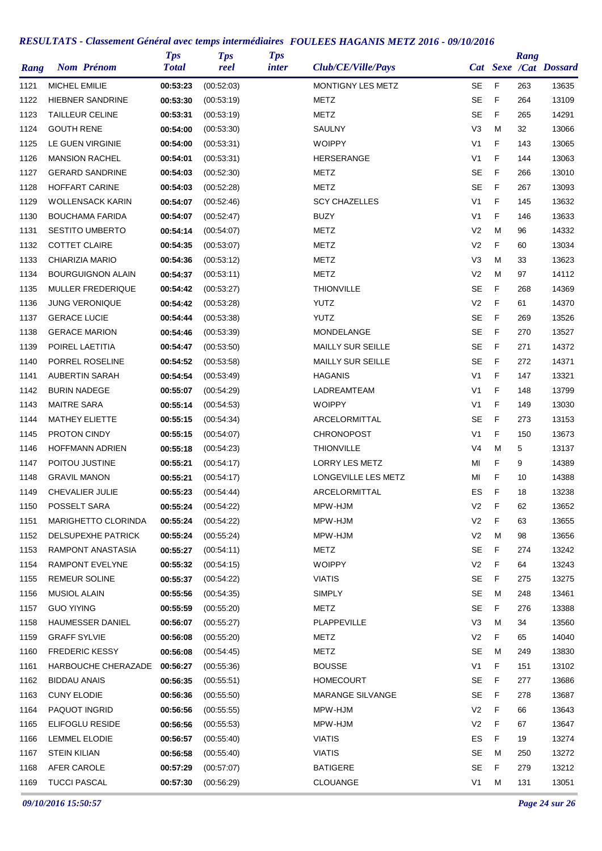| Rang | <b>Nom Prénom</b>        | <b>Tps</b><br><b>Total</b> | <b>Tps</b><br>reel | <b>Tps</b><br><i>inter</i> | Club/CE/Ville/Pays       |                |   | Rang | Cat Sexe /Cat Dossard |
|------|--------------------------|----------------------------|--------------------|----------------------------|--------------------------|----------------|---|------|-----------------------|
| 1121 | <b>MICHEL EMILIE</b>     | 00:53:23                   | (00:52:03)         |                            | <b>MONTIGNY LES METZ</b> | <b>SE</b>      | F | 263  | 13635                 |
| 1122 | <b>HIEBNER SANDRINE</b>  | 00:53:30                   | (00:53:19)         |                            | METZ                     | <b>SE</b>      | F | 264  | 13109                 |
| 1123 | <b>TAILLEUR CELINE</b>   | 00:53:31                   | (00:53:19)         |                            | METZ                     | <b>SE</b>      | F | 265  | 14291                 |
| 1124 | <b>GOUTH RENE</b>        | 00:54:00                   | (00:53:30)         |                            | SAULNY                   | V <sub>3</sub> | M | 32   | 13066                 |
| 1125 | LE GUEN VIRGINIE         | 00:54:00                   | (00:53:31)         |                            | <b>WOIPPY</b>            | V <sub>1</sub> | F | 143  | 13065                 |
| 1126 | <b>MANSION RACHEL</b>    | 00:54:01                   | (00:53:31)         |                            | <b>HERSERANGE</b>        | V1             | F | 144  | 13063                 |
| 1127 | <b>GERARD SANDRINE</b>   | 00:54:03                   | (00:52:30)         |                            | METZ                     | <b>SE</b>      | F | 266  | 13010                 |
| 1128 | <b>HOFFART CARINE</b>    | 00:54:03                   | (00:52:28)         |                            | METZ                     | <b>SE</b>      | F | 267  | 13093                 |
| 1129 | <b>WOLLENSACK KARIN</b>  | 00:54:07                   | (00:52:46)         |                            | <b>SCY CHAZELLES</b>     | V <sub>1</sub> | F | 145  | 13632                 |
| 1130 | <b>BOUCHAMA FARIDA</b>   | 00:54:07                   | (00:52:47)         |                            | <b>BUZY</b>              | V <sub>1</sub> | F | 146  | 13633                 |
| 1131 | <b>SESTITO UMBERTO</b>   | 00:54:14                   | (00:54:07)         |                            | <b>METZ</b>              | V <sub>2</sub> | M | 96   | 14332                 |
| 1132 | <b>COTTET CLAIRE</b>     | 00:54:35                   | (00.53.07)         |                            | <b>METZ</b>              | V <sub>2</sub> | F | 60   | 13034                 |
| 1133 | CHIARIZIA MARIO          | 00:54:36                   | (00:53:12)         |                            | METZ                     | V3             | M | 33   | 13623                 |
| 1134 | <b>BOURGUIGNON ALAIN</b> | 00:54:37                   | (00:53:11)         |                            | METZ                     | V <sub>2</sub> | M | 97   | 14112                 |
| 1135 | MULLER FREDERIQUE        | 00:54:42                   | (00:53:27)         |                            | <b>THIONVILLE</b>        | <b>SE</b>      | F | 268  | 14369                 |
| 1136 | <b>JUNG VERONIQUE</b>    | 00:54:42                   | (00:53:28)         |                            | <b>YUTZ</b>              | V <sub>2</sub> | F | 61   | 14370                 |
| 1137 | <b>GERACE LUCIE</b>      | 00:54:44                   | (00:53:38)         |                            | <b>YUTZ</b>              | <b>SE</b>      | F | 269  | 13526                 |
| 1138 | <b>GERACE MARION</b>     | 00:54:46                   | (00.53.39)         |                            | MONDELANGE               | <b>SE</b>      | F | 270  | 13527                 |
| 1139 | POIREL LAETITIA          | 00:54:47                   | (00:53:50)         |                            | MAILLY SUR SEILLE        | <b>SE</b>      | F | 271  | 14372                 |
| 1140 | PORREL ROSELINE          | 00:54:52                   | (00:53:58)         |                            | MAILLY SUR SEILLE        | <b>SE</b>      | F | 272  | 14371                 |
| 1141 | AUBERTIN SARAH           | 00:54:54                   | (00:53:49)         |                            | <b>HAGANIS</b>           | V1             | F | 147  | 13321                 |
| 1142 | <b>BURIN NADEGE</b>      | 00:55:07                   | (00:54:29)         |                            | LADREAMTEAM              | V <sub>1</sub> | F | 148  | 13799                 |
| 1143 | <b>MAITRE SARA</b>       | 00:55:14                   | (00.54.53)         |                            | <b>WOIPPY</b>            | V <sub>1</sub> | F | 149  | 13030                 |
| 1144 | <b>MATHEY ELIETTE</b>    | 00:55:15                   | (00:54:34)         |                            | ARCELORMITTAL            | <b>SE</b>      | F | 273  | 13153                 |
| 1145 | <b>PROTON CINDY</b>      | 00:55:15                   | (00.54.07)         |                            | <b>CHRONOPOST</b>        | V <sub>1</sub> | F | 150  | 13673                 |
| 1146 | <b>HOFFMANN ADRIEN</b>   | 00:55:18                   | (00:54:23)         |                            | <b>THIONVILLE</b>        | V4             | M | 5    | 13137                 |
| 1147 | POITOU JUSTINE           | 00:55:21                   | (00:54:17)         |                            | <b>LORRY LES METZ</b>    | MI             | F | 9    | 14389                 |
| 1148 | <b>GRAVIL MANON</b>      | 00:55:21                   | (00:54:17)         |                            | LONGEVILLE LES METZ      | MI             | F | 10   | 14388                 |
| 1149 | CHEVALIER JULIE          | 00:55:23                   | (00:54:44)         |                            | ARCELORMITTAL            | ES             | F | 18   | 13238                 |
| 1150 | POSSELT SARA             | 00:55:24                   | (00:54:22)         |                            | MPW-HJM                  | V <sub>2</sub> | F | 62   | 13652                 |
| 1151 | MARIGHETTO CLORINDA      | 00:55:24                   | (00:54:22)         |                            | MPW-HJM                  | V <sub>2</sub> | F | 63   | 13655                 |
| 1152 | DELSUPEXHE PATRICK       | 00:55:24                   | (00.55:24)         |                            | MPW-HJM                  | V <sub>2</sub> | M | 98   | 13656                 |
| 1153 | RAMPONT ANASTASIA        | 00:55:27                   | (00.54.11)         |                            | METZ                     | SE             | F | 274  | 13242                 |
| 1154 | RAMPONT EVELYNE          | 00:55:32                   | (00.54.15)         |                            | <b>WOIPPY</b>            | V <sub>2</sub> | F | 64   | 13243                 |
| 1155 | <b>REMEUR SOLINE</b>     | 00:55:37                   | (00:54:22)         |                            | <b>VIATIS</b>            | <b>SE</b>      | F | 275  | 13275                 |
| 1156 | <b>MUSIOL ALAIN</b>      | 00:55:56                   | (00:54:35)         |                            | <b>SIMPLY</b>            | <b>SE</b>      | M | 248  | 13461                 |
| 1157 | <b>GUO YIYING</b>        | 00:55:59                   | (00:55:20)         |                            | METZ                     | SE             | F | 276  | 13388                 |
| 1158 | <b>HAUMESSER DANIEL</b>  | 00:56:07                   | (00:55:27)         |                            | PLAPPEVILLE              | V <sub>3</sub> | M | 34   | 13560                 |
| 1159 | <b>GRAFF SYLVIE</b>      | 00:56:08                   | (00.55.20)         |                            | METZ                     | V <sub>2</sub> | F | 65   | 14040                 |
| 1160 | <b>FREDERIC KESSY</b>    | 00:56:08                   | (00:54:45)         |                            | <b>METZ</b>              | SE             | м | 249  | 13830                 |
| 1161 | HARBOUCHE CHERAZADE      | 00:56:27                   | (00:55:36)         |                            | <b>BOUSSE</b>            | V1             | F | 151  | 13102                 |
| 1162 | BIDDAU ANAIS             | 00:56:35                   | (00.55.51)         |                            | HOMECOURT                | SE             | F | 277  | 13686                 |
| 1163 | <b>CUNY ELODIE</b>       | 00:56:36                   | (00:55:50)         |                            | <b>MARANGE SILVANGE</b>  | SE             | F | 278  | 13687                 |
| 1164 | PAQUOT INGRID            | 00:56:56                   | (00:55:55)         |                            | MPW-HJM                  | V <sub>2</sub> | F | 66   | 13643                 |
| 1165 | <b>ELIFOGLU RESIDE</b>   | 00:56:56                   | (00.55.53)         |                            | MPW-HJM                  | V <sub>2</sub> | F | 67   | 13647                 |
| 1166 | LEMMEL ELODIE            | 00:56:57                   | (00.55.40)         |                            | <b>VIATIS</b>            | ES             | F | 19   | 13274                 |
| 1167 | <b>STEIN KILIAN</b>      | 00:56:58                   | (00.55.40)         |                            | <b>VIATIS</b>            | <b>SE</b>      | M | 250  | 13272                 |
| 1168 | AFER CAROLE              | 00:57:29                   | (00.57:07)         |                            | <b>BATIGERE</b>          | <b>SE</b>      | F | 279  | 13212                 |
| 1169 | <b>TUCCI PASCAL</b>      | 00:57:30                   | (00:56:29)         |                            | CLOUANGE                 | V <sub>1</sub> | M | 131  | 13051                 |
|      |                          |                            |                    |                            |                          |                |   |      |                       |

*09/10/2016 15:50:57 Page 24 sur 26*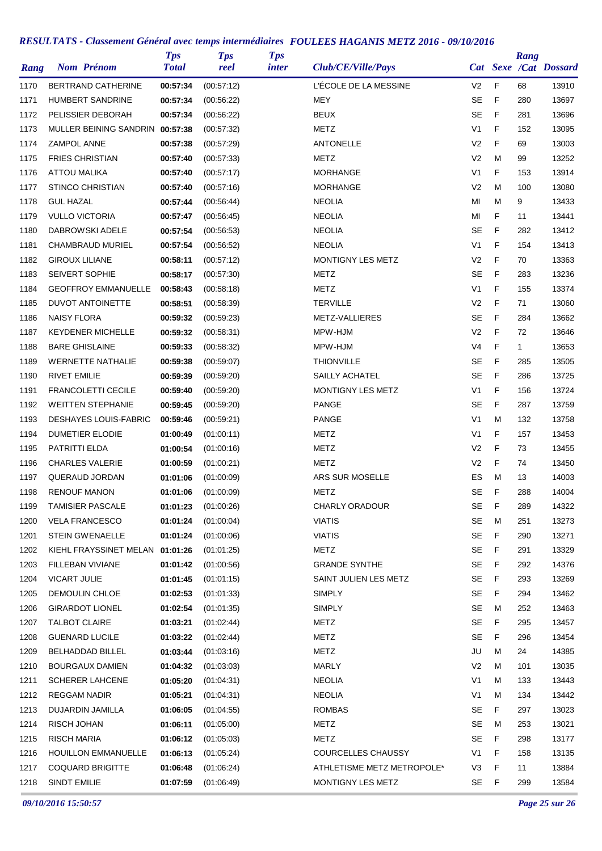| Rang | <b>Nom Prénom</b>               | <b>Tps</b><br><b>Total</b> | <b>Tps</b><br>reel | <b>Tps</b><br>inter | Club/CE/Ville/Pays         |                |   | Rang         | Cat Sexe /Cat Dossard |
|------|---------------------------------|----------------------------|--------------------|---------------------|----------------------------|----------------|---|--------------|-----------------------|
| 1170 | <b>BERTRAND CATHERINE</b>       | 00:57:34                   | (00:57:12)         |                     | L'ÉCOLE DE LA MESSINE      | V <sub>2</sub> | F | 68           | 13910                 |
| 1171 | <b>HUMBERT SANDRINE</b>         | 00:57:34                   | (00:56:22)         |                     | MEY                        | <b>SE</b>      | F | 280          | 13697                 |
| 1172 | PELISSIER DEBORAH               | 00:57:34                   | (00.56.22)         |                     | <b>BEUX</b>                | SE             | F | 281          | 13696                 |
| 1173 | MULLER BEINING SANDRIN 00:57:38 |                            | (00:57:32)         |                     | METZ                       | V <sub>1</sub> | F | 152          | 13095                 |
| 1174 | <b>ZAMPOL ANNE</b>              | 00:57:38                   | (00.57:29)         |                     | <b>ANTONELLE</b>           | V <sub>2</sub> | F | 69           | 13003                 |
| 1175 | <b>FRIES CHRISTIAN</b>          | 00:57:40                   | (00.57:33)         |                     | <b>METZ</b>                | V <sub>2</sub> | M | 99           | 13252                 |
| 1176 | <b>ATTOU MALIKA</b>             | 00:57:40                   | (00:57:17)         |                     | <b>MORHANGE</b>            | V <sub>1</sub> | F | 153          | 13914                 |
| 1177 | <b>STINCO CHRISTIAN</b>         | 00:57:40                   | (00.57:16)         |                     | <b>MORHANGE</b>            | V <sub>2</sub> | M | 100          | 13080                 |
| 1178 | <b>GUL HAZAL</b>                | 00:57:44                   | (00.56.44)         |                     | <b>NEOLIA</b>              | MI             | м | 9            | 13433                 |
| 1179 | <b>VULLO VICTORIA</b>           | 00:57:47                   | (00:56:45)         |                     | <b>NEOLIA</b>              | MI             | F | 11           | 13441                 |
| 1180 | DABROWSKI ADELE                 | 00:57:54                   | (00:56:53)         |                     | <b>NEOLIA</b>              | <b>SE</b>      | F | 282          | 13412                 |
| 1181 | CHAMBRAUD MURIEL                | 00:57:54                   | (00:56:52)         |                     | <b>NEOLIA</b>              | V <sub>1</sub> | F | 154          | 13413                 |
| 1182 | <b>GIROUX LILIANE</b>           | 00:58:11                   | (00.57:12)         |                     | MONTIGNY LES METZ          | V <sub>2</sub> | F | 70           | 13363                 |
| 1183 | <b>SEIVERT SOPHIE</b>           | 00:58:17                   | (00:57:30)         |                     | METZ                       | <b>SE</b>      | F | 283          | 13236                 |
| 1184 | <b>GEOFFROY EMMANUELLE</b>      | 00:58:43                   | (00:58:18)         |                     | <b>METZ</b>                | V <sub>1</sub> | F | 155          | 13374                 |
| 1185 | <b>DUVOT ANTOINETTE</b>         | 00:58:51                   | (00:58:39)         |                     | <b>TERVILLE</b>            | V <sub>2</sub> | F | 71           | 13060                 |
| 1186 | <b>NAISY FLORA</b>              | 00:59:32                   | (00:59:23)         |                     | METZ-VALLIERES             | <b>SE</b>      | F | 284          | 13662                 |
| 1187 | <b>KEYDENER MICHELLE</b>        | 00:59:32                   | (00:58:31)         |                     | MPW-HJM                    | V <sub>2</sub> | F | 72           | 13646                 |
| 1188 | <b>BARE GHISLAINE</b>           | 00:59:33                   | (00:58:32)         |                     | MPW-HJM                    | V <sub>4</sub> | F | $\mathbf{1}$ | 13653                 |
| 1189 | <b>WERNETTE NATHALIE</b>        | 00:59:38                   | (00:59:07)         |                     | <b>THIONVILLE</b>          | <b>SE</b>      | F | 285          | 13505                 |
| 1190 | <b>RIVET EMILIE</b>             | 00:59:39                   | (00:59:20)         |                     | SAILLY ACHATEL             | <b>SE</b>      | F | 286          | 13725                 |
| 1191 | <b>FRANCOLETTI CECILE</b>       | 00:59:40                   | (00:59:20)         |                     | MONTIGNY LES METZ          | V <sub>1</sub> | F | 156          | 13724                 |
| 1192 | <b>WEITTEN STEPHANIE</b>        | 00:59:45                   | (00:59:20)         |                     | <b>PANGE</b>               | <b>SE</b>      | F | 287          | 13759                 |
| 1193 | <b>DESHAYES LOUIS-FABRIC</b>    | 00:59:46                   | (00:59:21)         |                     | <b>PANGE</b>               | V <sub>1</sub> | M | 132          | 13758                 |
| 1194 | <b>DUMETIER ELODIE</b>          | 01:00:49                   | (01:00:11)         |                     | METZ                       | V <sub>1</sub> | F | 157          | 13453                 |
| 1195 | PATRITTI ELDA                   | 01:00:54                   | (01:00:16)         |                     | METZ                       | V <sub>2</sub> | F | 73           | 13455                 |
| 1196 | <b>CHARLES VALERIE</b>          | 01:00:59                   | (01:00:21)         |                     | METZ                       | V <sub>2</sub> | F | 74           | 13450                 |
| 1197 | QUERAUD JORDAN                  | 01:01:06                   | (01:00:09)         |                     | ARS SUR MOSELLE            | ES             | M | 13           | 14003                 |
| 1198 | <b>RENOUF MANON</b>             | 01:01:06                   | (01:00:09)         |                     | <b>METZ</b>                | <b>SE</b>      | F | 288          | 14004                 |
| 1199 | <b>TAMISIER PASCALE</b>         | 01:01:23                   | (01:00:26)         |                     | <b>CHARLY ORADOUR</b>      | SE             | F | 289          | 14322                 |
| 1200 | <b>VELA FRANCESCO</b>           | 01:01:24                   | (01:00:04)         |                     | <b>VIATIS</b>              | SE             | M | 251          | 13273                 |
| 1201 | <b>STEIN GWENAELLE</b>          | 01:01:24                   | (01:00:06)         |                     | <b>VIATIS</b>              | SE             | F | 290          | 13271                 |
| 1202 | KIEHL FRAYSSINET MELAN 01:01:26 |                            | (01:01:25)         |                     | METZ                       | <b>SE</b>      | F | 291          | 13329                 |
| 1203 | FILLEBAN VIVIANE                | 01:01:42                   | (01:00:56)         |                     | <b>GRANDE SYNTHE</b>       | SE             | F | 292          | 14376                 |
| 1204 | <b>VICART JULIE</b>             | 01:01:45                   | (01:01:15)         |                     | SAINT JULIEN LES METZ      | SE             | F | 293          | 13269                 |
| 1205 | DEMOULIN CHLOE                  | 01:02:53                   | (01:01:33)         |                     | <b>SIMPLY</b>              | SE             | F | 294          | 13462                 |
| 1206 | <b>GIRARDOT LIONEL</b>          | 01:02:54                   | (01:01:35)         |                     | <b>SIMPLY</b>              | <b>SE</b>      | м | 252          | 13463                 |
| 1207 | <b>TALBOT CLAIRE</b>            | 01:03:21                   | (01:02:44)         |                     | METZ                       | <b>SE</b>      | F | 295          | 13457                 |
| 1208 | <b>GUENARD LUCILE</b>           | 01:03:22                   | (01:02:44)         |                     | METZ                       | SE             | F | 296          | 13454                 |
| 1209 | <b>BELHADDAD BILLEL</b>         | 01:03:44                   | (01:03:16)         |                     | <b>METZ</b>                | JU             | м | 24           | 14385                 |
| 1210 | <b>BOURGAUX DAMIEN</b>          | 01:04:32                   | (01:03:03)         |                     | <b>MARLY</b>               | V <sub>2</sub> | М | 101          | 13035                 |
| 1211 | <b>SCHERER LAHCENE</b>          | 01:05:20                   | (01:04:31)         |                     | <b>NEOLIA</b>              | V <sub>1</sub> | M | 133          | 13443                 |
| 1212 | <b>REGGAM NADIR</b>             | 01:05:21                   | (01:04:31)         |                     | <b>NEOLIA</b>              | V <sub>1</sub> | м | 134          | 13442                 |
| 1213 | DUJARDIN JAMILLA                | 01:06:05                   | (01:04:55)         |                     | <b>ROMBAS</b>              | SE             | F | 297          | 13023                 |
| 1214 | RISCH JOHAN                     | 01:06:11                   | (01:05:00)         |                     | METZ                       | SE             | м | 253          | 13021                 |
| 1215 | RISCH MARIA                     | 01:06:12                   | (01:05:03)         |                     | METZ                       | SE             | F | 298          | 13177                 |
| 1216 | <b>HOUILLON EMMANUELLE</b>      | 01:06:13                   | (01:05:24)         |                     | <b>COURCELLES CHAUSSY</b>  | V <sub>1</sub> | F | 158          | 13135                 |
| 1217 | <b>COQUARD BRIGITTE</b>         | 01:06:48                   | (01:06:24)         |                     | ATHLETISME METZ METROPOLE* | V3             | F | 11           | 13884                 |
| 1218 | <b>SINDT EMILIE</b>             | 01:07:59                   | (01:06:49)         |                     | MONTIGNY LES METZ          | SE             | F | 299          | 13584                 |

*09/10/2016 15:50:57 Page 25 sur 26*